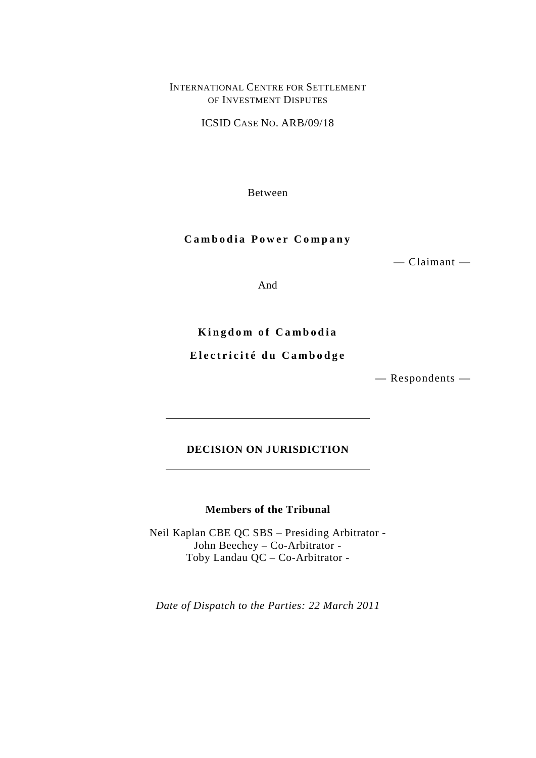## INTERNATIONAL CENTRE FOR SETTLEMENT OF INVESTMENT DISPUTES

ICSID CASE NO. ARB/09/18

Between

## **Cambodia Power Company**

— Claimant —

And

**Kingdom of Cambodia**

# **Electricité du Cambodge**

— Respondents —

# **DECISION ON JURISDICTION**

# **Members of the Tribunal**

Neil Kaplan CBE QC SBS – Presiding Arbitrator - John Beechey – Co-Arbitrator - Toby Landau QC – Co-Arbitrator -

*Date of Dispatch to the Parties: 22 March 2011*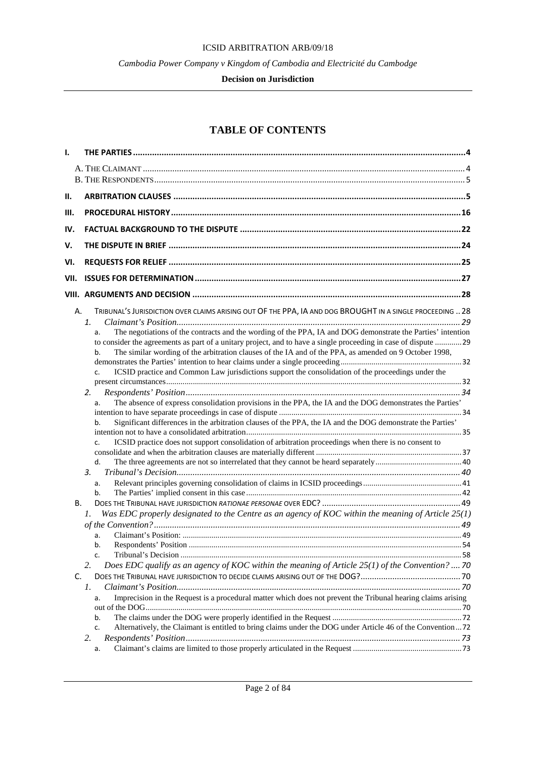## ICSID ARBITRATION ARB/09/18

*Cambodia Power Company v Kingdom of Cambodia and Electricité du Cambodge*

#### **Decision on Jurisdiction**

# **TABLE OF CONTENTS**

| Н.<br>Ш.<br>IV.<br>V.<br>VI.<br>VII.<br>TRIBUNAL'S JURISDICTION OVER CLAIMS ARISING OUT OF THE PPA, IA AND DOG BROUGHT IN A SINGLE PROCEEDING  28<br>А.<br>1.<br>The negotiations of the contracts and the wording of the PPA, IA and DOG demonstrate the Parties' intention<br>a.<br>to consider the agreements as part of a unitary project, and to have a single proceeding in case of dispute 29<br>The similar wording of the arbitration clauses of the IA and of the PPA, as amended on 9 October 1998,<br>b.<br>ICSID practice and Common Law jurisdictions support the consolidation of the proceedings under the<br>c.<br>2.<br>The absence of express consolidation provisions in the PPA, the IA and the DOG demonstrates the Parties'<br>a.<br>Significant differences in the arbitration clauses of the PPA, the IA and the DOG demonstrate the Parties'<br>b.<br>ICSID practice does not support consolidation of arbitration proceedings when there is no consent to<br>c.<br>d.<br>3.<br>a.<br>b.<br>В.<br>Was EDC properly designated to the Centre as an agency of KOC within the meaning of Article $25(1)$<br>1.<br>a.<br>b.<br>c.<br>Does EDC qualify as an agency of KOC within the meaning of Article $25(1)$ of the Convention?  70<br>2.<br>C.<br>1.<br>Imprecision in the Request is a procedural matter which does not prevent the Tribunal hearing claims arising<br>a.<br>b.<br>Alternatively, the Claimant is entitled to bring claims under the DOG under Article 46 of the Convention72<br>c.<br>2.<br>a. | ı. |  |
|--------------------------------------------------------------------------------------------------------------------------------------------------------------------------------------------------------------------------------------------------------------------------------------------------------------------------------------------------------------------------------------------------------------------------------------------------------------------------------------------------------------------------------------------------------------------------------------------------------------------------------------------------------------------------------------------------------------------------------------------------------------------------------------------------------------------------------------------------------------------------------------------------------------------------------------------------------------------------------------------------------------------------------------------------------------------------------------------------------------------------------------------------------------------------------------------------------------------------------------------------------------------------------------------------------------------------------------------------------------------------------------------------------------------------------------------------------------------------------------------------------------------------------------------|----|--|
|                                                                                                                                                                                                                                                                                                                                                                                                                                                                                                                                                                                                                                                                                                                                                                                                                                                                                                                                                                                                                                                                                                                                                                                                                                                                                                                                                                                                                                                                                                                                            |    |  |
|                                                                                                                                                                                                                                                                                                                                                                                                                                                                                                                                                                                                                                                                                                                                                                                                                                                                                                                                                                                                                                                                                                                                                                                                                                                                                                                                                                                                                                                                                                                                            |    |  |
|                                                                                                                                                                                                                                                                                                                                                                                                                                                                                                                                                                                                                                                                                                                                                                                                                                                                                                                                                                                                                                                                                                                                                                                                                                                                                                                                                                                                                                                                                                                                            |    |  |
|                                                                                                                                                                                                                                                                                                                                                                                                                                                                                                                                                                                                                                                                                                                                                                                                                                                                                                                                                                                                                                                                                                                                                                                                                                                                                                                                                                                                                                                                                                                                            |    |  |
|                                                                                                                                                                                                                                                                                                                                                                                                                                                                                                                                                                                                                                                                                                                                                                                                                                                                                                                                                                                                                                                                                                                                                                                                                                                                                                                                                                                                                                                                                                                                            |    |  |
|                                                                                                                                                                                                                                                                                                                                                                                                                                                                                                                                                                                                                                                                                                                                                                                                                                                                                                                                                                                                                                                                                                                                                                                                                                                                                                                                                                                                                                                                                                                                            |    |  |
|                                                                                                                                                                                                                                                                                                                                                                                                                                                                                                                                                                                                                                                                                                                                                                                                                                                                                                                                                                                                                                                                                                                                                                                                                                                                                                                                                                                                                                                                                                                                            |    |  |
|                                                                                                                                                                                                                                                                                                                                                                                                                                                                                                                                                                                                                                                                                                                                                                                                                                                                                                                                                                                                                                                                                                                                                                                                                                                                                                                                                                                                                                                                                                                                            |    |  |
|                                                                                                                                                                                                                                                                                                                                                                                                                                                                                                                                                                                                                                                                                                                                                                                                                                                                                                                                                                                                                                                                                                                                                                                                                                                                                                                                                                                                                                                                                                                                            |    |  |
|                                                                                                                                                                                                                                                                                                                                                                                                                                                                                                                                                                                                                                                                                                                                                                                                                                                                                                                                                                                                                                                                                                                                                                                                                                                                                                                                                                                                                                                                                                                                            |    |  |
|                                                                                                                                                                                                                                                                                                                                                                                                                                                                                                                                                                                                                                                                                                                                                                                                                                                                                                                                                                                                                                                                                                                                                                                                                                                                                                                                                                                                                                                                                                                                            |    |  |
|                                                                                                                                                                                                                                                                                                                                                                                                                                                                                                                                                                                                                                                                                                                                                                                                                                                                                                                                                                                                                                                                                                                                                                                                                                                                                                                                                                                                                                                                                                                                            |    |  |
|                                                                                                                                                                                                                                                                                                                                                                                                                                                                                                                                                                                                                                                                                                                                                                                                                                                                                                                                                                                                                                                                                                                                                                                                                                                                                                                                                                                                                                                                                                                                            |    |  |
|                                                                                                                                                                                                                                                                                                                                                                                                                                                                                                                                                                                                                                                                                                                                                                                                                                                                                                                                                                                                                                                                                                                                                                                                                                                                                                                                                                                                                                                                                                                                            |    |  |
|                                                                                                                                                                                                                                                                                                                                                                                                                                                                                                                                                                                                                                                                                                                                                                                                                                                                                                                                                                                                                                                                                                                                                                                                                                                                                                                                                                                                                                                                                                                                            |    |  |
|                                                                                                                                                                                                                                                                                                                                                                                                                                                                                                                                                                                                                                                                                                                                                                                                                                                                                                                                                                                                                                                                                                                                                                                                                                                                                                                                                                                                                                                                                                                                            |    |  |
|                                                                                                                                                                                                                                                                                                                                                                                                                                                                                                                                                                                                                                                                                                                                                                                                                                                                                                                                                                                                                                                                                                                                                                                                                                                                                                                                                                                                                                                                                                                                            |    |  |
|                                                                                                                                                                                                                                                                                                                                                                                                                                                                                                                                                                                                                                                                                                                                                                                                                                                                                                                                                                                                                                                                                                                                                                                                                                                                                                                                                                                                                                                                                                                                            |    |  |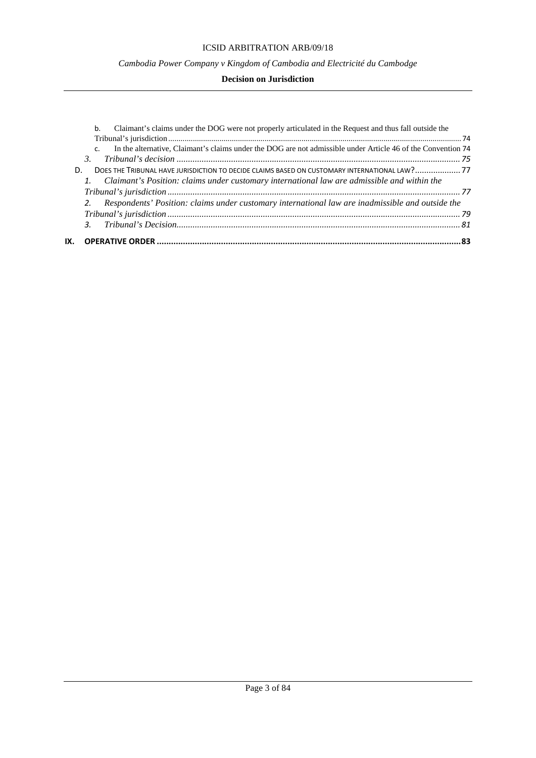## ICSID ARBITRATION ARB/09/18

## *Cambodia Power Company v Kingdom of Cambodia and Electricité du Cambodge*

|                      | 2. Respondents' Position: claims under customary international law are inadmissible and outside the                                                                                            |
|----------------------|------------------------------------------------------------------------------------------------------------------------------------------------------------------------------------------------|
|                      |                                                                                                                                                                                                |
|                      |                                                                                                                                                                                                |
| D.                   | DOES THE TRIBUNAL HAVE JURISDICTION TO DECIDE CLAIMS BASED ON CUSTOMARY INTERNATIONAL LAW?77<br>1. Claimant's Position: claims under customary international law are admissible and within the |
| $\mathsf{C}$ .<br>3. | In the alternative, Claimant's claims under the DOG are not admissible under Article 46 of the Convention 74                                                                                   |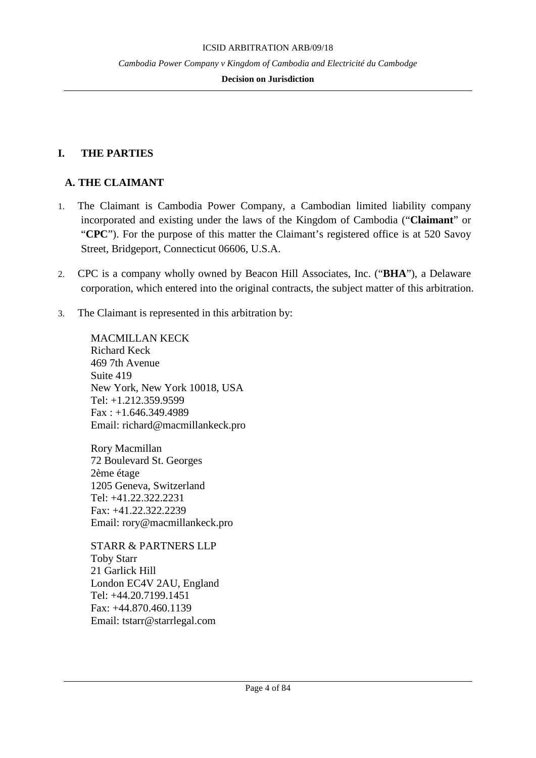## **Decision on Jurisdiction**

# <span id="page-3-0"></span>**I. THE PARTIES**

# <span id="page-3-1"></span>**A. THE CLAIMANT**

- 1. The Claimant is Cambodia Power Company, a Cambodian limited liability company incorporated and existing under the laws of the Kingdom of Cambodia ("**Claimant**" or "**CPC**"). For the purpose of this matter the Claimant's registered office is at 520 Savoy Street, Bridgeport, Connecticut 06606, U.S.A.
- 2. CPC is a company wholly owned by Beacon Hill Associates, Inc. ("**BHA**"), a Delaware corporation, which entered into the original contracts, the subject matter of this arbitration.
- 3. The Claimant is represented in this arbitration by:

MACMILLAN KECK Richard Keck 469 7th Avenue Suite 419 New York, New York 10018, USA Tel: +1.212.359.9599 Fax : +1.646.349.4989 Email: richard@macmillankeck.pro

Rory Macmillan 72 Boulevard St. Georges 2ème étage 1205 Geneva, Switzerland Tel: +41.22.322.2231 Fax: +41.22.322.2239 Email: rory@macmillankeck.pro

STARR & PARTNERS LLP Toby Starr 21 Garlick Hill London EC4V 2AU, England Tel: +44.20.7199.1451 Fax: +44.870.460.1139 Email: tstarr@starrlegal.com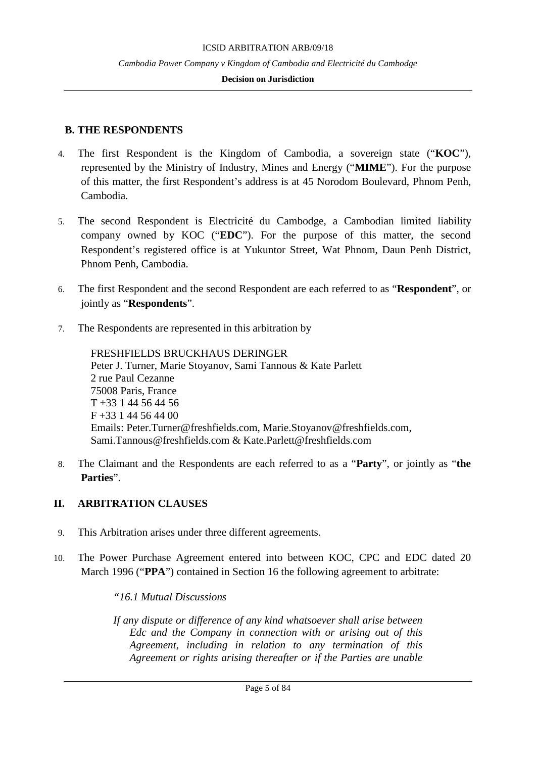#### **Decision on Jurisdiction**

# <span id="page-4-0"></span>**B. THE RESPONDENTS**

- 4. The first Respondent is the Kingdom of Cambodia, a sovereign state ("**KOC**"), represented by the Ministry of Industry, Mines and Energy ("**MIME**"). For the purpose of this matter, the first Respondent's address is at 45 Norodom Boulevard, Phnom Penh, Cambodia.
- 5. The second Respondent is Electricité du Cambodge, a Cambodian limited liability company owned by KOC ("**EDC**"). For the purpose of this matter, the second Respondent's registered office is at Yukuntor Street, Wat Phnom, Daun Penh District, Phnom Penh, Cambodia.
- 6. The first Respondent and the second Respondent are each referred to as "**Respondent**", or jointly as "**Respondents**".
- 7. The Respondents are represented in this arbitration by

FRESHFIELDS BRUCKHAUS DERINGER Peter J. Turner, Marie Stoyanov, Sami Tannous & Kate Parlett 2 rue Paul Cezanne 75008 Paris, France T +33 1 44 56 44 56 F +33 1 44 56 44 00 Emails: Peter.Turner@freshfields.com, Marie.Stoyanov@freshfields.com, Sami.Tannous@freshfields.com & Kate.Parlett@freshfields.com

8. The Claimant and the Respondents are each referred to as a "**Party**", or jointly as "**the Parties**".

# <span id="page-4-1"></span>**II. ARBITRATION CLAUSES**

- 9. This Arbitration arises under three different agreements.
- 10. The Power Purchase Agreement entered into between KOC, CPC and EDC dated 20 March 1996 ("PPA") contained in Section 16 the following agreement to arbitrate:

*"16.1 Mutual Discussions*

*If any dispute or difference of any kind whatsoever shall arise between Edc and the Company in connection with or arising out of this Agreement, including in relation to any termination of this Agreement or rights arising thereafter or if the Parties are unable*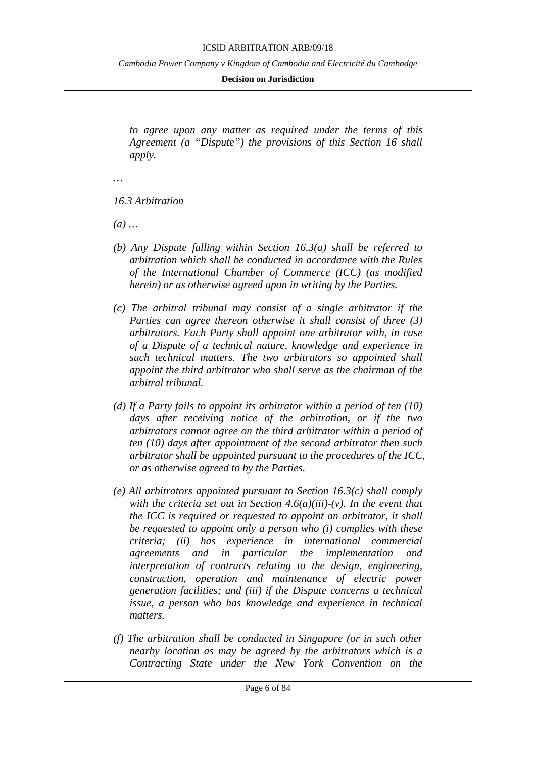#### ICSID ARBITRATION ARB/09/18

*Cambodia Power Company v Kingdom of Cambodia and Electricité du Cambodge*

#### **Decision on Jurisdiction**

*to agree upon any matter as required under the terms of this Agreement (a "Dispute") the provisions of this Section 16 shall apply.*

*…*

*16.3 Arbitration*

*(a) …*

- *(b) Any Dispute falling within Section 16.3(a) shall be referred to arbitration which shall be conducted in accordance with the Rules of the International Chamber of Commerce (ICC) (as modified herein) or as otherwise agreed upon in writing by the Parties.*
- *(c) The arbitral tribunal may consist of a single arbitrator if the Parties can agree thereon otherwise it shall consist of three (3) arbitrators. Each Party shall appoint one arbitrator with, in case of a Dispute of a technical nature, knowledge and experience in such technical matters. The two arbitrators so appointed shall appoint the third arbitrator who shall serve as the chairman of the arbitral tribunal.*
- *(d) If a Party fails to appoint its arbitrator within a period of ten (10) days after receiving notice of the arbitration, or if the two arbitrators cannot agree on the third arbitrator within a period of ten (10) days after appointment of the second arbitrator then such arbitrator shall be appointed pursuant to the procedures of the ICC, or as otherwise agreed to by the Parties.*
- *(e) All arbitrators appointed pursuant to Section 16.3(c) shall comply with the criteria set out in Section 4.6(a)(iii)-(v). In the event that the ICC is required or requested to appoint an arbitrator, it shall be requested to appoint only a person who (i) complies with these criteria; (ii) has experience in international commercial agreements and in particular the implementation and interpretation of contracts relating to the design, engineering, construction, operation and maintenance of electric power generation facilities; and (iii) if the Dispute concerns a technical issue, a person who has knowledge and experience in technical matters.*
- *(f) The arbitration shall be conducted in Singapore (or in such other nearby location as may be agreed by the arbitrators which is a Contracting State under the New York Convention on the*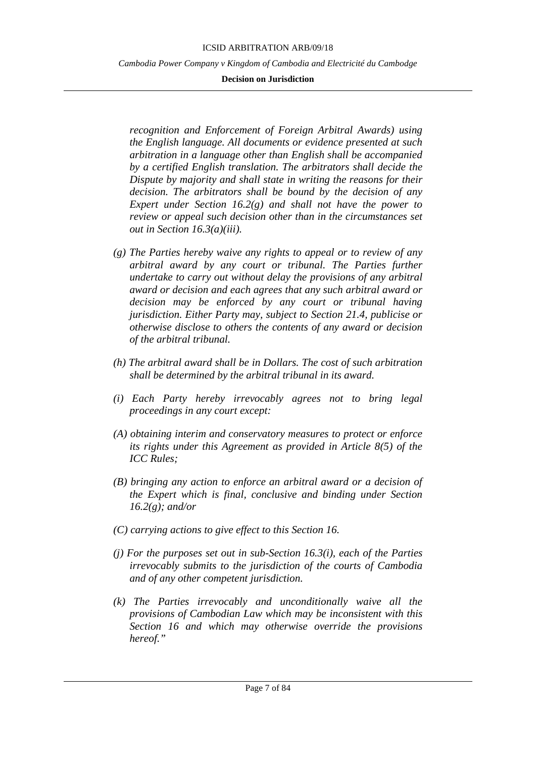#### ICSID ARBITRATION ARB/09/18

*Cambodia Power Company v Kingdom of Cambodia and Electricité du Cambodge*

### **Decision on Jurisdiction**

*recognition and Enforcement of Foreign Arbitral Awards) using the English language. All documents or evidence presented at such arbitration in a language other than English shall be accompanied by a certified English translation. The arbitrators shall decide the Dispute by majority and shall state in writing the reasons for their decision. The arbitrators shall be bound by the decision of any Expert under Section 16.2(g) and shall not have the power to review or appeal such decision other than in the circumstances set out in Section 16.3(a)(iii).*

- *(g) The Parties hereby waive any rights to appeal or to review of any arbitral award by any court or tribunal. The Parties further undertake to carry out without delay the provisions of any arbitral award or decision and each agrees that any such arbitral award or decision may be enforced by any court or tribunal having jurisdiction. Either Party may, subject to Section 21.4, publicise or otherwise disclose to others the contents of any award or decision of the arbitral tribunal.*
- *(h) The arbitral award shall be in Dollars. The cost of such arbitration shall be determined by the arbitral tribunal in its award.*
- *(i) Each Party hereby irrevocably agrees not to bring legal proceedings in any court except:*
- *(A) obtaining interim and conservatory measures to protect or enforce its rights under this Agreement as provided in Article 8(5) of the ICC Rules;*
- *(B) bringing any action to enforce an arbitral award or a decision of the Expert which is final, conclusive and binding under Section 16.2(g); and/or*
- *(C) carrying actions to give effect to this Section 16.*
- *(j) For the purposes set out in sub-Section 16.3(i), each of the Parties irrevocably submits to the jurisdiction of the courts of Cambodia and of any other competent jurisdiction.*
- *(k) The Parties irrevocably and unconditionally waive all the provisions of Cambodian Law which may be inconsistent with this Section 16 and which may otherwise override the provisions hereof."*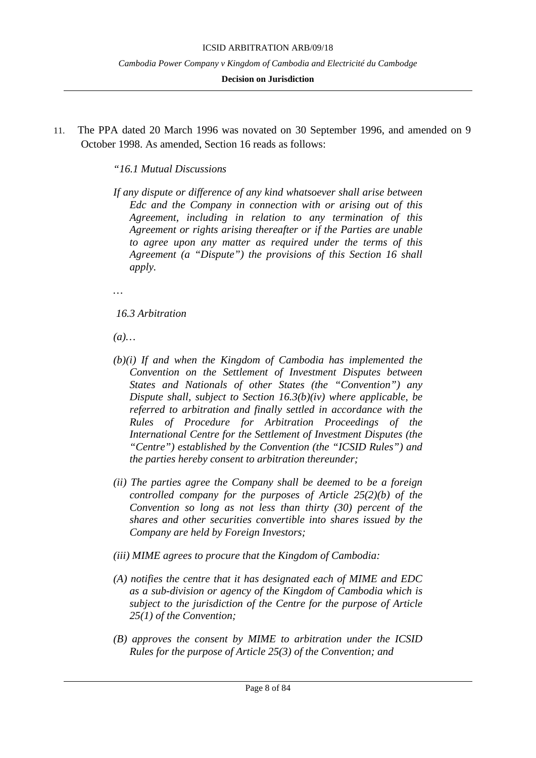**Decision on Jurisdiction**

11. The PPA dated 20 March 1996 was novated on 30 September 1996, and amended on 9 October 1998. As amended, Section 16 reads as follows:

*"16.1 Mutual Discussions*

*If any dispute or difference of any kind whatsoever shall arise between Edc and the Company in connection with or arising out of this Agreement, including in relation to any termination of this Agreement or rights arising thereafter or if the Parties are unable to agree upon any matter as required under the terms of this Agreement (a "Dispute") the provisions of this Section 16 shall apply.*

*…*

*16.3 Arbitration*

*(a)…*

- *(b)(i) If and when the Kingdom of Cambodia has implemented the Convention on the Settlement of Investment Disputes between States and Nationals of other States (the "Convention") any Dispute shall, subject to Section 16.3(b)(iv) where applicable, be referred to arbitration and finally settled in accordance with the Rules of Procedure for Arbitration Proceedings of the International Centre for the Settlement of Investment Disputes (the "Centre") established by the Convention (the "ICSID Rules") and the parties hereby consent to arbitration thereunder;*
- *(ii) The parties agree the Company shall be deemed to be a foreign controlled company for the purposes of Article 25(2)(b) of the Convention so long as not less than thirty (30) percent of the shares and other securities convertible into shares issued by the Company are held by Foreign Investors;*
- *(iii) MIME agrees to procure that the Kingdom of Cambodia:*
- *(A) notifies the centre that it has designated each of MIME and EDC as a sub-division or agency of the Kingdom of Cambodia which is subject to the jurisdiction of the Centre for the purpose of Article 25(1) of the Convention;*
- *(B) approves the consent by MIME to arbitration under the ICSID Rules for the purpose of Article 25(3) of the Convention; and*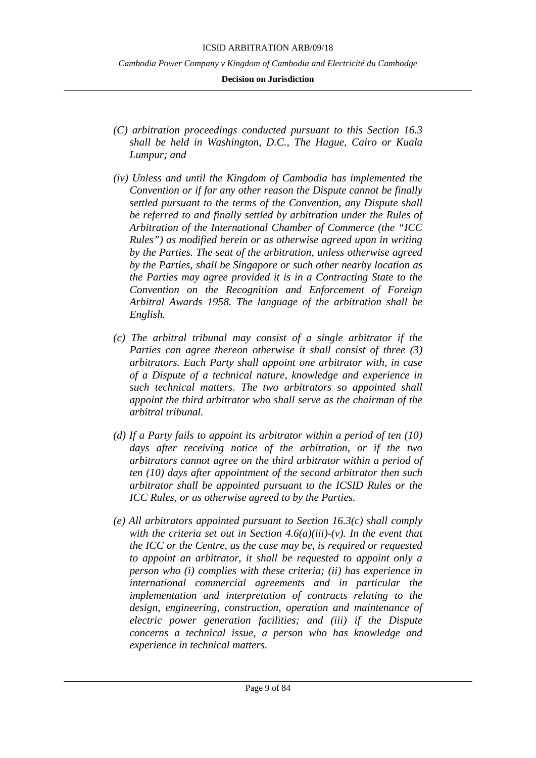#### ICSID ARBITRATION ARB/09/18

*Cambodia Power Company v Kingdom of Cambodia and Electricité du Cambodge*

- *(C) arbitration proceedings conducted pursuant to this Section 16.3 shall be held in Washington, D.C., The Hague, Cairo or Kuala Lumpur; and*
- *(iv) Unless and until the Kingdom of Cambodia has implemented the Convention or if for any other reason the Dispute cannot be finally settled pursuant to the terms of the Convention, any Dispute shall be referred to and finally settled by arbitration under the Rules of Arbitration of the International Chamber of Commerce (the "ICC Rules") as modified herein or as otherwise agreed upon in writing by the Parties. The seat of the arbitration, unless otherwise agreed by the Parties, shall be Singapore or such other nearby location as the Parties may agree provided it is in a Contracting State to the Convention on the Recognition and Enforcement of Foreign Arbitral Awards 1958. The language of the arbitration shall be English.*
- *(c) The arbitral tribunal may consist of a single arbitrator if the Parties can agree thereon otherwise it shall consist of three (3) arbitrators. Each Party shall appoint one arbitrator with, in case of a Dispute of a technical nature, knowledge and experience in such technical matters. The two arbitrators so appointed shall appoint the third arbitrator who shall serve as the chairman of the arbitral tribunal.*
- *(d) If a Party fails to appoint its arbitrator within a period of ten (10) days after receiving notice of the arbitration, or if the two arbitrators cannot agree on the third arbitrator within a period of ten (10) days after appointment of the second arbitrator then such arbitrator shall be appointed pursuant to the ICSID Rules or the ICC Rules, or as otherwise agreed to by the Parties.*
- *(e) All arbitrators appointed pursuant to Section 16.3(c) shall comply with the criteria set out in Section 4.6(a)(iii)-(v). In the event that the ICC or the Centre, as the case may be, is required or requested to appoint an arbitrator, it shall be requested to appoint only a person who (i) complies with these criteria; (ii) has experience in international commercial agreements and in particular the implementation and interpretation of contracts relating to the design, engineering, construction, operation and maintenance of electric power generation facilities; and (iii) if the Dispute concerns a technical issue, a person who has knowledge and experience in technical matters.*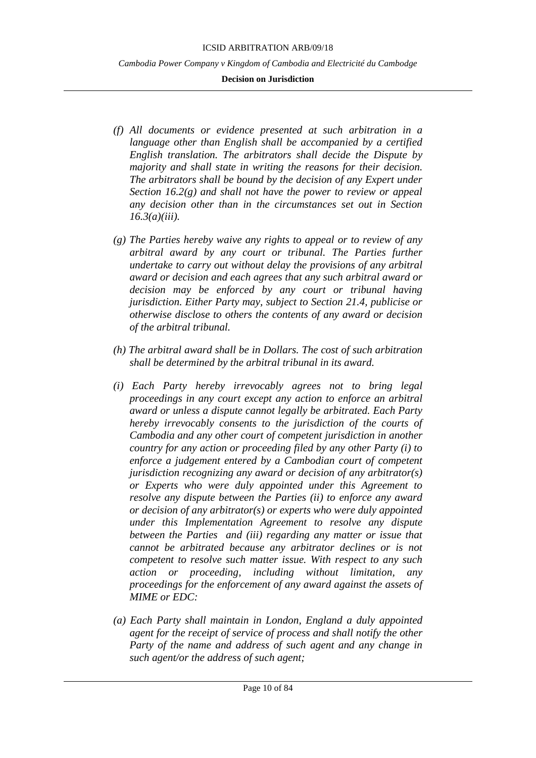- *(f) All documents or evidence presented at such arbitration in a language other than English shall be accompanied by a certified English translation. The arbitrators shall decide the Dispute by majority and shall state in writing the reasons for their decision. The arbitrators shall be bound by the decision of any Expert under Section 16.2(g) and shall not have the power to review or appeal any decision other than in the circumstances set out in Section 16.3(a)(iii).*
- *(g) The Parties hereby waive any rights to appeal or to review of any arbitral award by any court or tribunal. The Parties further undertake to carry out without delay the provisions of any arbitral award or decision and each agrees that any such arbitral award or decision may be enforced by any court or tribunal having jurisdiction. Either Party may, subject to Section 21.4, publicise or otherwise disclose to others the contents of any award or decision of the arbitral tribunal.*
- *(h) The arbitral award shall be in Dollars. The cost of such arbitration shall be determined by the arbitral tribunal in its award.*
- *(i) Each Party hereby irrevocably agrees not to bring legal proceedings in any court except any action to enforce an arbitral award or unless a dispute cannot legally be arbitrated. Each Party hereby irrevocably consents to the jurisdiction of the courts of Cambodia and any other court of competent jurisdiction in another country for any action or proceeding filed by any other Party (i) to enforce a judgement entered by a Cambodian court of competent jurisdiction recognizing any award or decision of any arbitrator(s) or Experts who were duly appointed under this Agreement to resolve any dispute between the Parties (ii) to enforce any award or decision of any arbitrator(s) or experts who were duly appointed under this Implementation Agreement to resolve any dispute between the Parties and (iii) regarding any matter or issue that cannot be arbitrated because any arbitrator declines or is not competent to resolve such matter issue. With respect to any such action or proceeding, including without limitation, any proceedings for the enforcement of any award against the assets of MIME or EDC:*
- *(a) Each Party shall maintain in London, England a duly appointed agent for the receipt of service of process and shall notify the other Party of the name and address of such agent and any change in such agent/or the address of such agent;*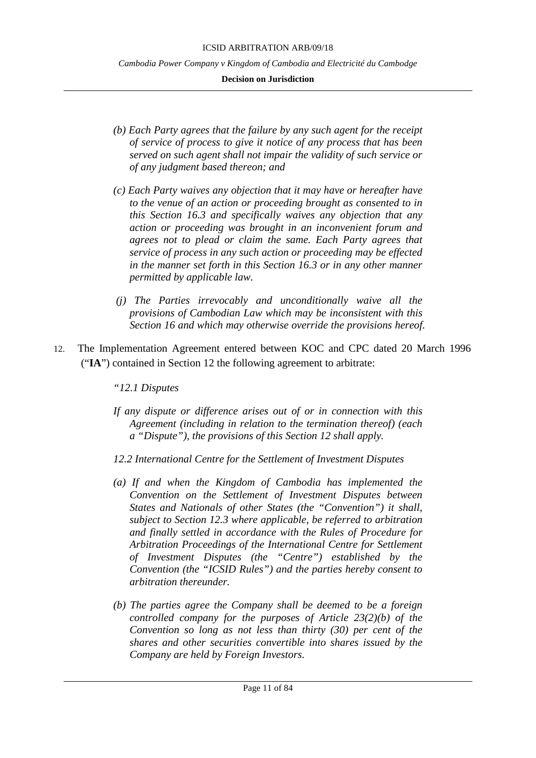- *(b) Each Party agrees that the failure by any such agent for the receipt of service of process to give it notice of any process that has been served on such agent shall not impair the validity of such service or of any judgment based thereon; and*
- *(c) Each Party waives any objection that it may have or hereafter have to the venue of an action or proceeding brought as consented to in this Section 16.3 and specifically waives any objection that any action or proceeding was brought in an inconvenient forum and agrees not to plead or claim the same. Each Party agrees that service of process in any such action or proceeding may be effected in the manner set forth in this Section 16.3 or in any other manner permitted by applicable law.*
- *(j) The Parties irrevocably and unconditionally waive all the provisions of Cambodian Law which may be inconsistent with this Section 16 and which may otherwise override the provisions hereof.*
- 12. The Implementation Agreement entered between KOC and CPC dated 20 March 1996 ("**IA**") contained in Section 12 the following agreement to arbitrate:
	- *"12.1 Disputes*
	- *If any dispute or difference arises out of or in connection with this Agreement (including in relation to the termination thereof) (each a "Dispute"), the provisions of this Section 12 shall apply.*
	- *12.2 International Centre for the Settlement of Investment Disputes*
	- *(a) If and when the Kingdom of Cambodia has implemented the Convention on the Settlement of Investment Disputes between States and Nationals of other States (the "Convention") it shall, subject to Section 12.3 where applicable, be referred to arbitration and finally settled in accordance with the Rules of Procedure for Arbitration Proceedings of the International Centre for Settlement of Investment Disputes (the "Centre") established by the Convention (the "ICSID Rules") and the parties hereby consent to arbitration thereunder.*
	- *(b) The parties agree the Company shall be deemed to be a foreign controlled company for the purposes of Article 23(2)(b) of the Convention so long as not less than thirty (30) per cent of the shares and other securities convertible into shares issued by the Company are held by Foreign Investors.*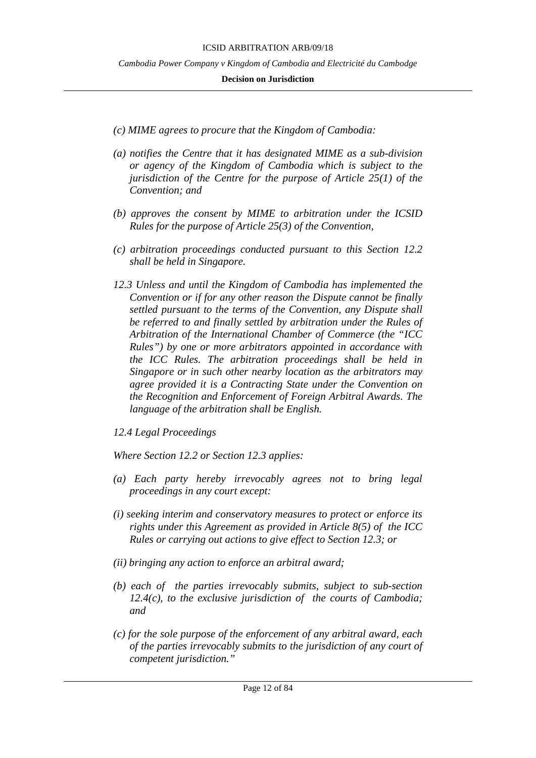#### **Decision on Jurisdiction**

- *(c) MIME agrees to procure that the Kingdom of Cambodia:*
- *(a) notifies the Centre that it has designated MIME as a sub-division or agency of the Kingdom of Cambodia which is subject to the jurisdiction of the Centre for the purpose of Article 25(1) of the Convention; and*
- *(b) approves the consent by MIME to arbitration under the ICSID Rules for the purpose of Article 25(3) of the Convention,*
- *(c) arbitration proceedings conducted pursuant to this Section 12.2 shall be held in Singapore.*
- *12.3 Unless and until the Kingdom of Cambodia has implemented the Convention or if for any other reason the Dispute cannot be finally settled pursuant to the terms of the Convention, any Dispute shall be referred to and finally settled by arbitration under the Rules of Arbitration of the International Chamber of Commerce (the "ICC Rules") by one or more arbitrators appointed in accordance with the ICC Rules. The arbitration proceedings shall be held in Singapore or in such other nearby location as the arbitrators may agree provided it is a Contracting State under the Convention on the Recognition and Enforcement of Foreign Arbitral Awards. The language of the arbitration shall be English.*

## *12.4 Legal Proceedings*

*Where Section 12.2 or Section 12.3 applies:*

- *(a) Each party hereby irrevocably agrees not to bring legal proceedings in any court except:*
- *(i) seeking interim and conservatory measures to protect or enforce its rights under this Agreement as provided in Article 8(5) of the ICC Rules or carrying out actions to give effect to Section 12.3; or*
- *(ii) bringing any action to enforce an arbitral award;*
- *(b) each of the parties irrevocably submits, subject to sub-section 12.4(c), to the exclusive jurisdiction of the courts of Cambodia; and*
- *(c) for the sole purpose of the enforcement of any arbitral award, each of the parties irrevocably submits to the jurisdiction of any court of competent jurisdiction."*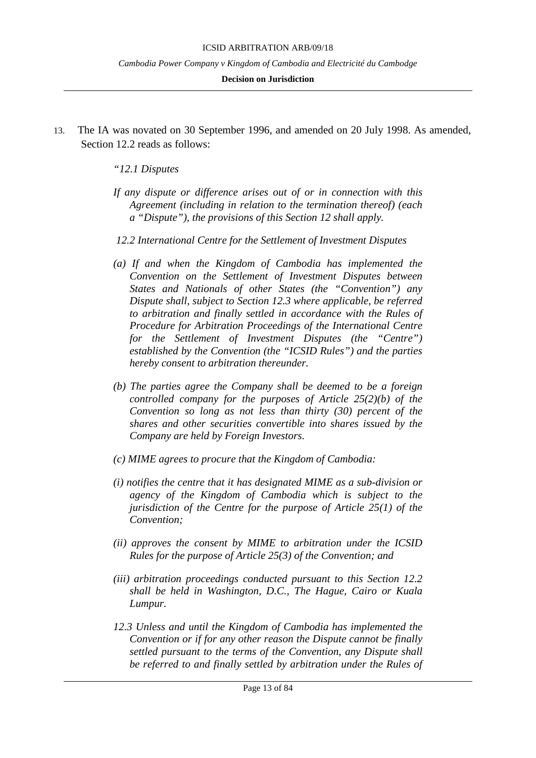#### **Decision on Jurisdiction**

13. The IA was novated on 30 September 1996, and amended on 20 July 1998. As amended, Section 12.2 reads as follows:

# *"12.1 Disputes*

- *If any dispute or difference arises out of or in connection with this Agreement (including in relation to the termination thereof) (each a "Dispute"), the provisions of this Section 12 shall apply.*
- *12.2 International Centre for the Settlement of Investment Disputes*
- *(a) If and when the Kingdom of Cambodia has implemented the Convention on the Settlement of Investment Disputes between States and Nationals of other States (the "Convention") any Dispute shall, subject to Section 12.3 where applicable, be referred to arbitration and finally settled in accordance with the Rules of Procedure for Arbitration Proceedings of the International Centre for the Settlement of Investment Disputes (the "Centre") established by the Convention (the "ICSID Rules") and the parties hereby consent to arbitration thereunder.*
- *(b) The parties agree the Company shall be deemed to be a foreign controlled company for the purposes of Article 25(2)(b) of the Convention so long as not less than thirty (30) percent of the shares and other securities convertible into shares issued by the Company are held by Foreign Investors.*
- *(c) MIME agrees to procure that the Kingdom of Cambodia:*
- *(i) notifies the centre that it has designated MIME as a sub-division or agency of the Kingdom of Cambodia which is subject to the jurisdiction of the Centre for the purpose of Article 25(1) of the Convention;*
- *(ii) approves the consent by MIME to arbitration under the ICSID Rules for the purpose of Article 25(3) of the Convention; and*
- *(iii) arbitration proceedings conducted pursuant to this Section 12.2 shall be held in Washington, D.C., The Hague, Cairo or Kuala Lumpur.*
- *12.3 Unless and until the Kingdom of Cambodia has implemented the Convention or if for any other reason the Dispute cannot be finally settled pursuant to the terms of the Convention, any Dispute shall be referred to and finally settled by arbitration under the Rules of*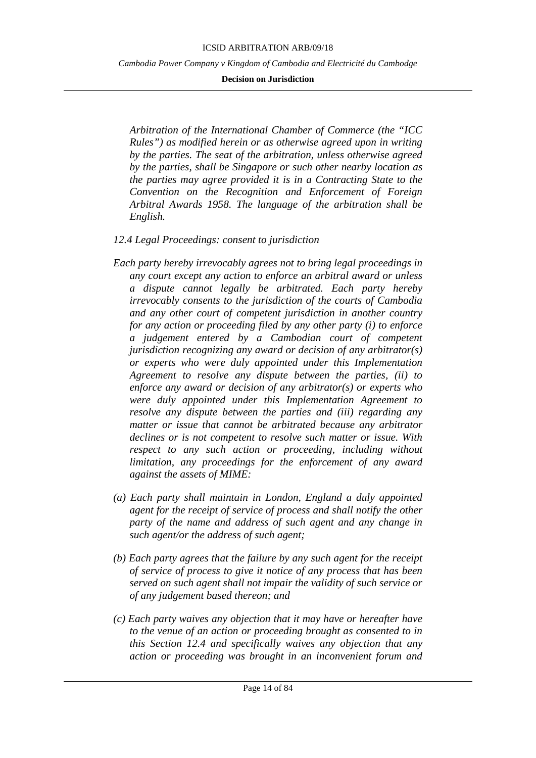### **Decision on Jurisdiction**

*Arbitration of the International Chamber of Commerce (the "ICC Rules") as modified herein or as otherwise agreed upon in writing by the parties. The seat of the arbitration, unless otherwise agreed by the parties, shall be Singapore or such other nearby location as the parties may agree provided it is in a Contracting State to the Convention on the Recognition and Enforcement of Foreign Arbitral Awards 1958. The language of the arbitration shall be English.*

## *12.4 Legal Proceedings: consent to jurisdiction*

- *Each party hereby irrevocably agrees not to bring legal proceedings in any court except any action to enforce an arbitral award or unless a dispute cannot legally be arbitrated. Each party hereby irrevocably consents to the jurisdiction of the courts of Cambodia and any other court of competent jurisdiction in another country for any action or proceeding filed by any other party (i) to enforce a judgement entered by a Cambodian court of competent jurisdiction recognizing any award or decision of any arbitrator(s) or experts who were duly appointed under this Implementation Agreement to resolve any dispute between the parties, (ii) to enforce any award or decision of any arbitrator(s) or experts who were duly appointed under this Implementation Agreement to resolve any dispute between the parties and (iii) regarding any matter or issue that cannot be arbitrated because any arbitrator declines or is not competent to resolve such matter or issue. With respect to any such action or proceeding, including without limitation, any proceedings for the enforcement of any award against the assets of MIME:*
- *(a) Each party shall maintain in London, England a duly appointed agent for the receipt of service of process and shall notify the other party of the name and address of such agent and any change in such agent/or the address of such agent;*
- *(b) Each party agrees that the failure by any such agent for the receipt of service of process to give it notice of any process that has been served on such agent shall not impair the validity of such service or of any judgement based thereon; and*
- *(c) Each party waives any objection that it may have or hereafter have to the venue of an action or proceeding brought as consented to in this Section 12.4 and specifically waives any objection that any action or proceeding was brought in an inconvenient forum and*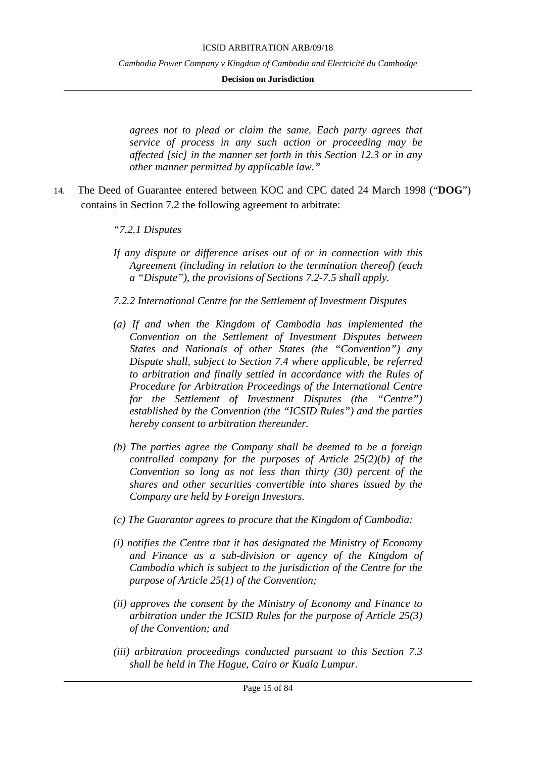#### **Decision on Jurisdiction**

*agrees not to plead or claim the same. Each party agrees that service of process in any such action or proceeding may be affected [sic] in the manner set forth in this Section 12.3 or in any other manner permitted by applicable law."*

- 14. The Deed of Guarantee entered between KOC and CPC dated 24 March 1998 ("**DOG**") contains in Section 7.2 the following agreement to arbitrate:
	- *"7.2.1 Disputes*
	- *If any dispute or difference arises out of or in connection with this Agreement (including in relation to the termination thereof) (each a "Dispute"), the provisions of Sections 7.2-7.5 shall apply.*
	- *7.2.2 International Centre for the Settlement of Investment Disputes*
	- *(a) If and when the Kingdom of Cambodia has implemented the Convention on the Settlement of Investment Disputes between States and Nationals of other States (the "Convention") any Dispute shall, subject to Section 7.4 where applicable, be referred to arbitration and finally settled in accordance with the Rules of Procedure for Arbitration Proceedings of the International Centre for the Settlement of Investment Disputes (the "Centre") established by the Convention (the "ICSID Rules") and the parties hereby consent to arbitration thereunder.*
	- *(b) The parties agree the Company shall be deemed to be a foreign controlled company for the purposes of Article 25(2)(b) of the Convention so long as not less than thirty (30) percent of the shares and other securities convertible into shares issued by the Company are held by Foreign Investors.*
	- *(c) The Guarantor agrees to procure that the Kingdom of Cambodia:*
	- *(i) notifies the Centre that it has designated the Ministry of Economy and Finance as a sub-division or agency of the Kingdom of Cambodia which is subject to the jurisdiction of the Centre for the purpose of Article 25(1) of the Convention;*
	- *(ii) approves the consent by the Ministry of Economy and Finance to arbitration under the ICSID Rules for the purpose of Article 25(3) of the Convention; and*
	- *(iii) arbitration proceedings conducted pursuant to this Section 7.3 shall be held in The Hague, Cairo or Kuala Lumpur.*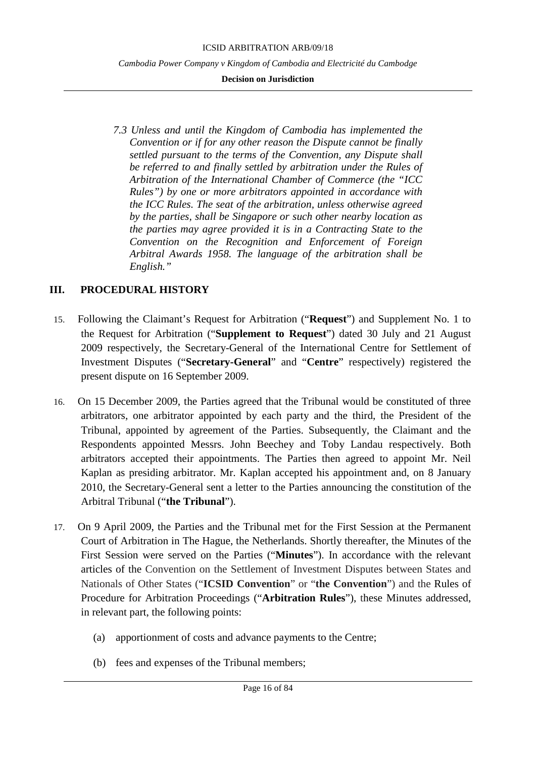### **Decision on Jurisdiction**

*7.3 Unless and until the Kingdom of Cambodia has implemented the Convention or if for any other reason the Dispute cannot be finally settled pursuant to the terms of the Convention, any Dispute shall be referred to and finally settled by arbitration under the Rules of Arbitration of the International Chamber of Commerce (the "ICC Rules") by one or more arbitrators appointed in accordance with the ICC Rules. The seat of the arbitration, unless otherwise agreed by the parties, shall be Singapore or such other nearby location as the parties may agree provided it is in a Contracting State to the Convention on the Recognition and Enforcement of Foreign Arbitral Awards 1958. The language of the arbitration shall be English."*

# <span id="page-15-0"></span>**III. PROCEDURAL HISTORY**

- 15. Following the Claimant's Request for Arbitration ("**Request**") and Supplement No. 1 to the Request for Arbitration ("**Supplement to Request**") dated 30 July and 21 August 2009 respectively, the Secretary-General of the International Centre for Settlement of Investment Disputes ("**Secretary-General**" and "**Centre**" respectively) registered the present dispute on 16 September 2009.
- 16. On 15 December 2009, the Parties agreed that the Tribunal would be constituted of three arbitrators, one arbitrator appointed by each party and the third, the President of the Tribunal, appointed by agreement of the Parties. Subsequently, the Claimant and the Respondents appointed Messrs. John Beechey and Toby Landau respectively. Both arbitrators accepted their appointments. The Parties then agreed to appoint Mr. Neil Kaplan as presiding arbitrator. Mr. Kaplan accepted his appointment and, on 8 January 2010, the Secretary-General sent a letter to the Parties announcing the constitution of the Arbitral Tribunal ("**the Tribunal**").
- 17. On 9 April 2009, the Parties and the Tribunal met for the First Session at the Permanent Court of Arbitration in The Hague, the Netherlands. Shortly thereafter, the Minutes of the First Session were served on the Parties ("**Minutes**"). In accordance with the relevant articles of the Convention on the Settlement of Investment Disputes between States and Nationals of Other States ("**ICSID Convention**" or "**the Convention**") and the Rules of Procedure for Arbitration Proceedings ("**Arbitration Rules**"), these Minutes addressed, in relevant part, the following points:
	- (a) apportionment of costs and advance payments to the Centre;
	- (b) fees and expenses of the Tribunal members;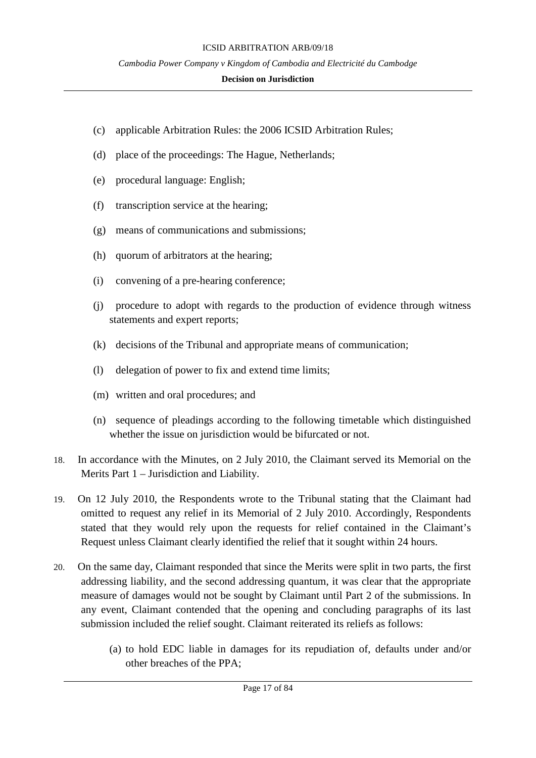- (c) applicable Arbitration Rules: the 2006 ICSID Arbitration Rules;
- (d) place of the proceedings: The Hague, Netherlands;
- (e) procedural language: English;
- (f) transcription service at the hearing;
- (g) means of communications and submissions;
- (h) quorum of arbitrators at the hearing;
- (i) convening of a pre-hearing conference;
- (j) procedure to adopt with regards to the production of evidence through witness statements and expert reports;
- (k) decisions of the Tribunal and appropriate means of communication;
- (l) delegation of power to fix and extend time limits;
- (m) written and oral procedures; and
- (n) sequence of pleadings according to the following timetable which distinguished whether the issue on jurisdiction would be bifurcated or not.
- 18. In accordance with the Minutes, on 2 July 2010, the Claimant served its Memorial on the Merits Part 1 – Jurisdiction and Liability.
- 19. On 12 July 2010, the Respondents wrote to the Tribunal stating that the Claimant had omitted to request any relief in its Memorial of 2 July 2010. Accordingly, Respondents stated that they would rely upon the requests for relief contained in the Claimant's Request unless Claimant clearly identified the relief that it sought within 24 hours.
- 20. On the same day, Claimant responded that since the Merits were split in two parts, the first addressing liability, and the second addressing quantum, it was clear that the appropriate measure of damages would not be sought by Claimant until Part 2 of the submissions. In any event, Claimant contended that the opening and concluding paragraphs of its last submission included the relief sought. Claimant reiterated its reliefs as follows:
	- (a) to hold EDC liable in damages for its repudiation of, defaults under and/or other breaches of the PPA;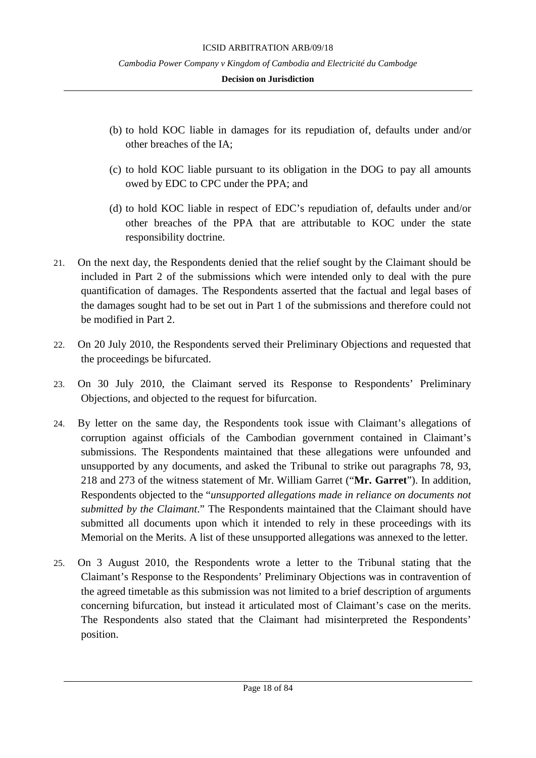- (b) to hold KOC liable in damages for its repudiation of, defaults under and/or other breaches of the IA;
- (c) to hold KOC liable pursuant to its obligation in the DOG to pay all amounts owed by EDC to CPC under the PPA; and
- (d) to hold KOC liable in respect of EDC's repudiation of, defaults under and/or other breaches of the PPA that are attributable to KOC under the state responsibility doctrine.
- 21. On the next day, the Respondents denied that the relief sought by the Claimant should be included in Part 2 of the submissions which were intended only to deal with the pure quantification of damages. The Respondents asserted that the factual and legal bases of the damages sought had to be set out in Part 1 of the submissions and therefore could not be modified in Part 2.
- 22. On 20 July 2010, the Respondents served their Preliminary Objections and requested that the proceedings be bifurcated.
- 23. On 30 July 2010, the Claimant served its Response to Respondents' Preliminary Objections, and objected to the request for bifurcation.
- 24. By letter on the same day, the Respondents took issue with Claimant's allegations of corruption against officials of the Cambodian government contained in Claimant's submissions. The Respondents maintained that these allegations were unfounded and unsupported by any documents, and asked the Tribunal to strike out paragraphs 78, 93, 218 and 273 of the witness statement of Mr. William Garret ("**Mr. Garret**"). In addition, Respondents objected to the "*unsupported allegations made in reliance on documents not submitted by the Claimant*." The Respondents maintained that the Claimant should have submitted all documents upon which it intended to rely in these proceedings with its Memorial on the Merits. A list of these unsupported allegations was annexed to the letter.
- 25. On 3 August 2010, the Respondents wrote a letter to the Tribunal stating that the Claimant's Response to the Respondents' Preliminary Objections was in contravention of the agreed timetable as this submission was not limited to a brief description of arguments concerning bifurcation, but instead it articulated most of Claimant's case on the merits. The Respondents also stated that the Claimant had misinterpreted the Respondents' position.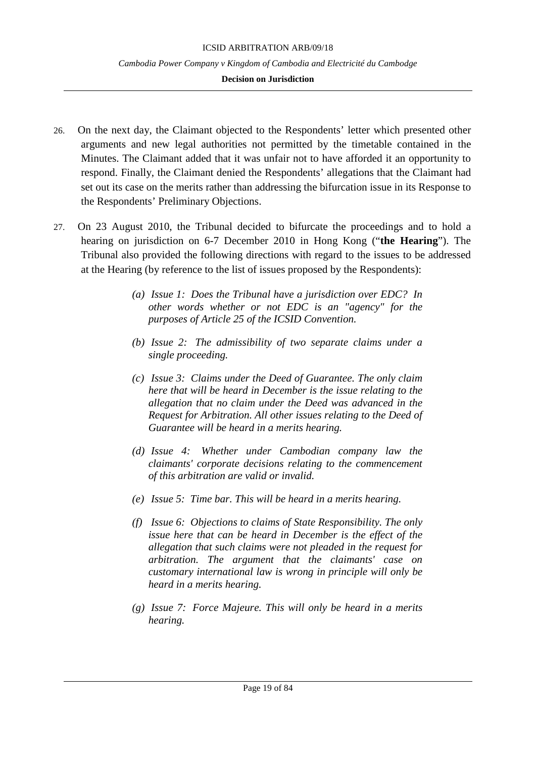- 26. On the next day, the Claimant objected to the Respondents' letter which presented other arguments and new legal authorities not permitted by the timetable contained in the Minutes. The Claimant added that it was unfair not to have afforded it an opportunity to respond. Finally, the Claimant denied the Respondents' allegations that the Claimant had set out its case on the merits rather than addressing the bifurcation issue in its Response to the Respondents' Preliminary Objections.
- 27. On 23 August 2010, the Tribunal decided to bifurcate the proceedings and to hold a hearing on jurisdiction on 6-7 December 2010 in Hong Kong ("**the Hearing**"). The Tribunal also provided the following directions with regard to the issues to be addressed at the Hearing (by reference to the list of issues proposed by the Respondents):
	- *(a) Issue 1: Does the Tribunal have a jurisdiction over EDC? In other words whether or not EDC is an "agency" for the purposes of Article 25 of the ICSID Convention.*
	- *(b) Issue 2: The admissibility of two separate claims under a single proceeding.*
	- *(c) Issue 3: Claims under the Deed of Guarantee. The only claim here that will be heard in December is the issue relating to the allegation that no claim under the Deed was advanced in the Request for Arbitration. All other issues relating to the Deed of Guarantee will be heard in a merits hearing.*
	- *(d) Issue 4: Whether under Cambodian company law the claimants' corporate decisions relating to the commencement of this arbitration are valid or invalid.*
	- *(e) Issue 5: Time bar. This will be heard in a merits hearing.*
	- *(f) Issue 6: Objections to claims of State Responsibility. The only issue here that can be heard in December is the effect of the allegation that such claims were not pleaded in the request for arbitration. The argument that the claimants' case on customary international law is wrong in principle will only be heard in a merits hearing.*
	- *(g) Issue 7: Force Majeure. This will only be heard in a merits hearing.*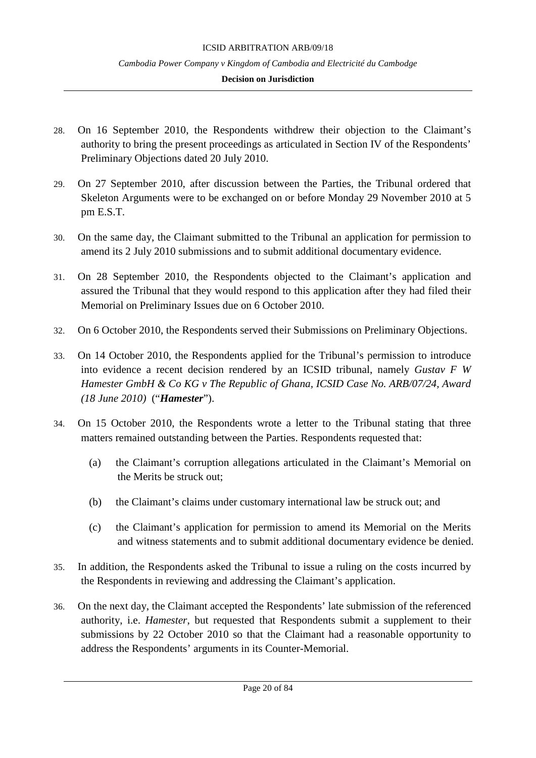- 28. On 16 September 2010, the Respondents withdrew their objection to the Claimant's authority to bring the present proceedings as articulated in Section IV of the Respondents' Preliminary Objections dated 20 July 2010.
- 29. On 27 September 2010, after discussion between the Parties, the Tribunal ordered that Skeleton Arguments were to be exchanged on or before Monday 29 November 2010 at 5 pm E.S.T.
- 30. On the same day, the Claimant submitted to the Tribunal an application for permission to amend its 2 July 2010 submissions and to submit additional documentary evidence.
- 31. On 28 September 2010, the Respondents objected to the Claimant's application and assured the Tribunal that they would respond to this application after they had filed their Memorial on Preliminary Issues due on 6 October 2010.
- 32. On 6 October 2010, the Respondents served their Submissions on Preliminary Objections.
- 33. On 14 October 2010, the Respondents applied for the Tribunal's permission to introduce into evidence a recent decision rendered by an ICSID tribunal, namely *Gustav F W Hamester GmbH & Co KG v The Republic of Ghana, ICSID Case No. ARB/07/24, Award (18 June 2010)* ("*Hamester*").
- 34. On 15 October 2010, the Respondents wrote a letter to the Tribunal stating that three matters remained outstanding between the Parties. Respondents requested that:
	- (a) the Claimant's corruption allegations articulated in the Claimant's Memorial on the Merits be struck out;
	- (b) the Claimant's claims under customary international law be struck out; and
	- (c) the Claimant's application for permission to amend its Memorial on the Merits and witness statements and to submit additional documentary evidence be denied.
- 35. In addition, the Respondents asked the Tribunal to issue a ruling on the costs incurred by the Respondents in reviewing and addressing the Claimant's application.
- 36. On the next day, the Claimant accepted the Respondents' late submission of the referenced authority, i.e. *Hamester*, but requested that Respondents submit a supplement to their submissions by 22 October 2010 so that the Claimant had a reasonable opportunity to address the Respondents' arguments in its Counter-Memorial.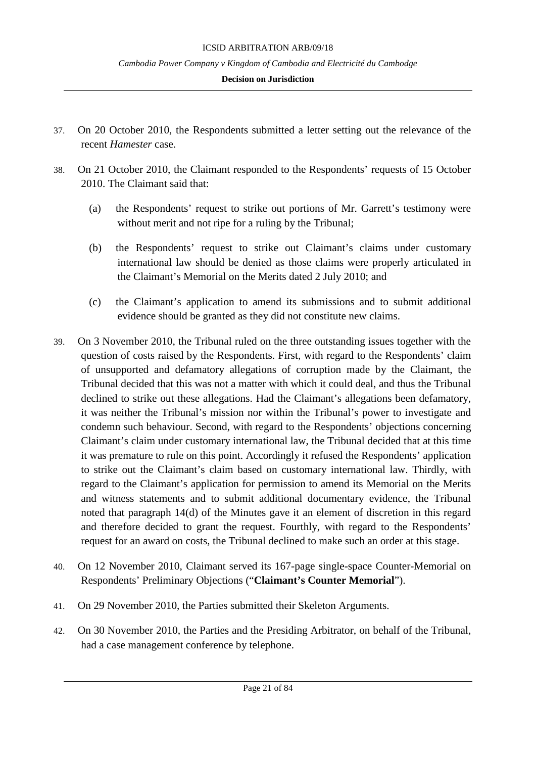- 37. On 20 October 2010, the Respondents submitted a letter setting out the relevance of the recent *Hamester* case.
- 38. On 21 October 2010, the Claimant responded to the Respondents' requests of 15 October 2010. The Claimant said that:
	- (a) the Respondents' request to strike out portions of Mr. Garrett's testimony were without merit and not ripe for a ruling by the Tribunal;
	- (b) the Respondents' request to strike out Claimant's claims under customary international law should be denied as those claims were properly articulated in the Claimant's Memorial on the Merits dated 2 July 2010; and
	- (c) the Claimant's application to amend its submissions and to submit additional evidence should be granted as they did not constitute new claims.
- 39. On 3 November 2010, the Tribunal ruled on the three outstanding issues together with the question of costs raised by the Respondents. First, with regard to the Respondents' claim of unsupported and defamatory allegations of corruption made by the Claimant, the Tribunal decided that this was not a matter with which it could deal, and thus the Tribunal declined to strike out these allegations. Had the Claimant's allegations been defamatory, it was neither the Tribunal's mission nor within the Tribunal's power to investigate and condemn such behaviour. Second, with regard to the Respondents' objections concerning Claimant's claim under customary international law, the Tribunal decided that at this time it was premature to rule on this point. Accordingly it refused the Respondents' application to strike out the Claimant's claim based on customary international law. Thirdly, with regard to the Claimant's application for permission to amend its Memorial on the Merits and witness statements and to submit additional documentary evidence, the Tribunal noted that paragraph 14(d) of the Minutes gave it an element of discretion in this regard and therefore decided to grant the request. Fourthly, with regard to the Respondents' request for an award on costs, the Tribunal declined to make such an order at this stage.
- 40. On 12 November 2010, Claimant served its 167-page single-space Counter-Memorial on Respondents' Preliminary Objections ("**Claimant's Counter Memorial**").
- 41. On 29 November 2010, the Parties submitted their Skeleton Arguments.
- 42. On 30 November 2010, the Parties and the Presiding Arbitrator, on behalf of the Tribunal, had a case management conference by telephone.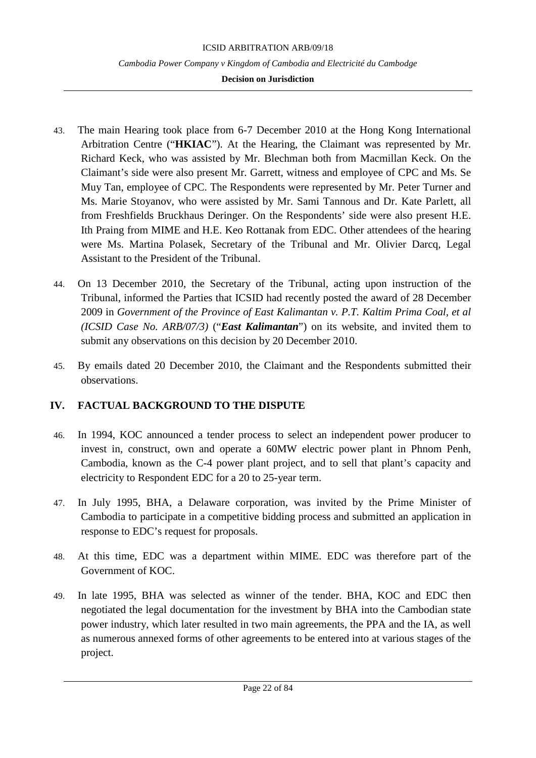- 43. The main Hearing took place from 6-7 December 2010 at the Hong Kong International Arbitration Centre ("**HKIAC**"). At the Hearing, the Claimant was represented by Mr. Richard Keck, who was assisted by Mr. Blechman both from Macmillan Keck. On the Claimant's side were also present Mr. Garrett, witness and employee of CPC and Ms. Se Muy Tan, employee of CPC. The Respondents were represented by Mr. Peter Turner and Ms. Marie Stoyanov, who were assisted by Mr. Sami Tannous and Dr. Kate Parlett, all from Freshfields Bruckhaus Deringer. On the Respondents' side were also present H.E. Ith Praing from MIME and H.E. Keo Rottanak from EDC. Other attendees of the hearing were Ms. Martina Polasek, Secretary of the Tribunal and Mr. Olivier Darcq, Legal Assistant to the President of the Tribunal.
- 44. On 13 December 2010, the Secretary of the Tribunal, acting upon instruction of the Tribunal, informed the Parties that ICSID had recently posted the award of 28 December 2009 in *Government of the Province of East Kalimantan v. P.T. Kaltim Prima Coal, et al (ICSID Case No. ARB/07/3)* ("*East Kalimantan*") on its website, and invited them to submit any observations on this decision by 20 December 2010.
- 45. By emails dated 20 December 2010, the Claimant and the Respondents submitted their observations.

# <span id="page-21-0"></span>**IV. FACTUAL BACKGROUND TO THE DISPUTE**

- 46. In 1994, KOC announced a tender process to select an independent power producer to invest in, construct, own and operate a 60MW electric power plant in Phnom Penh, Cambodia, known as the C-4 power plant project, and to sell that plant's capacity and electricity to Respondent EDC for a 20 to 25-year term.
- 47. In July 1995, BHA, a Delaware corporation, was invited by the Prime Minister of Cambodia to participate in a competitive bidding process and submitted an application in response to EDC's request for proposals.
- 48. At this time, EDC was a department within MIME. EDC was therefore part of the Government of KOC.
- 49. In late 1995, BHA was selected as winner of the tender. BHA, KOC and EDC then negotiated the legal documentation for the investment by BHA into the Cambodian state power industry, which later resulted in two main agreements, the PPA and the IA, as well as numerous annexed forms of other agreements to be entered into at various stages of the project.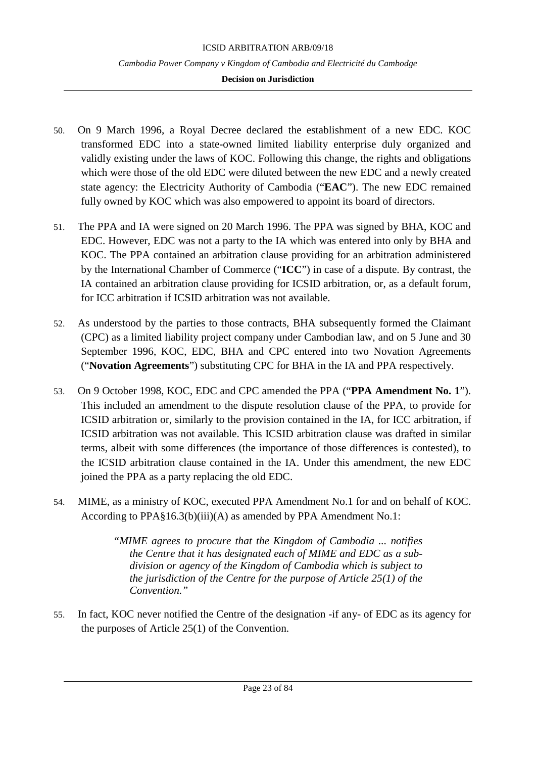- 50. On 9 March 1996, a Royal Decree declared the establishment of a new EDC. KOC transformed EDC into a state-owned limited liability enterprise duly organized and validly existing under the laws of KOC. Following this change, the rights and obligations which were those of the old EDC were diluted between the new EDC and a newly created state agency: the Electricity Authority of Cambodia ("**EAC**"). The new EDC remained fully owned by KOC which was also empowered to appoint its board of directors.
- 51. The PPA and IA were signed on 20 March 1996. The PPA was signed by BHA, KOC and EDC. However, EDC was not a party to the IA which was entered into only by BHA and KOC. The PPA contained an arbitration clause providing for an arbitration administered by the International Chamber of Commerce ("**ICC**") in case of a dispute. By contrast, the IA contained an arbitration clause providing for ICSID arbitration, or, as a default forum, for ICC arbitration if ICSID arbitration was not available.
- 52. As understood by the parties to those contracts, BHA subsequently formed the Claimant (CPC) as a limited liability project company under Cambodian law, and on 5 June and 30 September 1996, KOC, EDC, BHA and CPC entered into two Novation Agreements ("**Novation Agreements**") substituting CPC for BHA in the IA and PPA respectively.
- 53. On 9 October 1998, KOC, EDC and CPC amended the PPA ("**PPA Amendment No. 1**"). This included an amendment to the dispute resolution clause of the PPA, to provide for ICSID arbitration or, similarly to the provision contained in the IA, for ICC arbitration, if ICSID arbitration was not available. This ICSID arbitration clause was drafted in similar terms, albeit with some differences (the importance of those differences is contested), to the ICSID arbitration clause contained in the IA. Under this amendment, the new EDC joined the PPA as a party replacing the old EDC.
- 54. MIME, as a ministry of KOC, executed PPA Amendment No.1 for and on behalf of KOC. According to PPA§16.3(b)(iii)(A) as amended by PPA Amendment No.1:

*"MIME agrees to procure that the Kingdom of Cambodia ... notifies the Centre that it has designated each of MIME and EDC as a subdivision or agency of the Kingdom of Cambodia which is subject to the jurisdiction of the Centre for the purpose of Article 25(1) of the Convention."*

55. In fact, KOC never notified the Centre of the designation -if any- of EDC as its agency for the purposes of Article 25(1) of the Convention.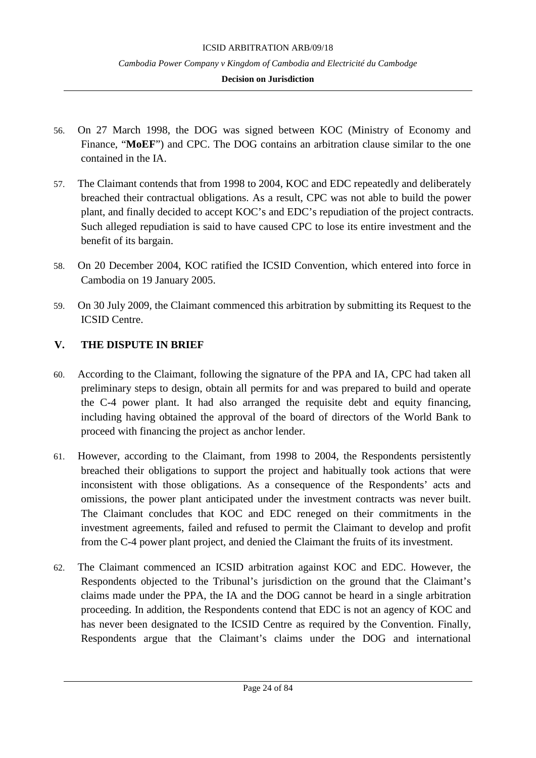## **Decision on Jurisdiction**

- 56. On 27 March 1998, the DOG was signed between KOC (Ministry of Economy and Finance, "**MoEF**") and CPC. The DOG contains an arbitration clause similar to the one contained in the IA.
- 57. The Claimant contends that from 1998 to 2004, KOC and EDC repeatedly and deliberately breached their contractual obligations. As a result, CPC was not able to build the power plant, and finally decided to accept KOC's and EDC's repudiation of the project contracts. Such alleged repudiation is said to have caused CPC to lose its entire investment and the benefit of its bargain.
- 58. On 20 December 2004, KOC ratified the ICSID Convention, which entered into force in Cambodia on 19 January 2005.
- 59. On 30 July 2009, the Claimant commenced this arbitration by submitting its Request to the ICSID Centre.

# <span id="page-23-0"></span>**V. THE DISPUTE IN BRIEF**

- 60. According to the Claimant, following the signature of the PPA and IA, CPC had taken all preliminary steps to design, obtain all permits for and was prepared to build and operate the C-4 power plant. It had also arranged the requisite debt and equity financing, including having obtained the approval of the board of directors of the World Bank to proceed with financing the project as anchor lender.
- 61. However, according to the Claimant, from 1998 to 2004, the Respondents persistently breached their obligations to support the project and habitually took actions that were inconsistent with those obligations. As a consequence of the Respondents' acts and omissions, the power plant anticipated under the investment contracts was never built. The Claimant concludes that KOC and EDC reneged on their commitments in the investment agreements, failed and refused to permit the Claimant to develop and profit from the C-4 power plant project, and denied the Claimant the fruits of its investment.
- 62. The Claimant commenced an ICSID arbitration against KOC and EDC. However, the Respondents objected to the Tribunal's jurisdiction on the ground that the Claimant's claims made under the PPA, the IA and the DOG cannot be heard in a single arbitration proceeding. In addition, the Respondents contend that EDC is not an agency of KOC and has never been designated to the ICSID Centre as required by the Convention. Finally, Respondents argue that the Claimant's claims under the DOG and international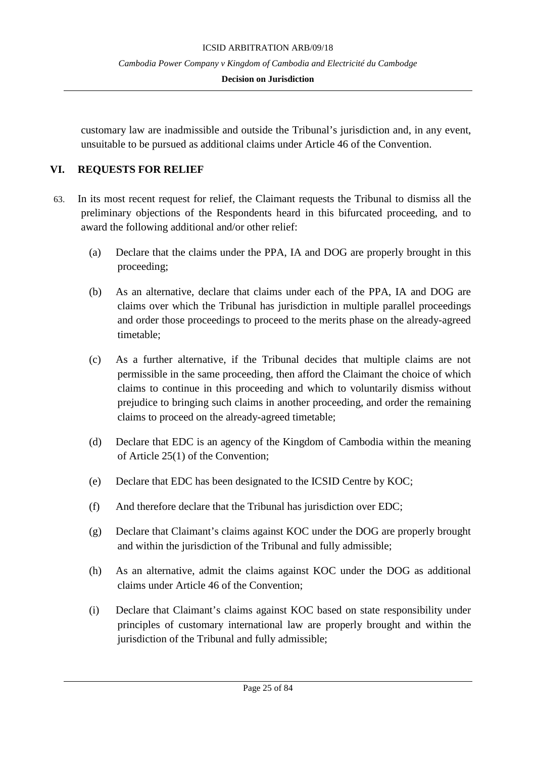### **Decision on Jurisdiction**

customary law are inadmissible and outside the Tribunal's jurisdiction and, in any event, unsuitable to be pursued as additional claims under Article 46 of the Convention.

# <span id="page-24-0"></span>**VI. REQUESTS FOR RELIEF**

- 63. In its most recent request for relief, the Claimant requests the Tribunal to dismiss all the preliminary objections of the Respondents heard in this bifurcated proceeding, and to award the following additional and/or other relief:
	- (a) Declare that the claims under the PPA, IA and DOG are properly brought in this proceeding;
	- (b) As an alternative, declare that claims under each of the PPA, IA and DOG are claims over which the Tribunal has jurisdiction in multiple parallel proceedings and order those proceedings to proceed to the merits phase on the already-agreed timetable;
	- (c) As a further alternative, if the Tribunal decides that multiple claims are not permissible in the same proceeding, then afford the Claimant the choice of which claims to continue in this proceeding and which to voluntarily dismiss without prejudice to bringing such claims in another proceeding, and order the remaining claims to proceed on the already-agreed timetable;
	- (d) Declare that EDC is an agency of the Kingdom of Cambodia within the meaning of Article 25(1) of the Convention;
	- (e) Declare that EDC has been designated to the ICSID Centre by KOC;
	- (f) And therefore declare that the Tribunal has jurisdiction over EDC;
	- (g) Declare that Claimant's claims against KOC under the DOG are properly brought and within the jurisdiction of the Tribunal and fully admissible;
	- (h) As an alternative, admit the claims against KOC under the DOG as additional claims under Article 46 of the Convention;
	- (i) Declare that Claimant's claims against KOC based on state responsibility under principles of customary international law are properly brought and within the jurisdiction of the Tribunal and fully admissible;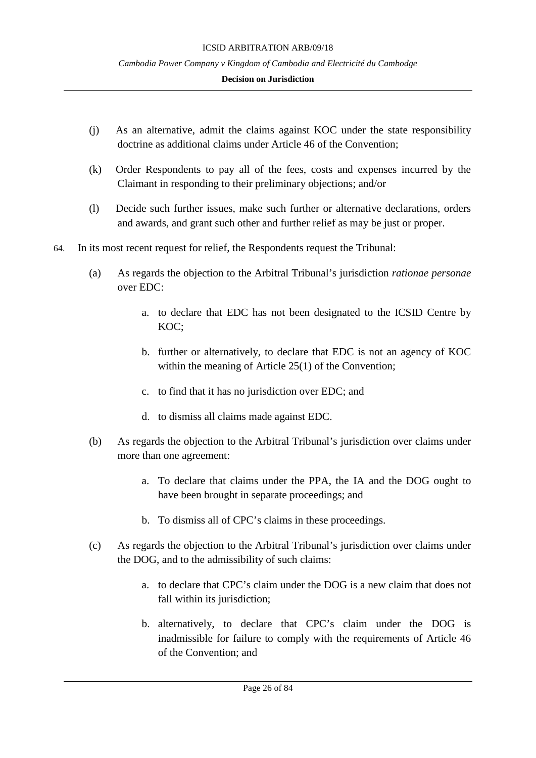- (j) As an alternative, admit the claims against KOC under the state responsibility doctrine as additional claims under Article 46 of the Convention;
- (k) Order Respondents to pay all of the fees, costs and expenses incurred by the Claimant in responding to their preliminary objections; and/or
- (l) Decide such further issues, make such further or alternative declarations, orders and awards, and grant such other and further relief as may be just or proper.
- 64. In its most recent request for relief, the Respondents request the Tribunal:
	- (a) As regards the objection to the Arbitral Tribunal's jurisdiction *rationae personae* over EDC:
		- a. to declare that EDC has not been designated to the ICSID Centre by KOC;
		- b. further or alternatively, to declare that EDC is not an agency of KOC within the meaning of Article 25(1) of the Convention;
		- c. to find that it has no jurisdiction over EDC; and
		- d. to dismiss all claims made against EDC.
	- (b) As regards the objection to the Arbitral Tribunal's jurisdiction over claims under more than one agreement:
		- a. To declare that claims under the PPA, the IA and the DOG ought to have been brought in separate proceedings; and
		- b. To dismiss all of CPC's claims in these proceedings.
	- (c) As regards the objection to the Arbitral Tribunal's jurisdiction over claims under the DOG, and to the admissibility of such claims:
		- a. to declare that CPC's claim under the DOG is a new claim that does not fall within its jurisdiction;
		- b. alternatively, to declare that CPC's claim under the DOG is inadmissible for failure to comply with the requirements of Article 46 of the Convention; and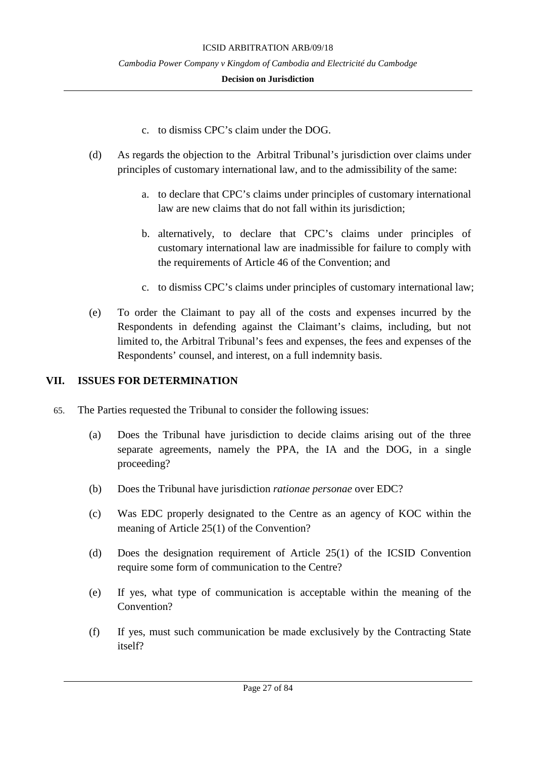- c. to dismiss CPC's claim under the DOG.
- (d) As regards the objection to the Arbitral Tribunal's jurisdiction over claims under principles of customary international law, and to the admissibility of the same:
	- a. to declare that CPC's claims under principles of customary international law are new claims that do not fall within its jurisdiction;
	- b. alternatively, to declare that CPC's claims under principles of customary international law are inadmissible for failure to comply with the requirements of Article 46 of the Convention; and
	- c. to dismiss CPC's claims under principles of customary international law;
- (e) To order the Claimant to pay all of the costs and expenses incurred by the Respondents in defending against the Claimant's claims, including, but not limited to, the Arbitral Tribunal's fees and expenses, the fees and expenses of the Respondents' counsel, and interest, on a full indemnity basis.

# <span id="page-26-0"></span>**VII. ISSUES FOR DETERMINATION**

- 65. The Parties requested the Tribunal to consider the following issues:
	- (a) Does the Tribunal have jurisdiction to decide claims arising out of the three separate agreements, namely the PPA, the IA and the DOG, in a single proceeding?
	- (b) Does the Tribunal have jurisdiction *rationae personae* over EDC?
	- (c) Was EDC properly designated to the Centre as an agency of KOC within the meaning of Article 25(1) of the Convention?
	- (d) Does the designation requirement of Article 25(1) of the ICSID Convention require some form of communication to the Centre?
	- (e) If yes, what type of communication is acceptable within the meaning of the Convention?
	- (f) If yes, must such communication be made exclusively by the Contracting State itself?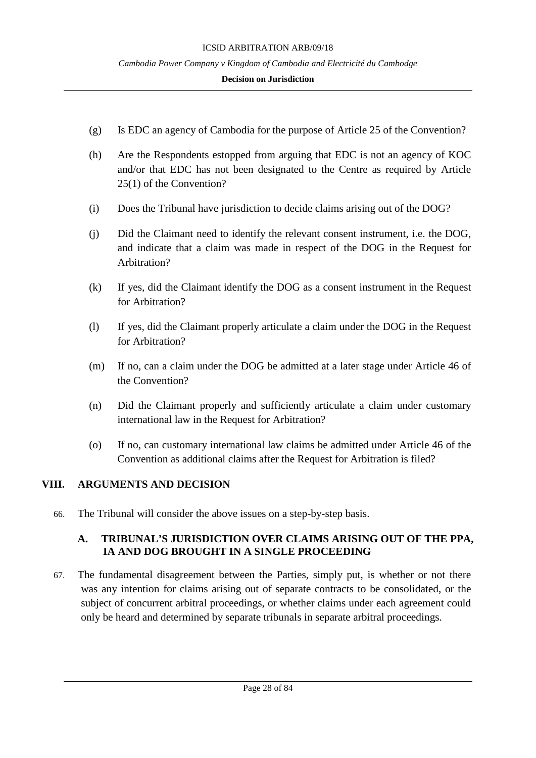### **Decision on Jurisdiction**

- (g) Is EDC an agency of Cambodia for the purpose of Article 25 of the Convention?
- (h) Are the Respondents estopped from arguing that EDC is not an agency of KOC and/or that EDC has not been designated to the Centre as required by Article 25(1) of the Convention?
- (i) Does the Tribunal have jurisdiction to decide claims arising out of the DOG?
- (j) Did the Claimant need to identify the relevant consent instrument, i.e. the DOG, and indicate that a claim was made in respect of the DOG in the Request for Arbitration?
- (k) If yes, did the Claimant identify the DOG as a consent instrument in the Request for Arbitration?
- (l) If yes, did the Claimant properly articulate a claim under the DOG in the Request for Arbitration?
- (m) If no, can a claim under the DOG be admitted at a later stage under Article 46 of the Convention?
- (n) Did the Claimant properly and sufficiently articulate a claim under customary international law in the Request for Arbitration?
- (o) If no, can customary international law claims be admitted under Article 46 of the Convention as additional claims after the Request for Arbitration is filed?

# <span id="page-27-0"></span>**VIII. ARGUMENTS AND DECISION**

66. The Tribunal will consider the above issues on a step-by-step basis.

# <span id="page-27-1"></span>**A. TRIBUNAL'S JURISDICTION OVER CLAIMS ARISING OUT OF THE PPA, IA AND DOG BROUGHT IN A SINGLE PROCEEDING**

67. The fundamental disagreement between the Parties, simply put, is whether or not there was any intention for claims arising out of separate contracts to be consolidated, or the subject of concurrent arbitral proceedings, or whether claims under each agreement could only be heard and determined by separate tribunals in separate arbitral proceedings.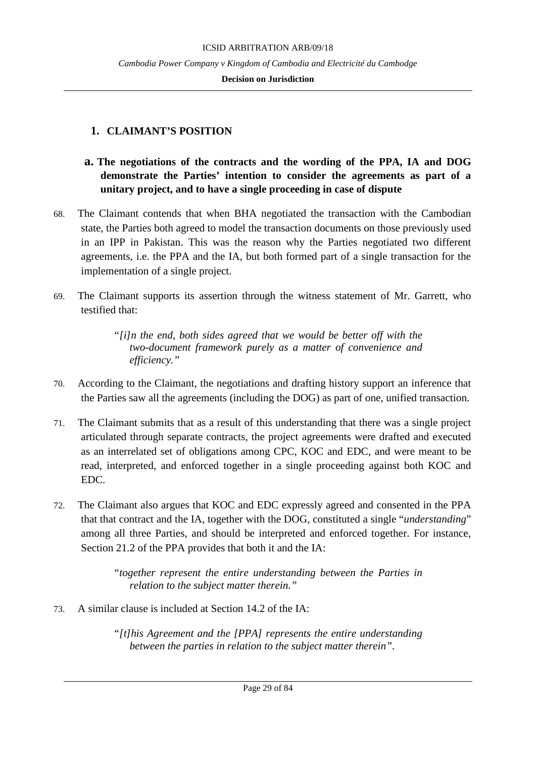#### **Decision on Jurisdiction**

# <span id="page-28-0"></span>**1. CLAIMANT'S POSITION**

# <span id="page-28-1"></span>**a. The negotiations of the contracts and the wording of the PPA, IA and DOG demonstrate the Parties' intention to consider the agreements as part of a unitary project, and to have a single proceeding in case of dispute**

- 68. The Claimant contends that when BHA negotiated the transaction with the Cambodian state, the Parties both agreed to model the transaction documents on those previously used in an IPP in Pakistan. This was the reason why the Parties negotiated two different agreements, i.e. the PPA and the IA, but both formed part of a single transaction for the implementation of a single project.
- 69. The Claimant supports its assertion through the witness statement of Mr. Garrett, who testified that:

*"[i]n the end, both sides agreed that we would be better off with the two-document framework purely as a matter of convenience and efficiency."*

- 70. According to the Claimant, the negotiations and drafting history support an inference that the Parties saw all the agreements (including the DOG) as part of one, unified transaction.
- 71. The Claimant submits that as a result of this understanding that there was a single project articulated through separate contracts, the project agreements were drafted and executed as an interrelated set of obligations among CPC, KOC and EDC, and were meant to be read, interpreted, and enforced together in a single proceeding against both KOC and EDC.
- 72. The Claimant also argues that KOC and EDC expressly agreed and consented in the PPA that that contract and the IA, together with the DOG, constituted a single "*understanding*" among all three Parties, and should be interpreted and enforced together. For instance, Section 21.2 of the PPA provides that both it and the IA:

*"together represent the entire understanding between the Parties in relation to the subject matter therein."*

73. A similar clause is included at Section 14.2 of the IA:

*"[t]his Agreement and the [PPA] represents the entire understanding between the parties in relation to the subject matter therein".*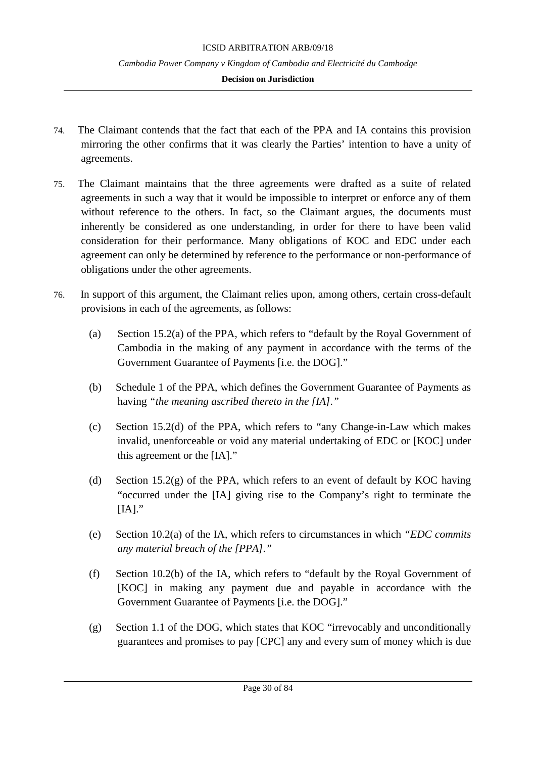- 74. The Claimant contends that the fact that each of the PPA and IA contains this provision mirroring the other confirms that it was clearly the Parties' intention to have a unity of agreements.
- 75. The Claimant maintains that the three agreements were drafted as a suite of related agreements in such a way that it would be impossible to interpret or enforce any of them without reference to the others. In fact, so the Claimant argues, the documents must inherently be considered as one understanding, in order for there to have been valid consideration for their performance. Many obligations of KOC and EDC under each agreement can only be determined by reference to the performance or non-performance of obligations under the other agreements.
- 76. In support of this argument, the Claimant relies upon, among others, certain cross-default provisions in each of the agreements, as follows:
	- (a) Section 15.2(a) of the PPA, which refers to "default by the Royal Government of Cambodia in the making of any payment in accordance with the terms of the Government Guarantee of Payments [i.e. the DOG]."
	- (b) Schedule 1 of the PPA, which defines the Government Guarantee of Payments as having *"the meaning ascribed thereto in the [IA]."*
	- (c) Section 15.2(d) of the PPA, which refers to "any Change-in-Law which makes invalid, unenforceable or void any material undertaking of EDC or [KOC] under this agreement or the [IA]."
	- (d) Section 15.2(g) of the PPA, which refers to an event of default by KOC having "occurred under the [IA] giving rise to the Company's right to terminate the  $[IA]$ ."
	- (e) Section 10.2(a) of the IA, which refers to circumstances in which *"EDC commits any material breach of the [PPA]."*
	- (f) Section 10.2(b) of the IA, which refers to "default by the Royal Government of [KOC] in making any payment due and payable in accordance with the Government Guarantee of Payments [i.e. the DOG]."
	- (g) Section 1.1 of the DOG, which states that KOC "irrevocably and unconditionally guarantees and promises to pay [CPC] any and every sum of money which is due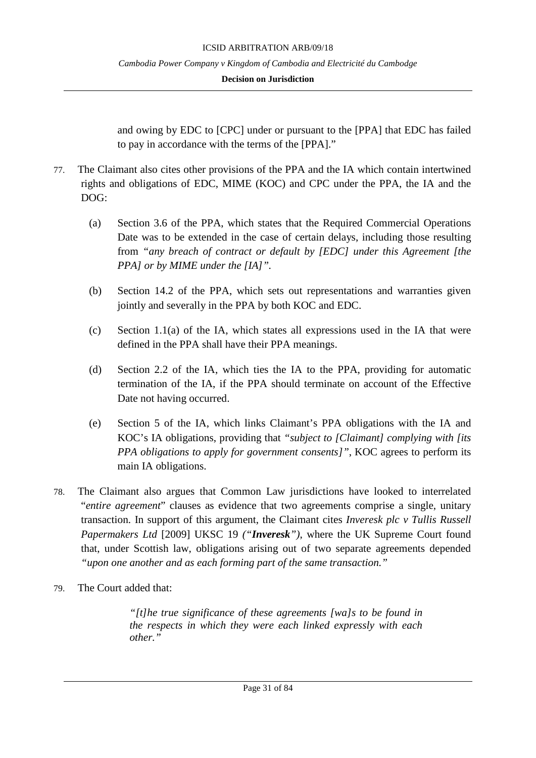and owing by EDC to [CPC] under or pursuant to the [PPA] that EDC has failed to pay in accordance with the terms of the [PPA]."

- 77. The Claimant also cites other provisions of the PPA and the IA which contain intertwined rights and obligations of EDC, MIME (KOC) and CPC under the PPA, the IA and the DOG:
	- (a) Section 3.6 of the PPA, which states that the Required Commercial Operations Date was to be extended in the case of certain delays, including those resulting from *"any breach of contract or default by [EDC] under this Agreement [the PPA] or by MIME under the [IA]".*
	- (b) Section 14.2 of the PPA, which sets out representations and warranties given jointly and severally in the PPA by both KOC and EDC.
	- (c) Section 1.1(a) of the IA, which states all expressions used in the IA that were defined in the PPA shall have their PPA meanings.
	- (d) Section 2.2 of the IA, which ties the IA to the PPA, providing for automatic termination of the IA, if the PPA should terminate on account of the Effective Date not having occurred.
	- (e) Section 5 of the IA, which links Claimant's PPA obligations with the IA and KOC's IA obligations, providing that *"subject to [Claimant] complying with [its PPA obligations to apply for government consents]"*, KOC agrees to perform its main IA obligations.
- 78. The Claimant also argues that Common Law jurisdictions have looked to interrelated "*entire agreement*" clauses as evidence that two agreements comprise a single, unitary transaction. In support of this argument, the Claimant cites *Inveresk plc v Tullis Russell Papermakers Ltd* [2009] UKSC 19 *("Inveresk")*, where the UK Supreme Court found that, under Scottish law, obligations arising out of two separate agreements depended *"upon one another and as each forming part of the same transaction."*
- 79. The Court added that:

*"[t]he true significance of these agreements [wa]s to be found in the respects in which they were each linked expressly with each other."*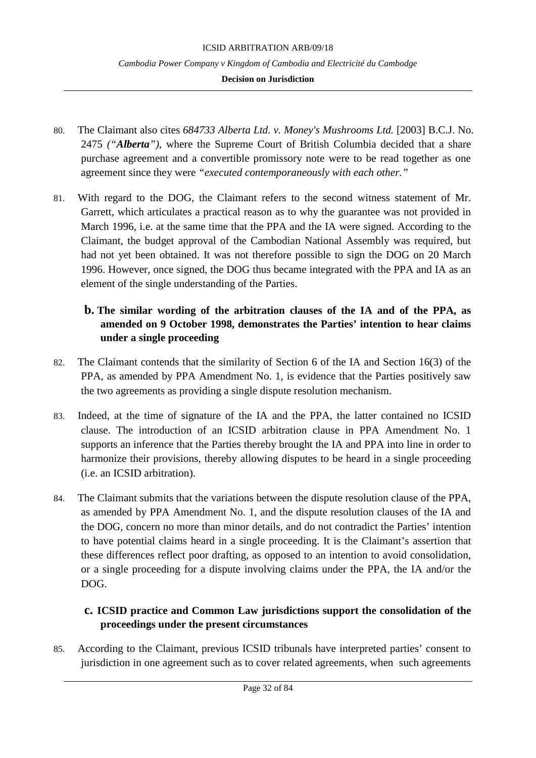## **Decision on Jurisdiction**

- 80. The Claimant also cites *684733 Alberta Ltd. v. Money's Mushrooms Ltd.* [2003] B.C.J. No. 2475 *("Alberta")*, where the Supreme Court of British Columbia decided that a share purchase agreement and a convertible promissory note were to be read together as one agreement since they were *"executed contemporaneously with each other."*
- 81. With regard to the DOG, the Claimant refers to the second witness statement of Mr. Garrett, which articulates a practical reason as to why the guarantee was not provided in March 1996, i.e. at the same time that the PPA and the IA were signed. According to the Claimant, the budget approval of the Cambodian National Assembly was required, but had not yet been obtained. It was not therefore possible to sign the DOG on 20 March 1996. However, once signed, the DOG thus became integrated with the PPA and IA as an element of the single understanding of the Parties.

# <span id="page-31-0"></span>**b. The similar wording of the arbitration clauses of the IA and of the PPA, as amended on 9 October 1998, demonstrates the Parties' intention to hear claims under a single proceeding**

- 82. The Claimant contends that the similarity of Section 6 of the IA and Section 16(3) of the PPA, as amended by PPA Amendment No. 1, is evidence that the Parties positively saw the two agreements as providing a single dispute resolution mechanism.
- 83. Indeed, at the time of signature of the IA and the PPA, the latter contained no ICSID clause. The introduction of an ICSID arbitration clause in PPA Amendment No. 1 supports an inference that the Parties thereby brought the IA and PPA into line in order to harmonize their provisions, thereby allowing disputes to be heard in a single proceeding (i.e. an ICSID arbitration).
- 84. The Claimant submits that the variations between the dispute resolution clause of the PPA, as amended by PPA Amendment No. 1, and the dispute resolution clauses of the IA and the DOG, concern no more than minor details, and do not contradict the Parties' intention to have potential claims heard in a single proceeding. It is the Claimant's assertion that these differences reflect poor drafting, as opposed to an intention to avoid consolidation, or a single proceeding for a dispute involving claims under the PPA, the IA and/or the DOG.

# <span id="page-31-1"></span>**c. ICSID practice and Common Law jurisdictions support the consolidation of the proceedings under the present circumstances**

85. According to the Claimant, previous ICSID tribunals have interpreted parties' consent to jurisdiction in one agreement such as to cover related agreements, when such agreements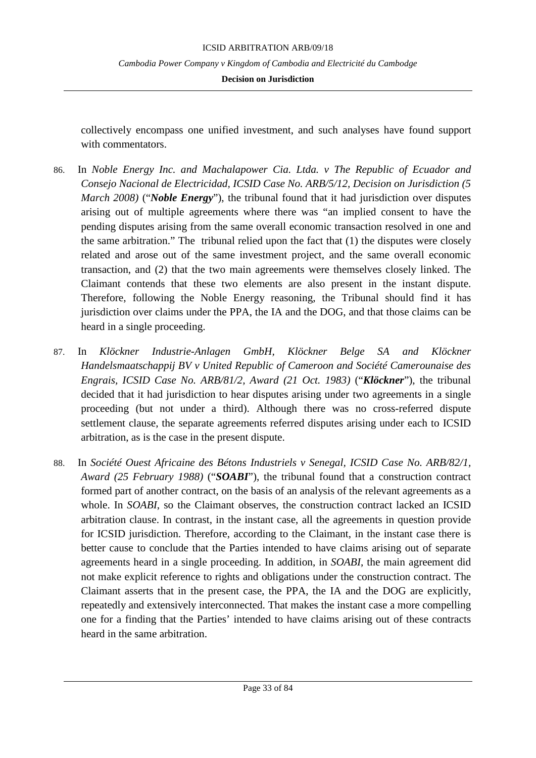## **Decision on Jurisdiction**

collectively encompass one unified investment, and such analyses have found support with commentators.

- 86. In *Noble Energy Inc. and Machalapower Cia. Ltda. v The Republic of Ecuador and Consejo Nacional de Electricidad, ICSID Case No. ARB/5/12, Decision on Jurisdiction (5 March 2008)* ("*Noble Energy*"), the tribunal found that it had jurisdiction over disputes arising out of multiple agreements where there was "an implied consent to have the pending disputes arising from the same overall economic transaction resolved in one and the same arbitration." The tribunal relied upon the fact that (1) the disputes were closely related and arose out of the same investment project, and the same overall economic transaction, and (2) that the two main agreements were themselves closely linked. The Claimant contends that these two elements are also present in the instant dispute. Therefore, following the Noble Energy reasoning, the Tribunal should find it has jurisdiction over claims under the PPA, the IA and the DOG, and that those claims can be heard in a single proceeding.
- 87. In *Klöckner Industrie-Anlagen GmbH, Klöckner Belge SA and Klöckner Handelsmaatschappij BV v United Republic of Cameroon and Société Camerounaise des Engrais, ICSID Case No. ARB/81/2, Award (21 Oct. 1983)* ("*Klöckner*"), the tribunal decided that it had jurisdiction to hear disputes arising under two agreements in a single proceeding (but not under a third). Although there was no cross-referred dispute settlement clause, the separate agreements referred disputes arising under each to ICSID arbitration, as is the case in the present dispute.
- 88. In *Société Ouest Africaine des Bétons Industriels v Senegal, ICSID Case No. ARB/82/1, Award (25 February 1988)* ("*SOABI*"), the tribunal found that a construction contract formed part of another contract, on the basis of an analysis of the relevant agreements as a whole. In *SOABI*, so the Claimant observes, the construction contract lacked an ICSID arbitration clause. In contrast, in the instant case, all the agreements in question provide for ICSID jurisdiction. Therefore, according to the Claimant, in the instant case there is better cause to conclude that the Parties intended to have claims arising out of separate agreements heard in a single proceeding. In addition, in *SOABI*, the main agreement did not make explicit reference to rights and obligations under the construction contract. The Claimant asserts that in the present case, the PPA, the IA and the DOG are explicitly, repeatedly and extensively interconnected. That makes the instant case a more compelling one for a finding that the Parties' intended to have claims arising out of these contracts heard in the same arbitration.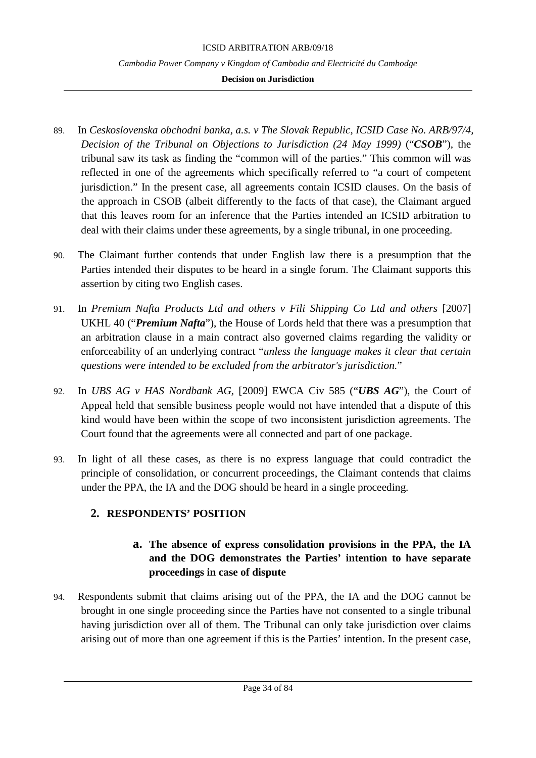## **Decision on Jurisdiction**

- 89. In *Ceskoslovenska obchodni banka, a.s. v The Slovak Republic, ICSID Case No. ARB/97/4, Decision of the Tribunal on Objections to Jurisdiction (24 May 1999)* ("*CSOB*"), the tribunal saw its task as finding the "common will of the parties." This common will was reflected in one of the agreements which specifically referred to "a court of competent jurisdiction." In the present case, all agreements contain ICSID clauses. On the basis of the approach in CSOB (albeit differently to the facts of that case), the Claimant argued that this leaves room for an inference that the Parties intended an ICSID arbitration to deal with their claims under these agreements, by a single tribunal, in one proceeding.
- 90. The Claimant further contends that under English law there is a presumption that the Parties intended their disputes to be heard in a single forum. The Claimant supports this assertion by citing two English cases.
- 91. In Premium Nafta Products Ltd and others v Fili Shipping Co Ltd and others [2007] UKHL 40 ("*Premium Nafta*"), the House of Lords held that there was a presumption that an arbitration clause in a main contract also governed claims regarding the validity or enforceability of an underlying contract "*unless the language makes it clear that certain questions were intended to be excluded from the arbitrator's jurisdiction.*"
- 92. In *UBS AG v HAS Nordbank AG,* [2009] EWCA Civ 585 ("*UBS AG*"), the Court of Appeal held that sensible business people would not have intended that a dispute of this kind would have been within the scope of two inconsistent jurisdiction agreements. The Court found that the agreements were all connected and part of one package.
- 93. In light of all these cases, as there is no express language that could contradict the principle of consolidation, or concurrent proceedings, the Claimant contends that claims under the PPA, the IA and the DOG should be heard in a single proceeding.

# <span id="page-33-1"></span><span id="page-33-0"></span>**2. RESPONDENTS' POSITION**

# **a. The absence of express consolidation provisions in the PPA, the IA and the DOG demonstrates the Parties' intention to have separate proceedings in case of dispute**

94. Respondents submit that claims arising out of the PPA, the IA and the DOG cannot be brought in one single proceeding since the Parties have not consented to a single tribunal having jurisdiction over all of them. The Tribunal can only take jurisdiction over claims arising out of more than one agreement if this is the Parties' intention. In the present case,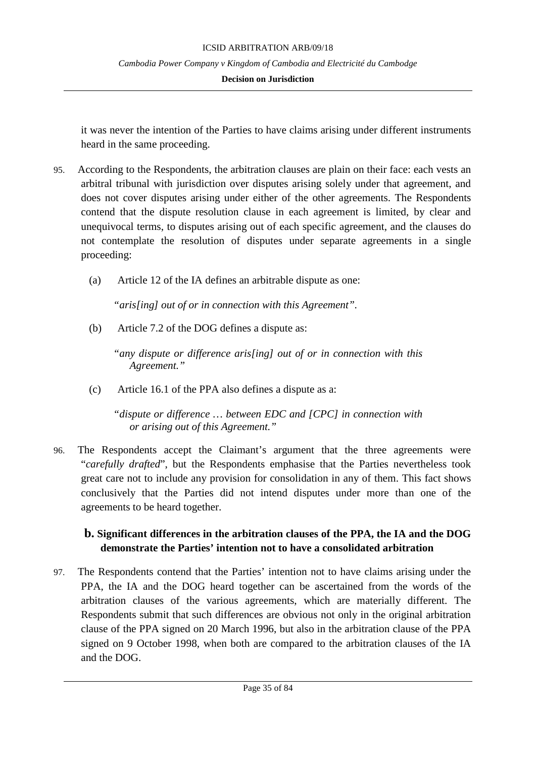## **Decision on Jurisdiction**

it was never the intention of the Parties to have claims arising under different instruments heard in the same proceeding.

- 95. According to the Respondents, the arbitration clauses are plain on their face: each vests an arbitral tribunal with jurisdiction over disputes arising solely under that agreement, and does not cover disputes arising under either of the other agreements. The Respondents contend that the dispute resolution clause in each agreement is limited, by clear and unequivocal terms, to disputes arising out of each specific agreement, and the clauses do not contemplate the resolution of disputes under separate agreements in a single proceeding:
	- (a) Article 12 of the IA defines an arbitrable dispute as one:

*"aris[ing] out of or in connection with this Agreement".*

(b) Article 7.2 of the DOG defines a dispute as:

*"any dispute or difference aris[ing] out of or in connection with this Agreement."*

(c) Article 16.1 of the PPA also defines a dispute as a:

*"dispute or difference … between EDC and [CPC] in connection with or arising out of this Agreement."*

96. The Respondents accept the Claimant's argument that the three agreements were "*carefully drafted*", but the Respondents emphasise that the Parties nevertheless took great care not to include any provision for consolidation in any of them. This fact shows conclusively that the Parties did not intend disputes under more than one of the agreements to be heard together.

# <span id="page-34-0"></span>**b. Significant differences in the arbitration clauses of the PPA, the IA and the DOG demonstrate the Parties' intention not to have a consolidated arbitration**

97. The Respondents contend that the Parties' intention not to have claims arising under the PPA, the IA and the DOG heard together can be ascertained from the words of the arbitration clauses of the various agreements, which are materially different. The Respondents submit that such differences are obvious not only in the original arbitration clause of the PPA signed on 20 March 1996, but also in the arbitration clause of the PPA signed on 9 October 1998, when both are compared to the arbitration clauses of the IA and the DOG.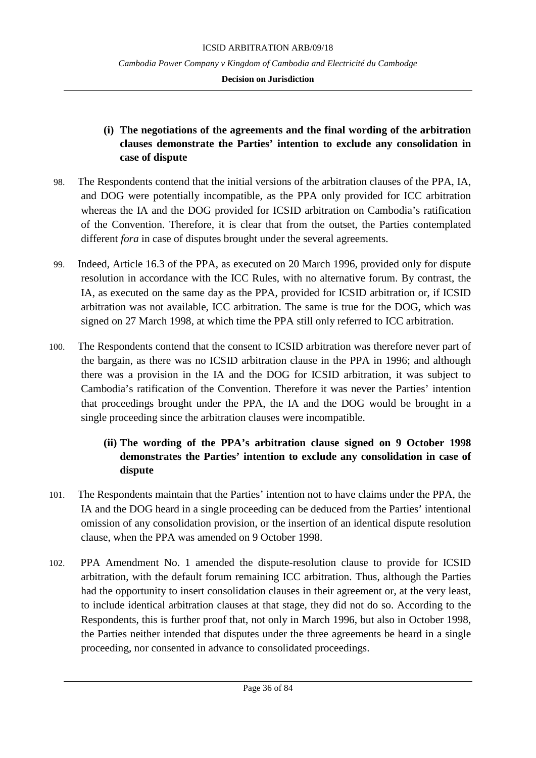## **Decision on Jurisdiction**

# **(i) The negotiations of the agreements and the final wording of the arbitration clauses demonstrate the Parties' intention to exclude any consolidation in case of dispute**

- 98. The Respondents contend that the initial versions of the arbitration clauses of the PPA, IA, and DOG were potentially incompatible, as the PPA only provided for ICC arbitration whereas the IA and the DOG provided for ICSID arbitration on Cambodia's ratification of the Convention. Therefore, it is clear that from the outset, the Parties contemplated different *fora* in case of disputes brought under the several agreements.
- 99. Indeed, Article 16.3 of the PPA, as executed on 20 March 1996, provided only for dispute resolution in accordance with the ICC Rules, with no alternative forum. By contrast, the IA, as executed on the same day as the PPA, provided for ICSID arbitration or, if ICSID arbitration was not available, ICC arbitration. The same is true for the DOG, which was signed on 27 March 1998, at which time the PPA still only referred to ICC arbitration.
- 100. The Respondents contend that the consent to ICSID arbitration was therefore never part of the bargain, as there was no ICSID arbitration clause in the PPA in 1996; and although there was a provision in the IA and the DOG for ICSID arbitration, it was subject to Cambodia's ratification of the Convention. Therefore it was never the Parties' intention that proceedings brought under the PPA, the IA and the DOG would be brought in a single proceeding since the arbitration clauses were incompatible.

# **(ii) The wording of the PPA's arbitration clause signed on 9 October 1998 demonstrates the Parties' intention to exclude any consolidation in case of dispute**

- 101. The Respondents maintain that the Parties' intention not to have claims under the PPA, the IA and the DOG heard in a single proceeding can be deduced from the Parties' intentional omission of any consolidation provision, or the insertion of an identical dispute resolution clause, when the PPA was amended on 9 October 1998.
- 102. PPA Amendment No. 1 amended the dispute-resolution clause to provide for ICSID arbitration, with the default forum remaining ICC arbitration. Thus, although the Parties had the opportunity to insert consolidation clauses in their agreement or, at the very least, to include identical arbitration clauses at that stage, they did not do so. According to the Respondents, this is further proof that, not only in March 1996, but also in October 1998, the Parties neither intended that disputes under the three agreements be heard in a single proceeding, nor consented in advance to consolidated proceedings.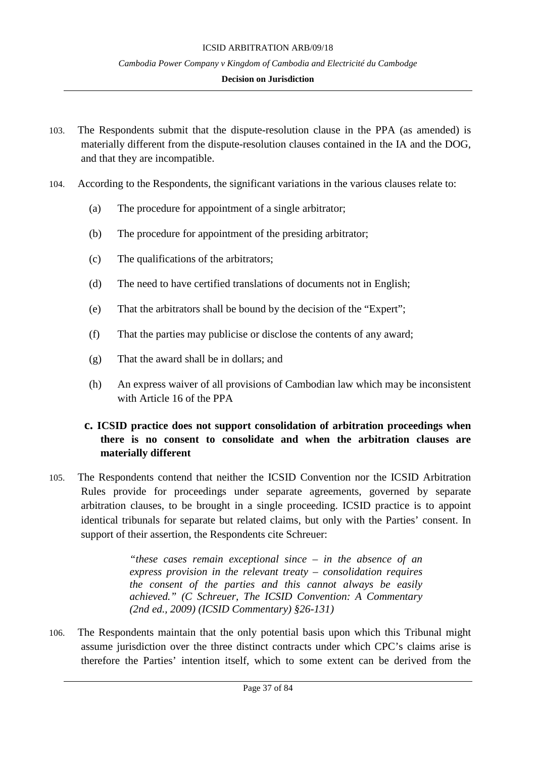#### ICSID ARBITRATION ARB/09/18

#### *Cambodia Power Company v Kingdom of Cambodia and Electricité du Cambodge*

### **Decision on Jurisdiction**

- 103. The Respondents submit that the dispute-resolution clause in the PPA (as amended) is materially different from the dispute-resolution clauses contained in the IA and the DOG, and that they are incompatible.
- 104. According to the Respondents, the significant variations in the various clauses relate to:
	- (a) The procedure for appointment of a single arbitrator;
	- (b) The procedure for appointment of the presiding arbitrator;
	- (c) The qualifications of the arbitrators;
	- (d) The need to have certified translations of documents not in English;
	- (e) That the arbitrators shall be bound by the decision of the "Expert";
	- (f) That the parties may publicise or disclose the contents of any award;
	- (g) That the award shall be in dollars; and
	- (h) An express waiver of all provisions of Cambodian law which may be inconsistent with Article 16 of the PPA

# **c. ICSID practice does not support consolidation of arbitration proceedings when there is no consent to consolidate and when the arbitration clauses are materially different**

105. The Respondents contend that neither the ICSID Convention nor the ICSID Arbitration Rules provide for proceedings under separate agreements, governed by separate arbitration clauses, to be brought in a single proceeding. ICSID practice is to appoint identical tribunals for separate but related claims, but only with the Parties' consent. In support of their assertion, the Respondents cite Schreuer:

> *"these cases remain exceptional since – in the absence of an express provision in the relevant treaty – consolidation requires the consent of the parties and this cannot always be easily achieved." (C Schreuer, The ICSID Convention: A Commentary (2nd ed., 2009) (ICSID Commentary) §26-131)*

106. The Respondents maintain that the only potential basis upon which this Tribunal might assume jurisdiction over the three distinct contracts under which CPC's claims arise is therefore the Parties' intention itself, which to some extent can be derived from the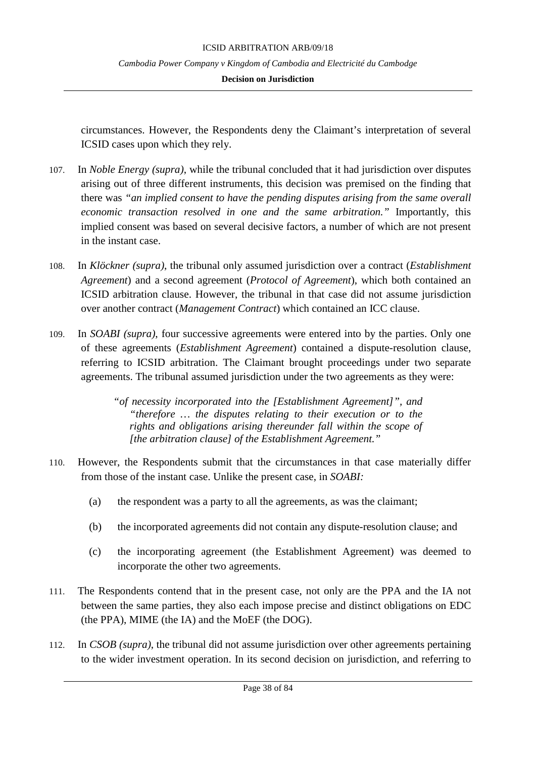### **Decision on Jurisdiction**

circumstances. However, the Respondents deny the Claimant's interpretation of several ICSID cases upon which they rely.

- 107. In *Noble Energy (supra)*, while the tribunal concluded that it had jurisdiction over disputes arising out of three different instruments, this decision was premised on the finding that there was *"an implied consent to have the pending disputes arising from the same overall economic transaction resolved in one and the same arbitration."* Importantly, this implied consent was based on several decisive factors, a number of which are not present in the instant case.
- 108. In *Klöckner (supra)*, the tribunal only assumed jurisdiction over a contract (*Establishment Agreement*) and a second agreement (*Protocol of Agreement*), which both contained an ICSID arbitration clause. However, the tribunal in that case did not assume jurisdiction over another contract (*Management Contract*) which contained an ICC clause.
- 109. In *SOABI (supra)*, four successive agreements were entered into by the parties. Only one of these agreements (*Establishment Agreement*) contained a dispute-resolution clause, referring to ICSID arbitration. The Claimant brought proceedings under two separate agreements. The tribunal assumed jurisdiction under the two agreements as they were:

*"of necessity incorporated into the [Establishment Agreement]", and "therefore … the disputes relating to their execution or to the rights and obligations arising thereunder fall within the scope of [the arbitration clause] of the Establishment Agreement."*

- 110. However, the Respondents submit that the circumstances in that case materially differ from those of the instant case. Unlike the present case, in *SOABI:*
	- (a) the respondent was a party to all the agreements, as was the claimant;
	- (b) the incorporated agreements did not contain any dispute-resolution clause; and
	- (c) the incorporating agreement (the Establishment Agreement) was deemed to incorporate the other two agreements.
- 111. The Respondents contend that in the present case, not only are the PPA and the IA not between the same parties, they also each impose precise and distinct obligations on EDC (the PPA), MIME (the IA) and the MoEF (the DOG).
- 112. In *CSOB (supra)*, the tribunal did not assume jurisdiction over other agreements pertaining to the wider investment operation. In its second decision on jurisdiction, and referring to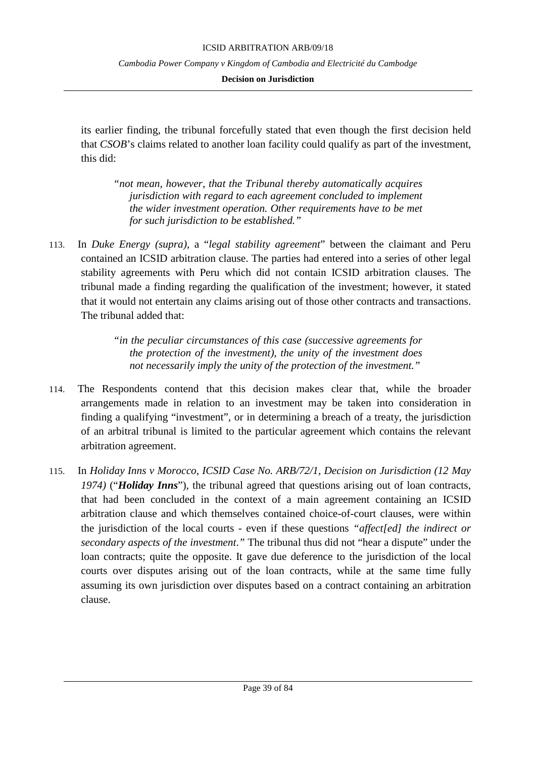#### ICSID ARBITRATION ARB/09/18

*Cambodia Power Company v Kingdom of Cambodia and Electricité du Cambodge*

### **Decision on Jurisdiction**

its earlier finding, the tribunal forcefully stated that even though the first decision held that *CSOB*'s claims related to another loan facility could qualify as part of the investment, this did:

*"not mean, however, that the Tribunal thereby automatically acquires jurisdiction with regard to each agreement concluded to implement the wider investment operation. Other requirements have to be met for such jurisdiction to be established."*

113. In *Duke Energy (supra)*, a "*legal stability agreement*" between the claimant and Peru contained an ICSID arbitration clause. The parties had entered into a series of other legal stability agreements with Peru which did not contain ICSID arbitration clauses. The tribunal made a finding regarding the qualification of the investment; however, it stated that it would not entertain any claims arising out of those other contracts and transactions. The tribunal added that:

> *"in the peculiar circumstances of this case (successive agreements for the protection of the investment), the unity of the investment does not necessarily imply the unity of the protection of the investment."*

- 114. The Respondents contend that this decision makes clear that, while the broader arrangements made in relation to an investment may be taken into consideration in finding a qualifying "investment", or in determining a breach of a treaty, the jurisdiction of an arbitral tribunal is limited to the particular agreement which contains the relevant arbitration agreement.
- 115. In *Holiday Inns v Morocco, ICSID Case No. ARB/72/1, Decision on Jurisdiction (12 May 1974)* ("*Holiday Inns*"), the tribunal agreed that questions arising out of loan contracts, that had been concluded in the context of a main agreement containing an ICSID arbitration clause and which themselves contained choice-of-court clauses, were within the jurisdiction of the local courts - even if these questions *"affect[ed] the indirect or secondary aspects of the investment*.*"* The tribunal thus did not "hear a dispute" under the loan contracts; quite the opposite. It gave due deference to the jurisdiction of the local courts over disputes arising out of the loan contracts, while at the same time fully assuming its own jurisdiction over disputes based on a contract containing an arbitration clause.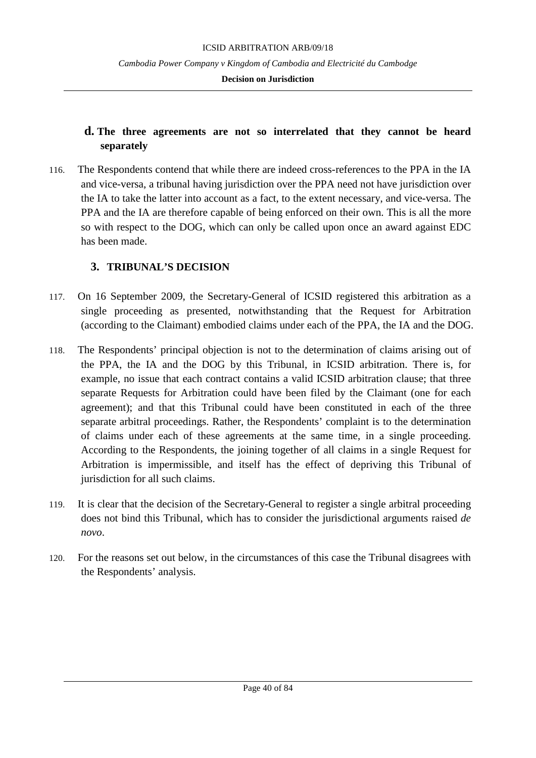### **Decision on Jurisdiction**

### **d. The three agreements are not so interrelated that they cannot be heard separately**

116. The Respondents contend that while there are indeed cross-references to the PPA in the IA and vice-versa, a tribunal having jurisdiction over the PPA need not have jurisdiction over the IA to take the latter into account as a fact, to the extent necessary, and vice-versa. The PPA and the IA are therefore capable of being enforced on their own. This is all the more so with respect to the DOG, which can only be called upon once an award against EDC has been made.

### **3. TRIBUNAL'S DECISION**

- 117. On 16 September 2009, the Secretary-General of ICSID registered this arbitration as a single proceeding as presented, notwithstanding that the Request for Arbitration (according to the Claimant) embodied claims under each of the PPA, the IA and the DOG.
- 118. The Respondents' principal objection is not to the determination of claims arising out of the PPA, the IA and the DOG by this Tribunal, in ICSID arbitration. There is, for example, no issue that each contract contains a valid ICSID arbitration clause; that three separate Requests for Arbitration could have been filed by the Claimant (one for each agreement); and that this Tribunal could have been constituted in each of the three separate arbitral proceedings. Rather, the Respondents' complaint is to the determination of claims under each of these agreements at the same time, in a single proceeding. According to the Respondents, the joining together of all claims in a single Request for Arbitration is impermissible, and itself has the effect of depriving this Tribunal of jurisdiction for all such claims.
- 119. It is clear that the decision of the Secretary-General to register a single arbitral proceeding does not bind this Tribunal, which has to consider the jurisdictional arguments raised *de novo*.
- 120. For the reasons set out below, in the circumstances of this case the Tribunal disagrees with the Respondents' analysis.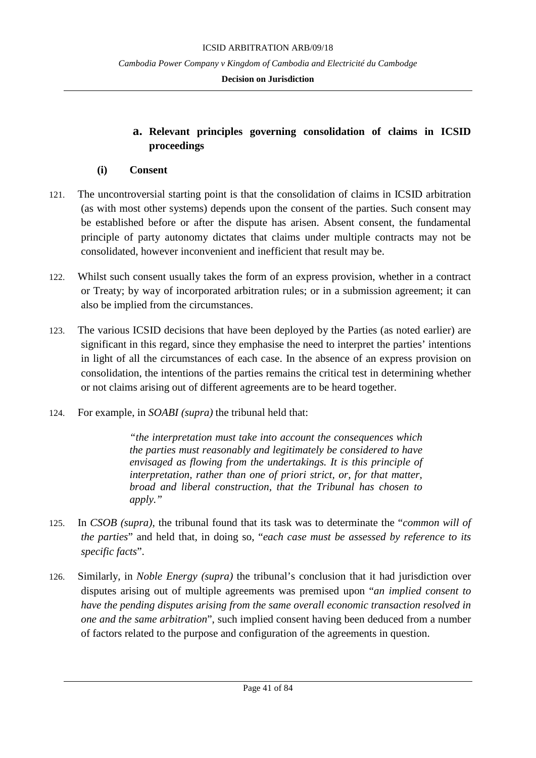### **Decision on Jurisdiction**

# **a. Relevant principles governing consolidation of claims in ICSID proceedings**

### **(i) Consent**

- 121. The uncontroversial starting point is that the consolidation of claims in ICSID arbitration (as with most other systems) depends upon the consent of the parties. Such consent may be established before or after the dispute has arisen. Absent consent, the fundamental principle of party autonomy dictates that claims under multiple contracts may not be consolidated, however inconvenient and inefficient that result may be.
- 122. Whilst such consent usually takes the form of an express provision, whether in a contract or Treaty; by way of incorporated arbitration rules; or in a submission agreement; it can also be implied from the circumstances.
- 123. The various ICSID decisions that have been deployed by the Parties (as noted earlier) are significant in this regard, since they emphasise the need to interpret the parties' intentions in light of all the circumstances of each case. In the absence of an express provision on consolidation, the intentions of the parties remains the critical test in determining whether or not claims arising out of different agreements are to be heard together.
- 124. For example, in *SOABI (supra)* the tribunal held that:

*"the interpretation must take into account the consequences which the parties must reasonably and legitimately be considered to have envisaged as flowing from the undertakings. It is this principle of interpretation, rather than one of priori strict, or, for that matter, broad and liberal construction, that the Tribunal has chosen to apply."*

- 125. In *CSOB (supra)*, the tribunal found that its task was to determinate the "*common will of the parties*" and held that, in doing so, "*each case must be assessed by reference to its specific facts*".
- 126. Similarly, in *Noble Energy (supra)* the tribunal's conclusion that it had jurisdiction over disputes arising out of multiple agreements was premised upon "*an implied consent to have the pending disputes arising from the same overall economic transaction resolved in one and the same arbitration*", such implied consent having been deduced from a number of factors related to the purpose and configuration of the agreements in question.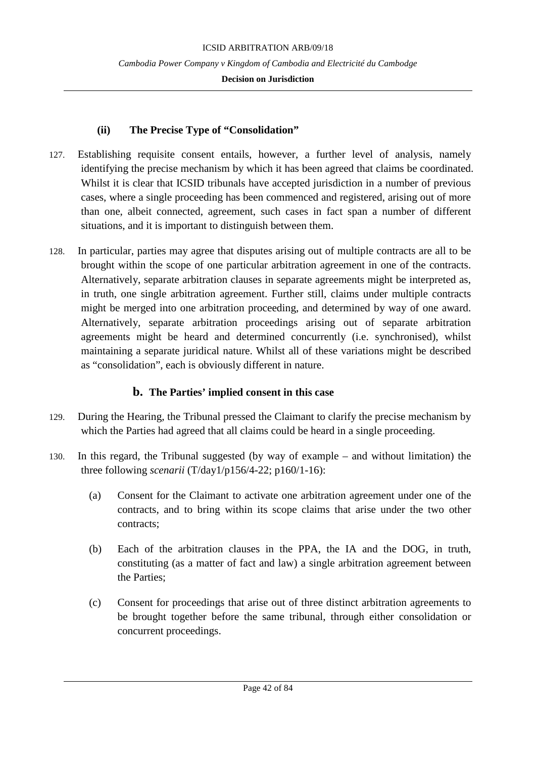### **Decision on Jurisdiction**

### **(ii) The Precise Type of "Consolidation"**

- 127. Establishing requisite consent entails, however, a further level of analysis, namely identifying the precise mechanism by which it has been agreed that claims be coordinated. Whilst it is clear that ICSID tribunals have accepted jurisdiction in a number of previous cases, where a single proceeding has been commenced and registered, arising out of more than one, albeit connected, agreement, such cases in fact span a number of different situations, and it is important to distinguish between them.
- 128. In particular, parties may agree that disputes arising out of multiple contracts are all to be brought within the scope of one particular arbitration agreement in one of the contracts. Alternatively, separate arbitration clauses in separate agreements might be interpreted as, in truth, one single arbitration agreement. Further still, claims under multiple contracts might be merged into one arbitration proceeding, and determined by way of one award. Alternatively, separate arbitration proceedings arising out of separate arbitration agreements might be heard and determined concurrently (i.e. synchronised), whilst maintaining a separate juridical nature. Whilst all of these variations might be described as "consolidation", each is obviously different in nature.

# **b. The Parties' implied consent in this case**

- 129. During the Hearing, the Tribunal pressed the Claimant to clarify the precise mechanism by which the Parties had agreed that all claims could be heard in a single proceeding.
- 130. In this regard, the Tribunal suggested (by way of example and without limitation) the three following *scenarii* (T/day1/p156/4-22; p160/1-16):
	- (a) Consent for the Claimant to activate one arbitration agreement under one of the contracts, and to bring within its scope claims that arise under the two other contracts;
	- (b) Each of the arbitration clauses in the PPA, the IA and the DOG, in truth, constituting (as a matter of fact and law) a single arbitration agreement between the Parties;
	- (c) Consent for proceedings that arise out of three distinct arbitration agreements to be brought together before the same tribunal, through either consolidation or concurrent proceedings.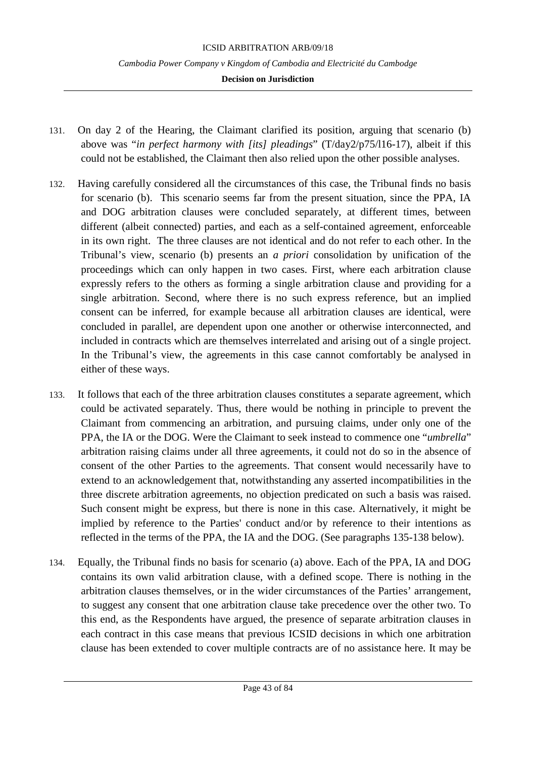- 131. On day 2 of the Hearing, the Claimant clarified its position, arguing that scenario (b) above was "*in perfect harmony with [its] pleadings*" (T/day2/p75/l16-17), albeit if this could not be established, the Claimant then also relied upon the other possible analyses.
- 132. Having carefully considered all the circumstances of this case, the Tribunal finds no basis for scenario (b). This scenario seems far from the present situation, since the PPA, IA and DOG arbitration clauses were concluded separately, at different times, between different (albeit connected) parties, and each as a self-contained agreement, enforceable in its own right. The three clauses are not identical and do not refer to each other. In the Tribunal's view, scenario (b) presents an *a priori* consolidation by unification of the proceedings which can only happen in two cases. First, where each arbitration clause expressly refers to the others as forming a single arbitration clause and providing for a single arbitration. Second, where there is no such express reference, but an implied consent can be inferred, for example because all arbitration clauses are identical, were concluded in parallel, are dependent upon one another or otherwise interconnected, and included in contracts which are themselves interrelated and arising out of a single project. In the Tribunal's view, the agreements in this case cannot comfortably be analysed in either of these ways.
- 133. It follows that each of the three arbitration clauses constitutes a separate agreement, which could be activated separately. Thus, there would be nothing in principle to prevent the Claimant from commencing an arbitration, and pursuing claims, under only one of the PPA, the IA or the DOG. Were the Claimant to seek instead to commence one "*umbrella*" arbitration raising claims under all three agreements, it could not do so in the absence of consent of the other Parties to the agreements. That consent would necessarily have to extend to an acknowledgement that, notwithstanding any asserted incompatibilities in the three discrete arbitration agreements, no objection predicated on such a basis was raised. Such consent might be express, but there is none in this case. Alternatively, it might be implied by reference to the Parties' conduct and/or by reference to their intentions as reflected in the terms of the PPA, the IA and the DOG. (See paragraphs 135-138 below).
- 134. Equally, the Tribunal finds no basis for scenario (a) above. Each of the PPA, IA and DOG contains its own valid arbitration clause, with a defined scope. There is nothing in the arbitration clauses themselves, or in the wider circumstances of the Parties' arrangement, to suggest any consent that one arbitration clause take precedence over the other two. To this end, as the Respondents have argued, the presence of separate arbitration clauses in each contract in this case means that previous ICSID decisions in which one arbitration clause has been extended to cover multiple contracts are of no assistance here. It may be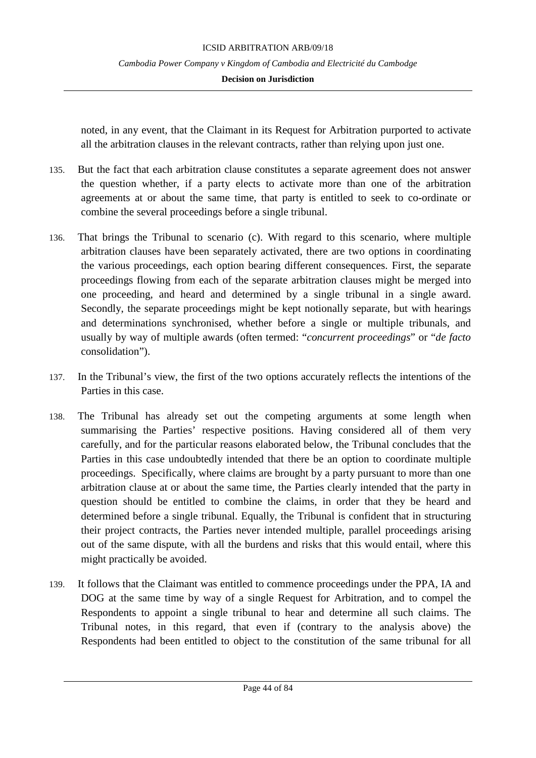### **Decision on Jurisdiction**

noted, in any event, that the Claimant in its Request for Arbitration purported to activate all the arbitration clauses in the relevant contracts, rather than relying upon just one.

- 135. But the fact that each arbitration clause constitutes a separate agreement does not answer the question whether, if a party elects to activate more than one of the arbitration agreements at or about the same time, that party is entitled to seek to co-ordinate or combine the several proceedings before a single tribunal.
- 136. That brings the Tribunal to scenario (c). With regard to this scenario, where multiple arbitration clauses have been separately activated, there are two options in coordinating the various proceedings, each option bearing different consequences. First, the separate proceedings flowing from each of the separate arbitration clauses might be merged into one proceeding, and heard and determined by a single tribunal in a single award. Secondly, the separate proceedings might be kept notionally separate, but with hearings and determinations synchronised, whether before a single or multiple tribunals, and usually by way of multiple awards (often termed: "*concurrent proceedings*" or "*de facto* consolidation").
- 137. In the Tribunal's view, the first of the two options accurately reflects the intentions of the Parties in this case.
- 138. The Tribunal has already set out the competing arguments at some length when summarising the Parties' respective positions. Having considered all of them very carefully, and for the particular reasons elaborated below, the Tribunal concludes that the Parties in this case undoubtedly intended that there be an option to coordinate multiple proceedings. Specifically, where claims are brought by a party pursuant to more than one arbitration clause at or about the same time, the Parties clearly intended that the party in question should be entitled to combine the claims, in order that they be heard and determined before a single tribunal. Equally, the Tribunal is confident that in structuring their project contracts, the Parties never intended multiple, parallel proceedings arising out of the same dispute, with all the burdens and risks that this would entail, where this might practically be avoided.
- 139. It follows that the Claimant was entitled to commence proceedings under the PPA, IA and DOG at the same time by way of a single Request for Arbitration, and to compel the Respondents to appoint a single tribunal to hear and determine all such claims. The Tribunal notes, in this regard, that even if (contrary to the analysis above) the Respondents had been entitled to object to the constitution of the same tribunal for all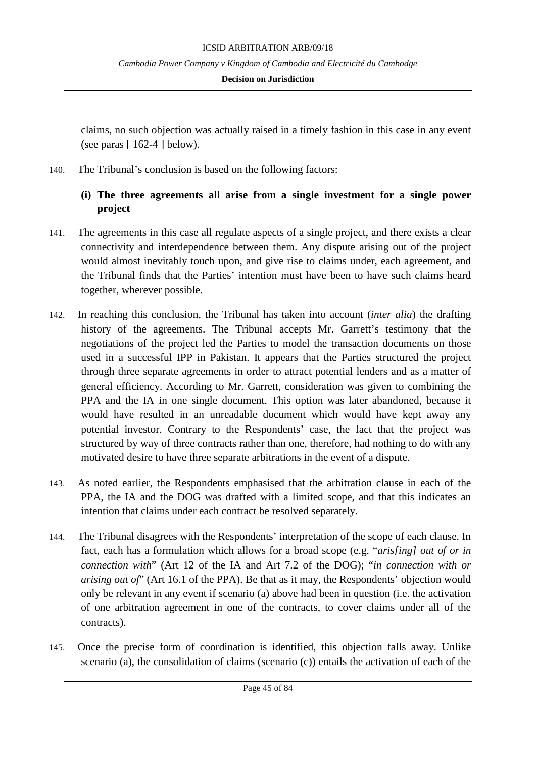### **Decision on Jurisdiction**

claims, no such objection was actually raised in a timely fashion in this case in any event (see paras  $[162-4]$  below).

140. The Tribunal's conclusion is based on the following factors:

# **(i) The three agreements all arise from a single investment for a single power project**

- 141. The agreements in this case all regulate aspects of a single project, and there exists a clear connectivity and interdependence between them. Any dispute arising out of the project would almost inevitably touch upon, and give rise to claims under, each agreement, and the Tribunal finds that the Parties' intention must have been to have such claims heard together, wherever possible.
- 142. In reaching this conclusion, the Tribunal has taken into account (*inter alia*) the drafting history of the agreements. The Tribunal accepts Mr. Garrett's testimony that the negotiations of the project led the Parties to model the transaction documents on those used in a successful IPP in Pakistan. It appears that the Parties structured the project through three separate agreements in order to attract potential lenders and as a matter of general efficiency. According to Mr. Garrett, consideration was given to combining the PPA and the IA in one single document. This option was later abandoned, because it would have resulted in an unreadable document which would have kept away any potential investor. Contrary to the Respondents' case, the fact that the project was structured by way of three contracts rather than one, therefore, had nothing to do with any motivated desire to have three separate arbitrations in the event of a dispute.
- 143. As noted earlier, the Respondents emphasised that the arbitration clause in each of the PPA, the IA and the DOG was drafted with a limited scope, and that this indicates an intention that claims under each contract be resolved separately.
- 144. The Tribunal disagrees with the Respondents' interpretation of the scope of each clause. In fact, each has a formulation which allows for a broad scope (e.g. "*aris[ing] out of or in connection with*" (Art 12 of the IA and Art 7.2 of the DOG); "*in connection with or arising out of*" (Art 16.1 of the PPA). Be that as it may, the Respondents' objection would only be relevant in any event if scenario (a) above had been in question (i.e. the activation of one arbitration agreement in one of the contracts, to cover claims under all of the contracts).
- 145. Once the precise form of coordination is identified, this objection falls away. Unlike scenario (a), the consolidation of claims (scenario (c)) entails the activation of each of the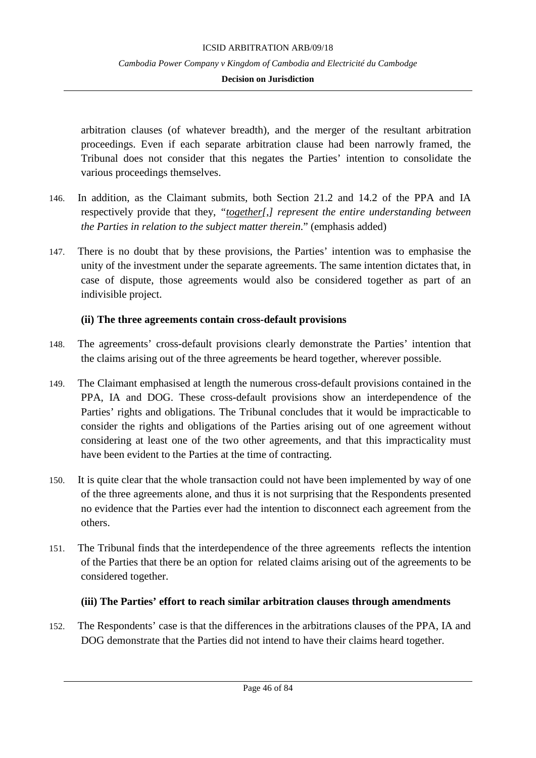### **Decision on Jurisdiction**

arbitration clauses (of whatever breadth), and the merger of the resultant arbitration proceedings. Even if each separate arbitration clause had been narrowly framed, the Tribunal does not consider that this negates the Parties' intention to consolidate the various proceedings themselves.

- 146. In addition, as the Claimant submits, both Section 21.2 and 14.2 of the PPA and IA respectively provide that they, *"together[,] represent the entire understanding between the Parties in relation to the subject matter therein*." (emphasis added)
- 147. There is no doubt that by these provisions, the Parties' intention was to emphasise the unity of the investment under the separate agreements. The same intention dictates that, in case of dispute, those agreements would also be considered together as part of an indivisible project.

### **(ii) The three agreements contain cross-default provisions**

- 148. The agreements' cross-default provisions clearly demonstrate the Parties' intention that the claims arising out of the three agreements be heard together, wherever possible.
- 149. The Claimant emphasised at length the numerous cross-default provisions contained in the PPA, IA and DOG. These cross-default provisions show an interdependence of the Parties' rights and obligations. The Tribunal concludes that it would be impracticable to consider the rights and obligations of the Parties arising out of one agreement without considering at least one of the two other agreements, and that this impracticality must have been evident to the Parties at the time of contracting.
- 150. It is quite clear that the whole transaction could not have been implemented by way of one of the three agreements alone, and thus it is not surprising that the Respondents presented no evidence that the Parties ever had the intention to disconnect each agreement from the others.
- 151. The Tribunal finds that the interdependence of the three agreements reflects the intention of the Parties that there be an option for related claims arising out of the agreements to be considered together.

# **(iii) The Parties' effort to reach similar arbitration clauses through amendments**

152. The Respondents' case is that the differences in the arbitrations clauses of the PPA, IA and DOG demonstrate that the Parties did not intend to have their claims heard together.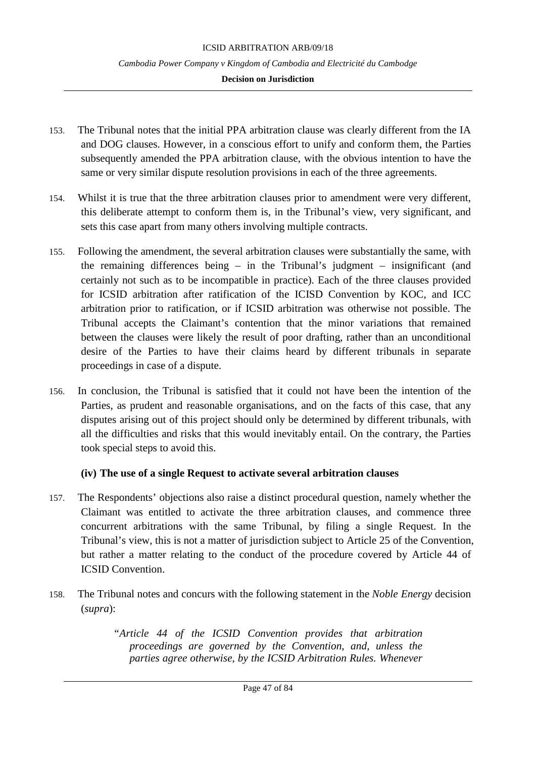### **Decision on Jurisdiction**

- 153. The Tribunal notes that the initial PPA arbitration clause was clearly different from the IA and DOG clauses. However, in a conscious effort to unify and conform them, the Parties subsequently amended the PPA arbitration clause, with the obvious intention to have the same or very similar dispute resolution provisions in each of the three agreements.
- 154. Whilst it is true that the three arbitration clauses prior to amendment were very different, this deliberate attempt to conform them is, in the Tribunal's view, very significant, and sets this case apart from many others involving multiple contracts.
- 155. Following the amendment, the several arbitration clauses were substantially the same, with the remaining differences being – in the Tribunal's judgment – insignificant (and certainly not such as to be incompatible in practice). Each of the three clauses provided for ICSID arbitration after ratification of the ICISD Convention by KOC, and ICC arbitration prior to ratification, or if ICSID arbitration was otherwise not possible. The Tribunal accepts the Claimant's contention that the minor variations that remained between the clauses were likely the result of poor drafting, rather than an unconditional desire of the Parties to have their claims heard by different tribunals in separate proceedings in case of a dispute.
- 156. In conclusion, the Tribunal is satisfied that it could not have been the intention of the Parties, as prudent and reasonable organisations, and on the facts of this case, that any disputes arising out of this project should only be determined by different tribunals, with all the difficulties and risks that this would inevitably entail. On the contrary, the Parties took special steps to avoid this.

### **(iv) The use of a single Request to activate several arbitration clauses**

- 157. The Respondents' objections also raise a distinct procedural question, namely whether the Claimant was entitled to activate the three arbitration clauses, and commence three concurrent arbitrations with the same Tribunal, by filing a single Request. In the Tribunal's view, this is not a matter of jurisdiction subject to Article 25 of the Convention, but rather a matter relating to the conduct of the procedure covered by Article 44 of ICSID Convention.
- 158. The Tribunal notes and concurs with the following statement in the *Noble Energy* decision (*supra*):

*"Article 44 of the ICSID Convention provides that arbitration proceedings are governed by the Convention, and, unless the parties agree otherwise, by the ICSID Arbitration Rules. Whenever*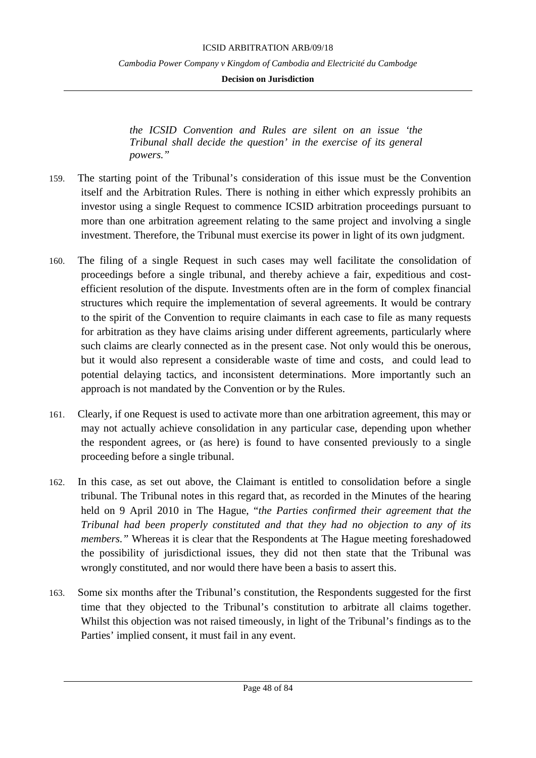**Decision on Jurisdiction**

*the ICSID Convention and Rules are silent on an issue 'the Tribunal shall decide the question' in the exercise of its general powers."*

- 159. The starting point of the Tribunal's consideration of this issue must be the Convention itself and the Arbitration Rules. There is nothing in either which expressly prohibits an investor using a single Request to commence ICSID arbitration proceedings pursuant to more than one arbitration agreement relating to the same project and involving a single investment. Therefore, the Tribunal must exercise its power in light of its own judgment.
- 160. The filing of a single Request in such cases may well facilitate the consolidation of proceedings before a single tribunal, and thereby achieve a fair, expeditious and costefficient resolution of the dispute. Investments often are in the form of complex financial structures which require the implementation of several agreements. It would be contrary to the spirit of the Convention to require claimants in each case to file as many requests for arbitration as they have claims arising under different agreements, particularly where such claims are clearly connected as in the present case. Not only would this be onerous, but it would also represent a considerable waste of time and costs, and could lead to potential delaying tactics, and inconsistent determinations. More importantly such an approach is not mandated by the Convention or by the Rules.
- 161. Clearly, if one Request is used to activate more than one arbitration agreement, this may or may not actually achieve consolidation in any particular case, depending upon whether the respondent agrees, or (as here) is found to have consented previously to a single proceeding before a single tribunal.
- 162. In this case, as set out above, the Claimant is entitled to consolidation before a single tribunal. The Tribunal notes in this regard that, as recorded in the Minutes of the hearing held on 9 April 2010 in The Hague, "*the Parties confirmed their agreement that the Tribunal had been properly constituted and that they had no objection to any of its members.*" Whereas it is clear that the Respondents at The Hague meeting foreshadowed the possibility of jurisdictional issues, they did not then state that the Tribunal was wrongly constituted, and nor would there have been a basis to assert this.
- 163. Some six months after the Tribunal's constitution, the Respondents suggested for the first time that they objected to the Tribunal's constitution to arbitrate all claims together. Whilst this objection was not raised timeously, in light of the Tribunal's findings as to the Parties' implied consent, it must fail in any event.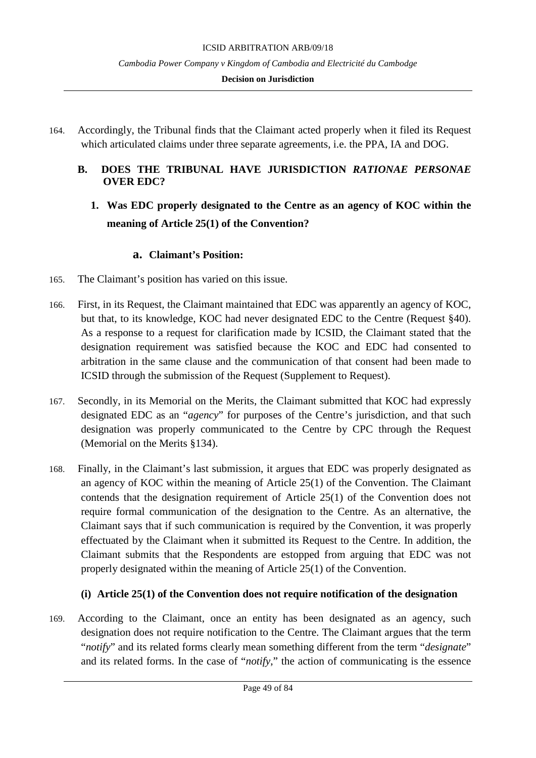#### **Decision on Jurisdiction**

- 164. Accordingly, the Tribunal finds that the Claimant acted properly when it filed its Request which articulated claims under three separate agreements, i.e. the PPA, IA and DOG.
	- **B. DOES THE TRIBUNAL HAVE JURISDICTION** *RATIONAE PERSONAE* **OVER EDC?**
		- **1. Was EDC properly designated to the Centre as an agency of KOC within the meaning of Article 25(1) of the Convention?**

### **a. Claimant's Position:**

- 165. The Claimant's position has varied on this issue.
- 166. First, in its Request, the Claimant maintained that EDC was apparently an agency of KOC, but that, to its knowledge, KOC had never designated EDC to the Centre (Request §40). As a response to a request for clarification made by ICSID, the Claimant stated that the designation requirement was satisfied because the KOC and EDC had consented to arbitration in the same clause and the communication of that consent had been made to ICSID through the submission of the Request (Supplement to Request).
- 167. Secondly, in its Memorial on the Merits, the Claimant submitted that KOC had expressly designated EDC as an "*agency*" for purposes of the Centre's jurisdiction, and that such designation was properly communicated to the Centre by CPC through the Request (Memorial on the Merits §134).
- 168. Finally, in the Claimant's last submission, it argues that EDC was properly designated as an agency of KOC within the meaning of Article 25(1) of the Convention. The Claimant contends that the designation requirement of Article 25(1) of the Convention does not require formal communication of the designation to the Centre. As an alternative, the Claimant says that if such communication is required by the Convention, it was properly effectuated by the Claimant when it submitted its Request to the Centre. In addition, the Claimant submits that the Respondents are estopped from arguing that EDC was not properly designated within the meaning of Article 25(1) of the Convention.

### **(i) Article 25(1) of the Convention does not require notification of the designation**

169. According to the Claimant, once an entity has been designated as an agency, such designation does not require notification to the Centre. The Claimant argues that the term "*notify*" and its related forms clearly mean something different from the term "*designate*" and its related forms. In the case of "*notify*," the action of communicating is the essence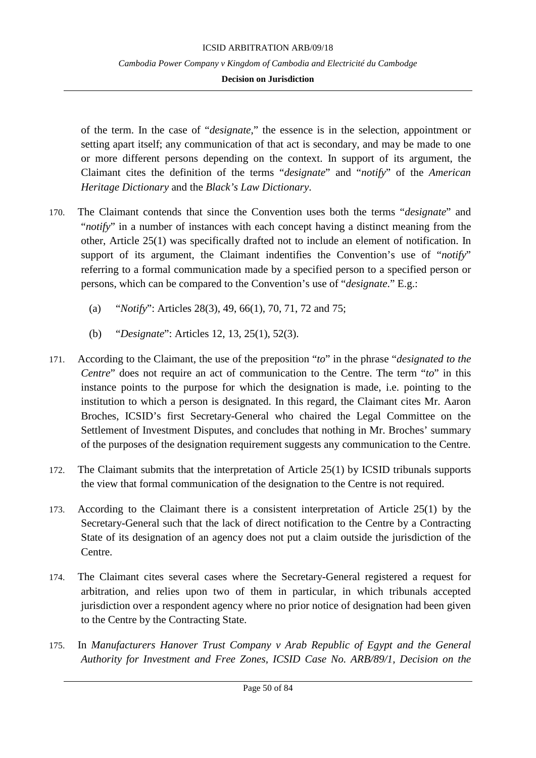#### **Decision on Jurisdiction**

of the term. In the case of "*designate*," the essence is in the selection, appointment or setting apart itself; any communication of that act is secondary, and may be made to one or more different persons depending on the context. In support of its argument, the Claimant cites the definition of the terms "*designate*" and "*notify*" of the *American Heritage Dictionary* and the *Black's Law Dictionary*.

- 170. The Claimant contends that since the Convention uses both the terms "*designate*" and "*notify*" in a number of instances with each concept having a distinct meaning from the other, Article 25(1) was specifically drafted not to include an element of notification. In support of its argument, the Claimant indentifies the Convention's use of "*notify*" referring to a formal communication made by a specified person to a specified person or persons, which can be compared to the Convention's use of "*designate*." E.g.:
	- (a) "*Notify*": Articles 28(3), 49, 66(1), 70, 71, 72 and 75;
	- (b) "*Designate*": Articles 12, 13, 25(1), 52(3).
- 171. According to the Claimant, the use of the preposition "*to*" in the phrase "*designated to the Centre*" does not require an act of communication to the Centre. The term "*to*" in this instance points to the purpose for which the designation is made, i.e. pointing to the institution to which a person is designated. In this regard, the Claimant cites Mr. Aaron Broches, ICSID's first Secretary-General who chaired the Legal Committee on the Settlement of Investment Disputes, and concludes that nothing in Mr. Broches' summary of the purposes of the designation requirement suggests any communication to the Centre.
- 172. The Claimant submits that the interpretation of Article 25(1) by ICSID tribunals supports the view that formal communication of the designation to the Centre is not required.
- 173. According to the Claimant there is a consistent interpretation of Article 25(1) by the Secretary-General such that the lack of direct notification to the Centre by a Contracting State of its designation of an agency does not put a claim outside the jurisdiction of the Centre.
- 174. The Claimant cites several cases where the Secretary-General registered a request for arbitration, and relies upon two of them in particular, in which tribunals accepted jurisdiction over a respondent agency where no prior notice of designation had been given to the Centre by the Contracting State.
- 175. In *Manufacturers Hanover Trust Company v Arab Republic of Egypt and the General Authority for Investment and Free Zones, ICSID Case No. ARB/89/1, Decision on the*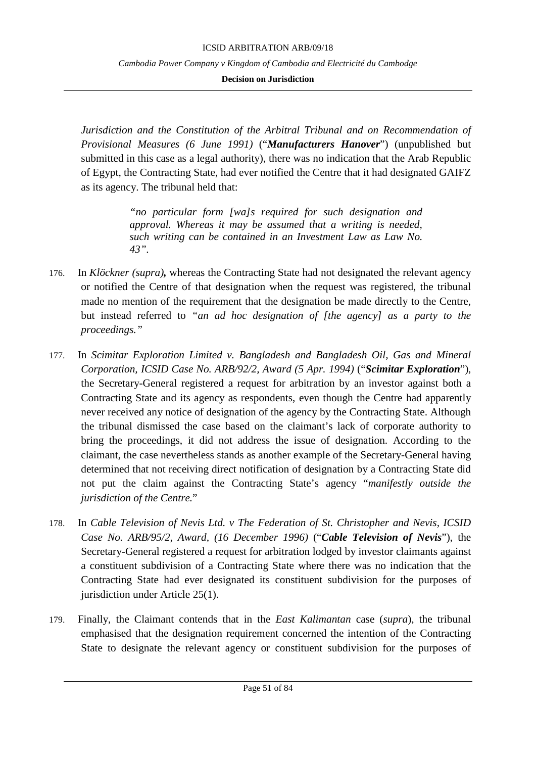**Decision on Jurisdiction**

*Jurisdiction and the Constitution of the Arbitral Tribunal and on Recommendation of Provisional Measures (6 June 1991)* ("*Manufacturers Hanover*") (unpublished but submitted in this case as a legal authority), there was no indication that the Arab Republic of Egypt, the Contracting State, had ever notified the Centre that it had designated GAIFZ as its agency. The tribunal held that:

> *"no particular form [wa]s required for such designation and approval. Whereas it may be assumed that a writing is needed, such writing can be contained in an Investment Law as Law No. 43".*

- 176. In *Klöckner (supra),* whereas the Contracting State had not designated the relevant agency or notified the Centre of that designation when the request was registered, the tribunal made no mention of the requirement that the designation be made directly to the Centre, but instead referred to *"an ad hoc designation of [the agency] as a party to the proceedings."*
- 177. In *Scimitar Exploration Limited v. Bangladesh and Bangladesh Oil, Gas and Mineral Corporation, ICSID Case No. ARB/92/2, Award (5 Apr. 1994)* ("*Scimitar Exploration*"), the Secretary-General registered a request for arbitration by an investor against both a Contracting State and its agency as respondents, even though the Centre had apparently never received any notice of designation of the agency by the Contracting State. Although the tribunal dismissed the case based on the claimant's lack of corporate authority to bring the proceedings, it did not address the issue of designation. According to the claimant, the case nevertheless stands as another example of the Secretary-General having determined that not receiving direct notification of designation by a Contracting State did not put the claim against the Contracting State's agency "*manifestly outside the jurisdiction of the Centre.*"
- 178. In *Cable Television of Nevis Ltd. v The Federation of St. Christopher and Nevis, ICSID Case No. ARB/95/2, Award, (16 December 1996)* ("*Cable Television of Nevis*"), the Secretary-General registered a request for arbitration lodged by investor claimants against a constituent subdivision of a Contracting State where there was no indication that the Contracting State had ever designated its constituent subdivision for the purposes of jurisdiction under Article 25(1).
- 179. Finally, the Claimant contends that in the *East Kalimantan* case (*supra*), the tribunal emphasised that the designation requirement concerned the intention of the Contracting State to designate the relevant agency or constituent subdivision for the purposes of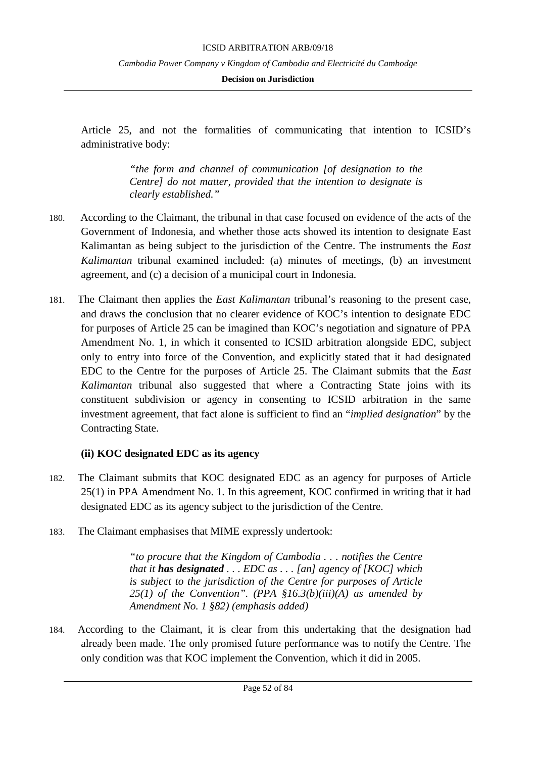### **Decision on Jurisdiction**

Article 25, and not the formalities of communicating that intention to ICSID's administrative body:

> *"the form and channel of communication [of designation to the Centre] do not matter, provided that the intention to designate is clearly established."*

- 180. According to the Claimant, the tribunal in that case focused on evidence of the acts of the Government of Indonesia, and whether those acts showed its intention to designate East Kalimantan as being subject to the jurisdiction of the Centre. The instruments the *East Kalimantan* tribunal examined included: (a) minutes of meetings, (b) an investment agreement, and (c) a decision of a municipal court in Indonesia.
- 181. The Claimant then applies the *East Kalimantan* tribunal's reasoning to the present case, and draws the conclusion that no clearer evidence of KOC's intention to designate EDC for purposes of Article 25 can be imagined than KOC's negotiation and signature of PPA Amendment No. 1, in which it consented to ICSID arbitration alongside EDC, subject only to entry into force of the Convention, and explicitly stated that it had designated EDC to the Centre for the purposes of Article 25. The Claimant submits that the *East Kalimantan* tribunal also suggested that where a Contracting State joins with its constituent subdivision or agency in consenting to ICSID arbitration in the same investment agreement, that fact alone is sufficient to find an "*implied designation*" by the Contracting State.

# **(ii) KOC designated EDC as its agency**

- 182. The Claimant submits that KOC designated EDC as an agency for purposes of Article 25(1) in PPA Amendment No. 1. In this agreement, KOC confirmed in writing that it had designated EDC as its agency subject to the jurisdiction of the Centre.
- 183. The Claimant emphasises that MIME expressly undertook:

*"to procure that the Kingdom of Cambodia . . . notifies the Centre that it has designated . . . EDC as . . . [an] agency of [KOC] which is subject to the jurisdiction of the Centre for purposes of Article 25(1) of the Convention". (PPA §16.3(b)(iii)(A) as amended by Amendment No. 1 §82) (emphasis added)*

184. According to the Claimant, it is clear from this undertaking that the designation had already been made. The only promised future performance was to notify the Centre. The only condition was that KOC implement the Convention, which it did in 2005.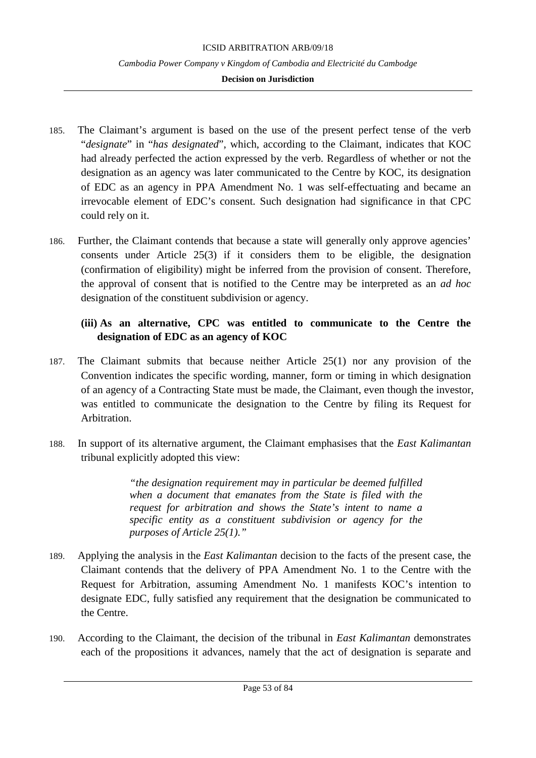### **Decision on Jurisdiction**

- 185. The Claimant's argument is based on the use of the present perfect tense of the verb "*designate*" in "*has designated*", which, according to the Claimant, indicates that KOC had already perfected the action expressed by the verb. Regardless of whether or not the designation as an agency was later communicated to the Centre by KOC, its designation of EDC as an agency in PPA Amendment No. 1 was self-effectuating and became an irrevocable element of EDC's consent. Such designation had significance in that CPC could rely on it.
- 186. Further, the Claimant contends that because a state will generally only approve agencies' consents under Article 25(3) if it considers them to be eligible, the designation (confirmation of eligibility) might be inferred from the provision of consent. Therefore, the approval of consent that is notified to the Centre may be interpreted as an *ad hoc* designation of the constituent subdivision or agency.

# **(iii) As an alternative, CPC was entitled to communicate to the Centre the designation of EDC as an agency of KOC**

- 187. The Claimant submits that because neither Article 25(1) nor any provision of the Convention indicates the specific wording, manner, form or timing in which designation of an agency of a Contracting State must be made, the Claimant, even though the investor, was entitled to communicate the designation to the Centre by filing its Request for Arbitration.
- 188. In support of its alternative argument, the Claimant emphasises that the *East Kalimantan* tribunal explicitly adopted this view:

*"the designation requirement may in particular be deemed fulfilled when a document that emanates from the State is filed with the request for arbitration and shows the State's intent to name a specific entity as a constituent subdivision or agency for the purposes of Article 25(1)."* 

- 189. Applying the analysis in the *East Kalimantan* decision to the facts of the present case, the Claimant contends that the delivery of PPA Amendment No. 1 to the Centre with the Request for Arbitration, assuming Amendment No. 1 manifests KOC's intention to designate EDC, fully satisfied any requirement that the designation be communicated to the Centre.
- 190. According to the Claimant, the decision of the tribunal in *East Kalimantan* demonstrates each of the propositions it advances, namely that the act of designation is separate and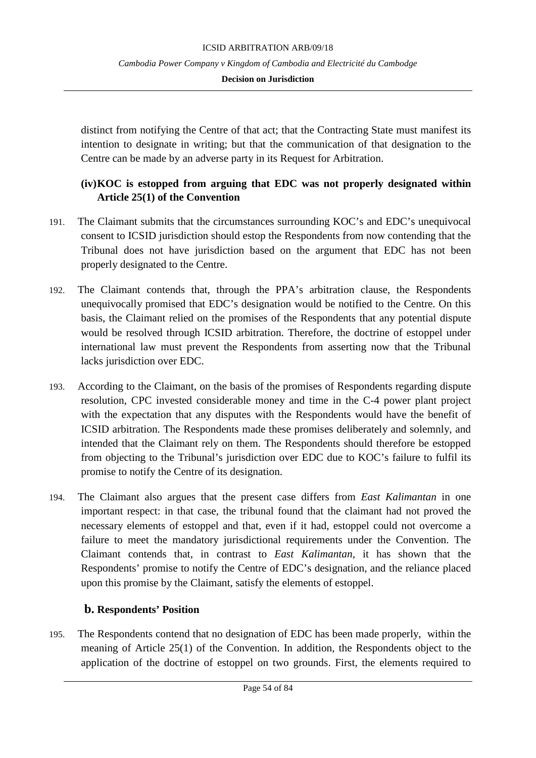distinct from notifying the Centre of that act; that the Contracting State must manifest its intention to designate in writing; but that the communication of that designation to the Centre can be made by an adverse party in its Request for Arbitration.

# **(iv)KOC is estopped from arguing that EDC was not properly designated within Article 25(1) of the Convention**

- 191. The Claimant submits that the circumstances surrounding KOC's and EDC's unequivocal consent to ICSID jurisdiction should estop the Respondents from now contending that the Tribunal does not have jurisdiction based on the argument that EDC has not been properly designated to the Centre.
- 192. The Claimant contends that, through the PPA's arbitration clause, the Respondents unequivocally promised that EDC's designation would be notified to the Centre. On this basis, the Claimant relied on the promises of the Respondents that any potential dispute would be resolved through ICSID arbitration. Therefore, the doctrine of estoppel under international law must prevent the Respondents from asserting now that the Tribunal lacks jurisdiction over EDC.
- 193. According to the Claimant, on the basis of the promises of Respondents regarding dispute resolution, CPC invested considerable money and time in the C-4 power plant project with the expectation that any disputes with the Respondents would have the benefit of ICSID arbitration. The Respondents made these promises deliberately and solemnly, and intended that the Claimant rely on them. The Respondents should therefore be estopped from objecting to the Tribunal's jurisdiction over EDC due to KOC's failure to fulfil its promise to notify the Centre of its designation.
- 194. The Claimant also argues that the present case differs from *East Kalimantan* in one important respect: in that case, the tribunal found that the claimant had not proved the necessary elements of estoppel and that, even if it had, estoppel could not overcome a failure to meet the mandatory jurisdictional requirements under the Convention. The Claimant contends that, in contrast to *East Kalimantan,* it has shown that the Respondents' promise to notify the Centre of EDC's designation, and the reliance placed upon this promise by the Claimant, satisfy the elements of estoppel.

# **b. Respondents' Position**

195. The Respondents contend that no designation of EDC has been made properly, within the meaning of Article 25(1) of the Convention. In addition, the Respondents object to the application of the doctrine of estoppel on two grounds. First, the elements required to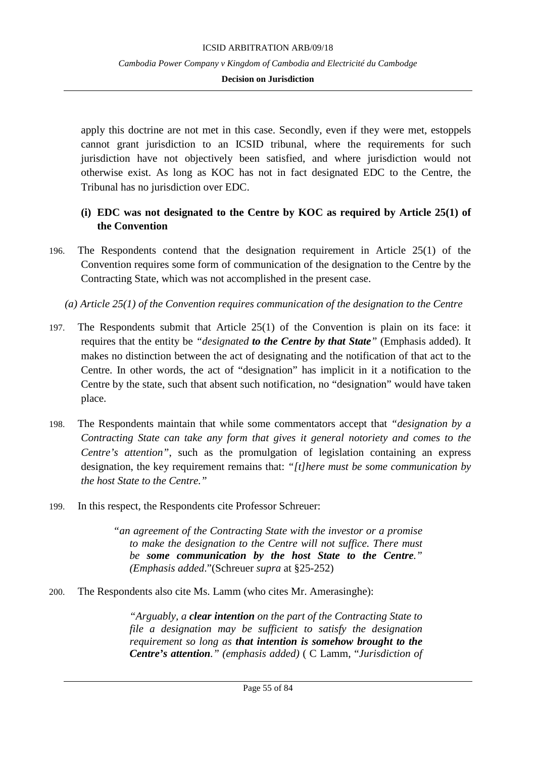apply this doctrine are not met in this case. Secondly, even if they were met, estoppels cannot grant jurisdiction to an ICSID tribunal, where the requirements for such jurisdiction have not objectively been satisfied, and where jurisdiction would not otherwise exist. As long as KOC has not in fact designated EDC to the Centre, the Tribunal has no jurisdiction over EDC.

### **(i) EDC was not designated to the Centre by KOC as required by Article 25(1) of the Convention**

- 196. The Respondents contend that the designation requirement in Article 25(1) of the Convention requires some form of communication of the designation to the Centre by the Contracting State, which was not accomplished in the present case.
	- *(a) Article 25(1) of the Convention requires communication of the designation to the Centre*
- 197. The Respondents submit that Article 25(1) of the Convention is plain on its face: it requires that the entity be *"designated to the Centre by that State"* (Emphasis added). It makes no distinction between the act of designating and the notification of that act to the Centre. In other words, the act of "designation" has implicit in it a notification to the Centre by the state, such that absent such notification, no "designation" would have taken place.
- 198. The Respondents maintain that while some commentators accept that *"designation by a Contracting State can take any form that gives it general notoriety and comes to the Centre's attention"*, such as the promulgation of legislation containing an express designation, the key requirement remains that: *"[t]here must be some communication by the host State to the Centre."*
- 199. In this respect, the Respondents cite Professor Schreuer:

*"an agreement of the Contracting State with the investor or a promise to make the designation to the Centre will not suffice. There must be some communication by the host State to the Centre." (Emphasis added*."(Schreuer *supra* at §25-252)

200. The Respondents also cite Ms. Lamm (who cites Mr. Amerasinghe):

*"Arguably, a clear intention on the part of the Contracting State to file a designation may be sufficient to satisfy the designation requirement so long as that intention is somehow brought to the Centre's attention." (emphasis added)* ( C Lamm, "*Jurisdiction of*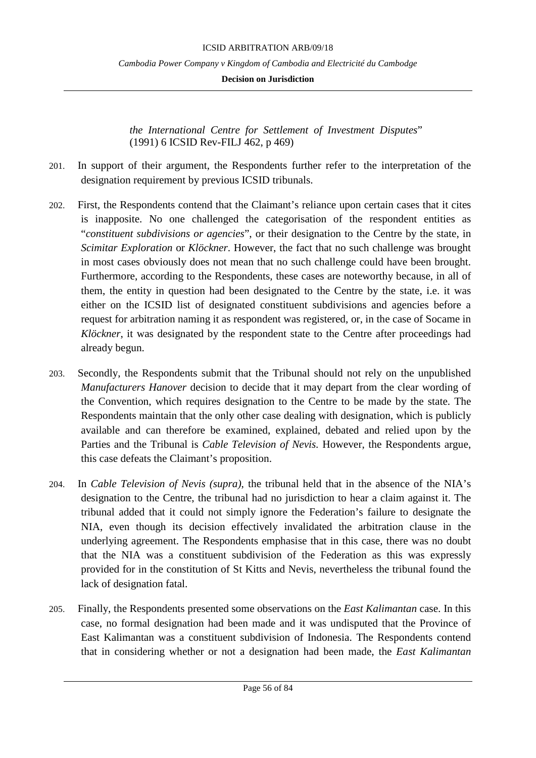**Decision on Jurisdiction**

*the International Centre for Settlement of Investment Disputes*" (1991) 6 ICSID Rev-FILJ 462, p 469)

- 201. In support of their argument, the Respondents further refer to the interpretation of the designation requirement by previous ICSID tribunals.
- 202. First, the Respondents contend that the Claimant's reliance upon certain cases that it cites is inapposite. No one challenged the categorisation of the respondent entities as "*constituent subdivisions or agencies*", or their designation to the Centre by the state, in *Scimitar Exploration* or *Klöckner*. However, the fact that no such challenge was brought in most cases obviously does not mean that no such challenge could have been brought. Furthermore, according to the Respondents, these cases are noteworthy because, in all of them, the entity in question had been designated to the Centre by the state, i.e. it was either on the ICSID list of designated constituent subdivisions and agencies before a request for arbitration naming it as respondent was registered, or, in the case of Socame in *Klöckner*, it was designated by the respondent state to the Centre after proceedings had already begun.
- 203. Secondly, the Respondents submit that the Tribunal should not rely on the unpublished *Manufacturers Hanover* decision to decide that it may depart from the clear wording of the Convention, which requires designation to the Centre to be made by the state. The Respondents maintain that the only other case dealing with designation, which is publicly available and can therefore be examined, explained, debated and relied upon by the Parties and the Tribunal is *Cable Television of Nevis.* However, the Respondents argue, this case defeats the Claimant's proposition.
- 204. In *Cable Television of Nevis (supra)*, the tribunal held that in the absence of the NIA's designation to the Centre, the tribunal had no jurisdiction to hear a claim against it. The tribunal added that it could not simply ignore the Federation's failure to designate the NIA, even though its decision effectively invalidated the arbitration clause in the underlying agreement. The Respondents emphasise that in this case, there was no doubt that the NIA was a constituent subdivision of the Federation as this was expressly provided for in the constitution of St Kitts and Nevis, nevertheless the tribunal found the lack of designation fatal.
- 205. Finally, the Respondents presented some observations on the *East Kalimantan* case. In this case, no formal designation had been made and it was undisputed that the Province of East Kalimantan was a constituent subdivision of Indonesia. The Respondents contend that in considering whether or not a designation had been made, the *East Kalimantan*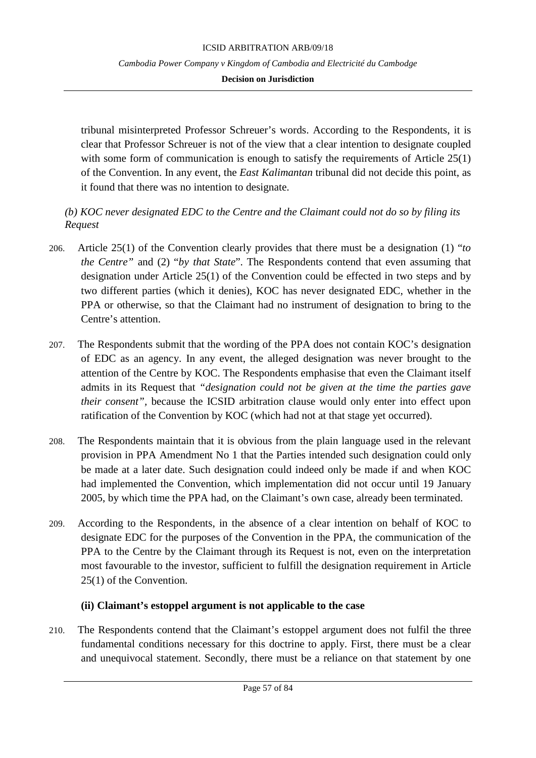### **Decision on Jurisdiction**

tribunal misinterpreted Professor Schreuer's words. According to the Respondents, it is clear that Professor Schreuer is not of the view that a clear intention to designate coupled with some form of communication is enough to satisfy the requirements of Article 25(1) of the Convention. In any event, the *East Kalimantan* tribunal did not decide this point, as it found that there was no intention to designate.

# *(b) KOC never designated EDC to the Centre and the Claimant could not do so by filing its Request*

- 206. Article 25(1) of the Convention clearly provides that there must be a designation (1) "*to the Centre"* and (2) "*by that State*". The Respondents contend that even assuming that designation under Article 25(1) of the Convention could be effected in two steps and by two different parties (which it denies), KOC has never designated EDC, whether in the PPA or otherwise, so that the Claimant had no instrument of designation to bring to the Centre's attention.
- 207. The Respondents submit that the wording of the PPA does not contain KOC's designation of EDC as an agency. In any event, the alleged designation was never brought to the attention of the Centre by KOC. The Respondents emphasise that even the Claimant itself admits in its Request that *"designation could not be given at the time the parties gave their consent",* because the ICSID arbitration clause would only enter into effect upon ratification of the Convention by KOC (which had not at that stage yet occurred).
- 208. The Respondents maintain that it is obvious from the plain language used in the relevant provision in PPA Amendment No 1 that the Parties intended such designation could only be made at a later date. Such designation could indeed only be made if and when KOC had implemented the Convention, which implementation did not occur until 19 January 2005, by which time the PPA had, on the Claimant's own case, already been terminated.
- 209. According to the Respondents, in the absence of a clear intention on behalf of KOC to designate EDC for the purposes of the Convention in the PPA, the communication of the PPA to the Centre by the Claimant through its Request is not, even on the interpretation most favourable to the investor, sufficient to fulfill the designation requirement in Article 25(1) of the Convention.

# **(ii) Claimant's estoppel argument is not applicable to the case**

210. The Respondents contend that the Claimant's estoppel argument does not fulfil the three fundamental conditions necessary for this doctrine to apply. First, there must be a clear and unequivocal statement. Secondly, there must be a reliance on that statement by one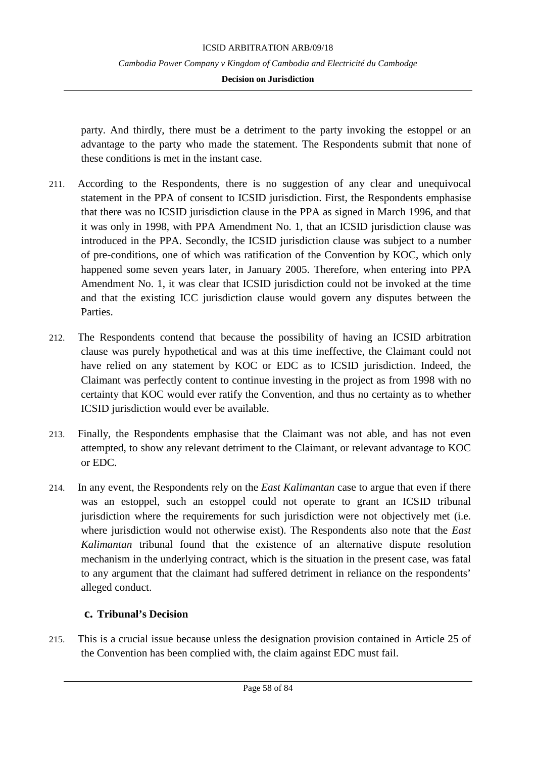### **Decision on Jurisdiction**

party. And thirdly, there must be a detriment to the party invoking the estoppel or an advantage to the party who made the statement. The Respondents submit that none of these conditions is met in the instant case.

- 211. According to the Respondents, there is no suggestion of any clear and unequivocal statement in the PPA of consent to ICSID jurisdiction. First, the Respondents emphasise that there was no ICSID jurisdiction clause in the PPA as signed in March 1996, and that it was only in 1998, with PPA Amendment No. 1, that an ICSID jurisdiction clause was introduced in the PPA. Secondly, the ICSID jurisdiction clause was subject to a number of pre-conditions, one of which was ratification of the Convention by KOC, which only happened some seven years later, in January 2005. Therefore, when entering into PPA Amendment No. 1, it was clear that ICSID jurisdiction could not be invoked at the time and that the existing ICC jurisdiction clause would govern any disputes between the Parties.
- 212. The Respondents contend that because the possibility of having an ICSID arbitration clause was purely hypothetical and was at this time ineffective, the Claimant could not have relied on any statement by KOC or EDC as to ICSID jurisdiction. Indeed, the Claimant was perfectly content to continue investing in the project as from 1998 with no certainty that KOC would ever ratify the Convention, and thus no certainty as to whether ICSID jurisdiction would ever be available.
- 213. Finally, the Respondents emphasise that the Claimant was not able, and has not even attempted, to show any relevant detriment to the Claimant, or relevant advantage to KOC or EDC.
- 214. In any event, the Respondents rely on the *East Kalimantan* case to argue that even if there was an estoppel, such an estoppel could not operate to grant an ICSID tribunal jurisdiction where the requirements for such jurisdiction were not objectively met (i.e. where jurisdiction would not otherwise exist). The Respondents also note that the *East Kalimantan* tribunal found that the existence of an alternative dispute resolution mechanism in the underlying contract, which is the situation in the present case, was fatal to any argument that the claimant had suffered detriment in reliance on the respondents' alleged conduct.

# **c. Tribunal's Decision**

215. This is a crucial issue because unless the designation provision contained in Article 25 of the Convention has been complied with, the claim against EDC must fail.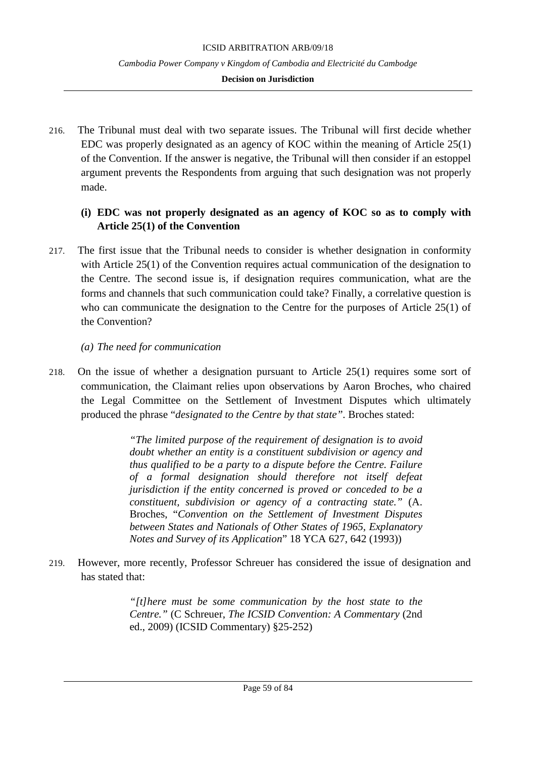### **Decision on Jurisdiction**

216. The Tribunal must deal with two separate issues. The Tribunal will first decide whether EDC was properly designated as an agency of KOC within the meaning of Article 25(1) of the Convention. If the answer is negative, the Tribunal will then consider if an estoppel argument prevents the Respondents from arguing that such designation was not properly made.

# **(i) EDC was not properly designated as an agency of KOC so as to comply with Article 25(1) of the Convention**

217. The first issue that the Tribunal needs to consider is whether designation in conformity with Article 25(1) of the Convention requires actual communication of the designation to the Centre. The second issue is, if designation requires communication, what are the forms and channels that such communication could take? Finally, a correlative question is who can communicate the designation to the Centre for the purposes of Article 25(1) of the Convention?

### *(a) The need for communication*

218. On the issue of whether a designation pursuant to Article 25(1) requires some sort of communication, the Claimant relies upon observations by Aaron Broches, who chaired the Legal Committee on the Settlement of Investment Disputes which ultimately produced the phrase "*designated to the Centre by that state".* Broches stated:

> *"The limited purpose of the requirement of designation is to avoid doubt whether an entity is a constituent subdivision or agency and thus qualified to be a party to a dispute before the Centre. Failure of a formal designation should therefore not itself defeat jurisdiction if the entity concerned is proved or conceded to be a constituent, subdivision or agency of a contracting state."* (A. Broches, "*Convention on the Settlement of Investment Disputes between States and Nationals of Other States of 1965, Explanatory Notes and Survey of its Application*" 18 YCA 627, 642 (1993))

219. However, more recently, Professor Schreuer has considered the issue of designation and has stated that:

> *"[t]here must be some communication by the host state to the Centre."* (C Schreuer, *The ICSID Convention: A Commentary* (2nd ed., 2009) (ICSID Commentary) §25-252)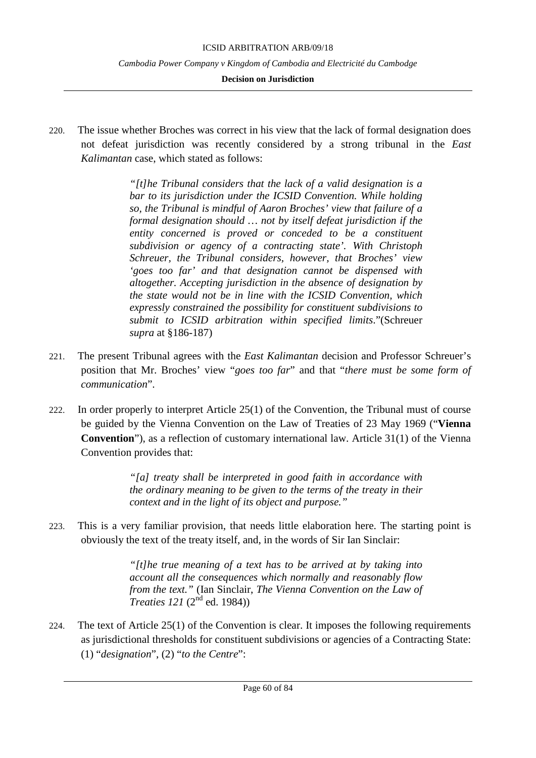#### **Decision on Jurisdiction**

220. The issue whether Broches was correct in his view that the lack of formal designation does not defeat jurisdiction was recently considered by a strong tribunal in the *East Kalimantan* case, which stated as follows:

> *"[t]he Tribunal considers that the lack of a valid designation is a bar to its jurisdiction under the ICSID Convention. While holding so, the Tribunal is mindful of Aaron Broches' view that failure of a formal designation should … not by itself defeat jurisdiction if the entity concerned is proved or conceded to be a constituent subdivision or agency of a contracting state'. With Christoph Schreuer, the Tribunal considers, however, that Broches' view 'goes too far' and that designation cannot be dispensed with altogether. Accepting jurisdiction in the absence of designation by the state would not be in line with the ICSID Convention, which expressly constrained the possibility for constituent subdivisions to submit to ICSID arbitration within specified limits*."(Schreuer *supra* at §186-187)

- 221. The present Tribunal agrees with the *East Kalimantan* decision and Professor Schreuer's position that Mr. Broches' view "*goes too far*" and that "*there must be some form of communication*".
- 222. In order properly to interpret Article 25(1) of the Convention, the Tribunal must of course be guided by the Vienna Convention on the Law of Treaties of 23 May 1969 ("**Vienna Convention**"), as a reflection of customary international law. Article 31(1) of the Vienna Convention provides that:

*"[a] treaty shall be interpreted in good faith in accordance with the ordinary meaning to be given to the terms of the treaty in their context and in the light of its object and purpose."*

223. This is a very familiar provision, that needs little elaboration here. The starting point is obviously the text of the treaty itself, and, in the words of Sir Ian Sinclair:

> *"[t]he true meaning of a text has to be arrived at by taking into account all the consequences which normally and reasonably flow from the text."* (Ian Sinclair, *The Vienna Convention on the Law of Treaties 121* (2<sup>nd</sup> ed. 1984))

224. The text of Article 25(1) of the Convention is clear. It imposes the following requirements as jurisdictional thresholds for constituent subdivisions or agencies of a Contracting State: (1) "*designation*", (2) "*to the Centre*":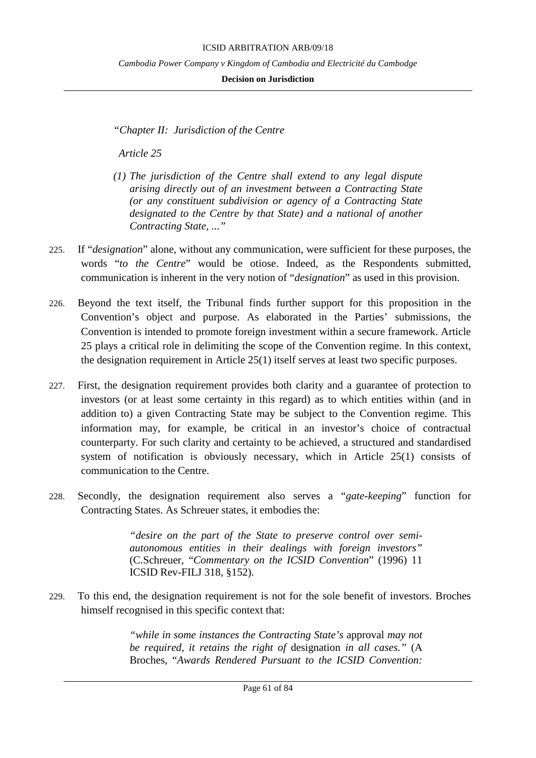#### ICSID ARBITRATION ARB/09/18

*Cambodia Power Company v Kingdom of Cambodia and Electricité du Cambodge*

### **Decision on Jurisdiction**

*"Chapter II: Jurisdiction of the Centre*

 *Article 25*

- *(1) The jurisdiction of the Centre shall extend to any legal dispute arising directly out of an investment between a Contracting State (or any constituent subdivision or agency of a Contracting State designated to the Centre by that State) and a national of another Contracting State, ..."*
- 225. If "*designation*" alone, without any communication, were sufficient for these purposes, the words "*to the Centre*" would be otiose. Indeed, as the Respondents submitted, communication is inherent in the very notion of "*designation*" as used in this provision.
- 226. Beyond the text itself, the Tribunal finds further support for this proposition in the Convention's object and purpose. As elaborated in the Parties' submissions, the Convention is intended to promote foreign investment within a secure framework. Article 25 plays a critical role in delimiting the scope of the Convention regime. In this context, the designation requirement in Article 25(1) itself serves at least two specific purposes.
- 227. First, the designation requirement provides both clarity and a guarantee of protection to investors (or at least some certainty in this regard) as to which entities within (and in addition to) a given Contracting State may be subject to the Convention regime. This information may, for example, be critical in an investor's choice of contractual counterparty. For such clarity and certainty to be achieved, a structured and standardised system of notification is obviously necessary, which in Article 25(1) consists of communication to the Centre.
- 228. Secondly, the designation requirement also serves a "*gate-keeping*" function for Contracting States. As Schreuer states, it embodies the:

*"desire on the part of the State to preserve control over semiautonomous entities in their dealings with foreign investors"*  (C.Schreuer, "*Commentary on the ICSID Convention*" (1996) 11 ICSID Rev-FILJ 318, §152).

229. To this end, the designation requirement is not for the sole benefit of investors. Broches himself recognised in this specific context that:

> *"while in some instances the Contracting State's* approval *may not be required, it retains the right of* designation *in all cases."* (A Broches, "*Awards Rendered Pursuant to the ICSID Convention:*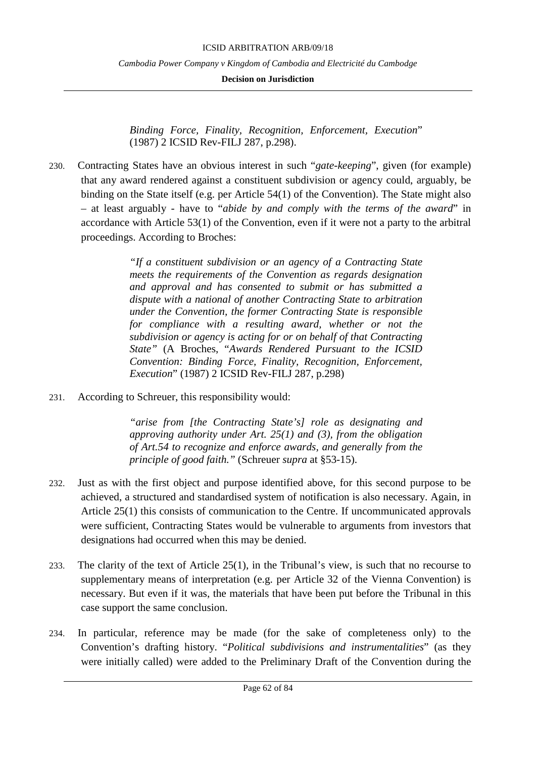**Decision on Jurisdiction**

*Binding Force, Finality, Recognition, Enforcement, Execution*" (1987) 2 ICSID Rev-FILJ 287, p.298).

230. Contracting States have an obvious interest in such "*gate-keeping*", given (for example) that any award rendered against a constituent subdivision or agency could, arguably, be binding on the State itself (e.g. per Article 54(1) of the Convention). The State might also – at least arguably - have to "*abide by and comply with the terms of the award*" in accordance with Article 53(1) of the Convention, even if it were not a party to the arbitral proceedings. According to Broches:

> *"If a constituent subdivision or an agency of a Contracting State meets the requirements of the Convention as regards designation and approval and has consented to submit or has submitted a dispute with a national of another Contracting State to arbitration under the Convention, the former Contracting State is responsible for compliance with a resulting award, whether or not the subdivision or agency is acting for or on behalf of that Contracting State"* (A Broches, "*Awards Rendered Pursuant to the ICSID Convention: Binding Force, Finality, Recognition, Enforcement, Execution*" (1987) 2 ICSID Rev-FILJ 287, p.298)

231. According to Schreuer, this responsibility would:

*"arise from [the Contracting State's] role as designating and approving authority under Art. 25(1) and (3), from the obligation of Art.54 to recognize and enforce awards, and generally from the principle of good faith."* (Schreuer *supra* at §53-15).

- 232. Just as with the first object and purpose identified above, for this second purpose to be achieved, a structured and standardised system of notification is also necessary. Again, in Article 25(1) this consists of communication to the Centre. If uncommunicated approvals were sufficient, Contracting States would be vulnerable to arguments from investors that designations had occurred when this may be denied.
- 233. The clarity of the text of Article 25(1), in the Tribunal's view, is such that no recourse to supplementary means of interpretation (e.g. per Article 32 of the Vienna Convention) is necessary. But even if it was, the materials that have been put before the Tribunal in this case support the same conclusion.
- 234. In particular, reference may be made (for the sake of completeness only) to the Convention's drafting history. "*Political subdivisions and instrumentalities*" (as they were initially called) were added to the Preliminary Draft of the Convention during the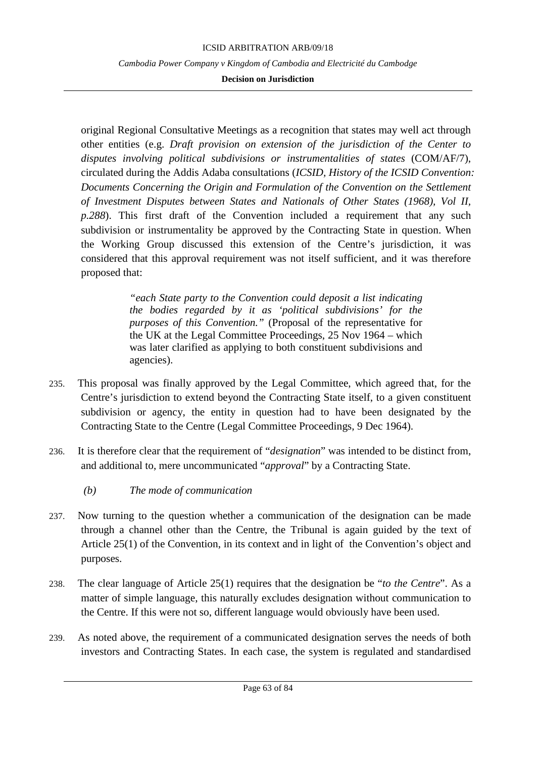### **Decision on Jurisdiction**

original Regional Consultative Meetings as a recognition that states may well act through other entities (e.g. *Draft provision on extension of the jurisdiction of the Center to disputes involving political subdivisions or instrumentalities of states* (COM/AF/7), circulated during the Addis Adaba consultations (*ICSID, History of the ICSID Convention: Documents Concerning the Origin and Formulation of the Convention on the Settlement of Investment Disputes between States and Nationals of Other States (1968), Vol II, p.288*). This first draft of the Convention included a requirement that any such subdivision or instrumentality be approved by the Contracting State in question. When the Working Group discussed this extension of the Centre's jurisdiction, it was considered that this approval requirement was not itself sufficient, and it was therefore proposed that:

> *"each State party to the Convention could deposit a list indicating the bodies regarded by it as 'political subdivisions' for the purposes of this Convention."* (Proposal of the representative for the UK at the Legal Committee Proceedings, 25 Nov 1964 – which was later clarified as applying to both constituent subdivisions and agencies).

- 235. This proposal was finally approved by the Legal Committee, which agreed that, for the Centre's jurisdiction to extend beyond the Contracting State itself, to a given constituent subdivision or agency, the entity in question had to have been designated by the Contracting State to the Centre (Legal Committee Proceedings, 9 Dec 1964).
- 236. It is therefore clear that the requirement of "*designation*" was intended to be distinct from, and additional to, mere uncommunicated "*approval*" by a Contracting State.
	- *(b) The mode of communication*
- 237. Now turning to the question whether a communication of the designation can be made through a channel other than the Centre, the Tribunal is again guided by the text of Article 25(1) of the Convention, in its context and in light of the Convention's object and purposes.
- 238. The clear language of Article 25(1) requires that the designation be "*to the Centre*". As a matter of simple language, this naturally excludes designation without communication to the Centre. If this were not so, different language would obviously have been used.
- 239. As noted above, the requirement of a communicated designation serves the needs of both investors and Contracting States. In each case, the system is regulated and standardised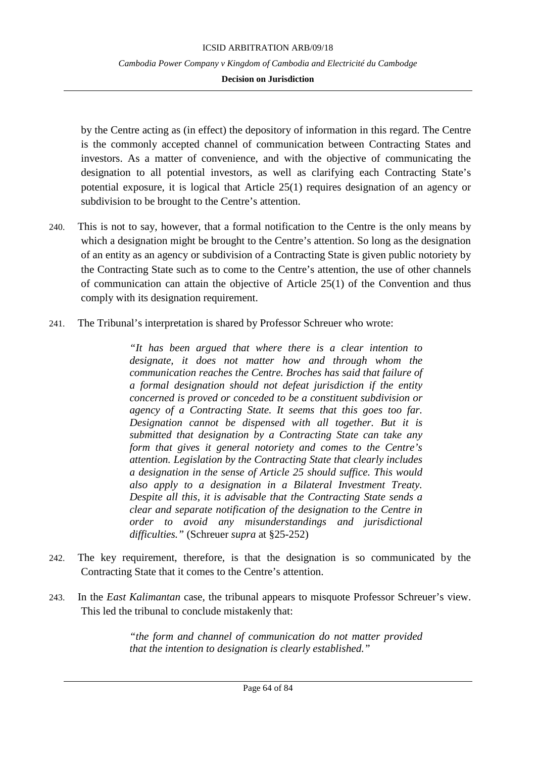### **Decision on Jurisdiction**

by the Centre acting as (in effect) the depository of information in this regard. The Centre is the commonly accepted channel of communication between Contracting States and investors. As a matter of convenience, and with the objective of communicating the designation to all potential investors, as well as clarifying each Contracting State's potential exposure, it is logical that Article 25(1) requires designation of an agency or subdivision to be brought to the Centre's attention.

- 240. This is not to say, however, that a formal notification to the Centre is the only means by which a designation might be brought to the Centre's attention. So long as the designation of an entity as an agency or subdivision of a Contracting State is given public notoriety by the Contracting State such as to come to the Centre's attention, the use of other channels of communication can attain the objective of Article 25(1) of the Convention and thus comply with its designation requirement.
- 241. The Tribunal's interpretation is shared by Professor Schreuer who wrote:

*"It has been argued that where there is a clear intention to designate, it does not matter how and through whom the communication reaches the Centre. Broches has said that failure of a formal designation should not defeat jurisdiction if the entity concerned is proved or conceded to be a constituent subdivision or agency of a Contracting State. It seems that this goes too far. Designation cannot be dispensed with all together. But it is submitted that designation by a Contracting State can take any form that gives it general notoriety and comes to the Centre's attention. Legislation by the Contracting State that clearly includes a designation in the sense of Article 25 should suffice. This would also apply to a designation in a Bilateral Investment Treaty. Despite all this, it is advisable that the Contracting State sends a clear and separate notification of the designation to the Centre in order to avoid any misunderstandings and jurisdictional difficulties."* (Schreuer *supra* at §25-252)

- 242. The key requirement, therefore, is that the designation is so communicated by the Contracting State that it comes to the Centre's attention.
- 243. In the *East Kalimantan* case, the tribunal appears to misquote Professor Schreuer's view. This led the tribunal to conclude mistakenly that:

*"the form and channel of communication do not matter provided that the intention to designation is clearly established."*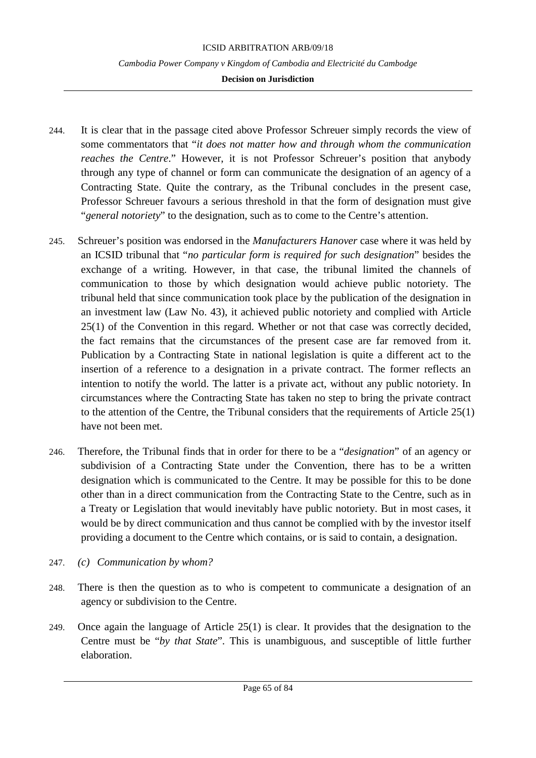### **Decision on Jurisdiction**

- 244. It is clear that in the passage cited above Professor Schreuer simply records the view of some commentators that "*it does not matter how and through whom the communication reaches the Centre*." However, it is not Professor Schreuer's position that anybody through any type of channel or form can communicate the designation of an agency of a Contracting State. Quite the contrary, as the Tribunal concludes in the present case, Professor Schreuer favours a serious threshold in that the form of designation must give "*general notoriety*" to the designation, such as to come to the Centre's attention.
- 245. Schreuer's position was endorsed in the *Manufacturers Hanover* case where it was held by an ICSID tribunal that "*no particular form is required for such designation*" besides the exchange of a writing. However, in that case, the tribunal limited the channels of communication to those by which designation would achieve public notoriety. The tribunal held that since communication took place by the publication of the designation in an investment law (Law No. 43), it achieved public notoriety and complied with Article 25(1) of the Convention in this regard. Whether or not that case was correctly decided, the fact remains that the circumstances of the present case are far removed from it. Publication by a Contracting State in national legislation is quite a different act to the insertion of a reference to a designation in a private contract. The former reflects an intention to notify the world. The latter is a private act, without any public notoriety. In circumstances where the Contracting State has taken no step to bring the private contract to the attention of the Centre, the Tribunal considers that the requirements of Article 25(1) have not been met.
- 246. Therefore, the Tribunal finds that in order for there to be a "*designation*" of an agency or subdivision of a Contracting State under the Convention, there has to be a written designation which is communicated to the Centre. It may be possible for this to be done other than in a direct communication from the Contracting State to the Centre, such as in a Treaty or Legislation that would inevitably have public notoriety. But in most cases, it would be by direct communication and thus cannot be complied with by the investor itself providing a document to the Centre which contains, or is said to contain, a designation.
- 247. *(c) Communication by whom?*
- 248. There is then the question as to who is competent to communicate a designation of an agency or subdivision to the Centre.
- 249. Once again the language of Article 25(1) is clear. It provides that the designation to the Centre must be "*by that State*". This is unambiguous, and susceptible of little further elaboration.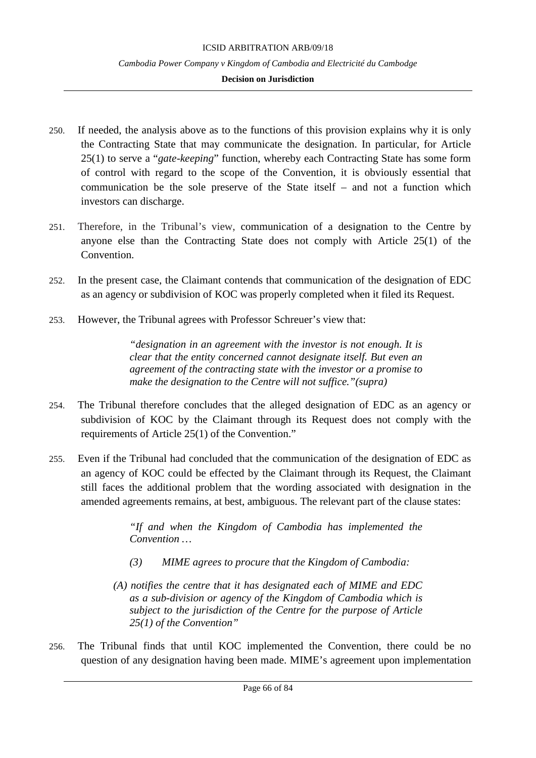#### **Decision on Jurisdiction**

- 250. If needed, the analysis above as to the functions of this provision explains why it is only the Contracting State that may communicate the designation. In particular, for Article 25(1) to serve a "*gate-keeping*" function, whereby each Contracting State has some form of control with regard to the scope of the Convention, it is obviously essential that communication be the sole preserve of the State itself – and not a function which investors can discharge.
- 251. Therefore, in the Tribunal's view, communication of a designation to the Centre by anyone else than the Contracting State does not comply with Article 25(1) of the Convention.
- 252. In the present case, the Claimant contends that communication of the designation of EDC as an agency or subdivision of KOC was properly completed when it filed its Request.
- 253. However, the Tribunal agrees with Professor Schreuer's view that:

*"designation in an agreement with the investor is not enough. It is clear that the entity concerned cannot designate itself. But even an agreement of the contracting state with the investor or a promise to make the designation to the Centre will not suffice."(supra)*

- 254. The Tribunal therefore concludes that the alleged designation of EDC as an agency or subdivision of KOC by the Claimant through its Request does not comply with the requirements of Article 25(1) of the Convention."
- 255. Even if the Tribunal had concluded that the communication of the designation of EDC as an agency of KOC could be effected by the Claimant through its Request, the Claimant still faces the additional problem that the wording associated with designation in the amended agreements remains, at best, ambiguous. The relevant part of the clause states:

*"If and when the Kingdom of Cambodia has implemented the Convention …*

- *(3) MIME agrees to procure that the Kingdom of Cambodia:*
- *(A) notifies the centre that it has designated each of MIME and EDC as a sub-division or agency of the Kingdom of Cambodia which is subject to the jurisdiction of the Centre for the purpose of Article 25(1) of the Convention"*
- 256. The Tribunal finds that until KOC implemented the Convention, there could be no question of any designation having been made. MIME's agreement upon implementation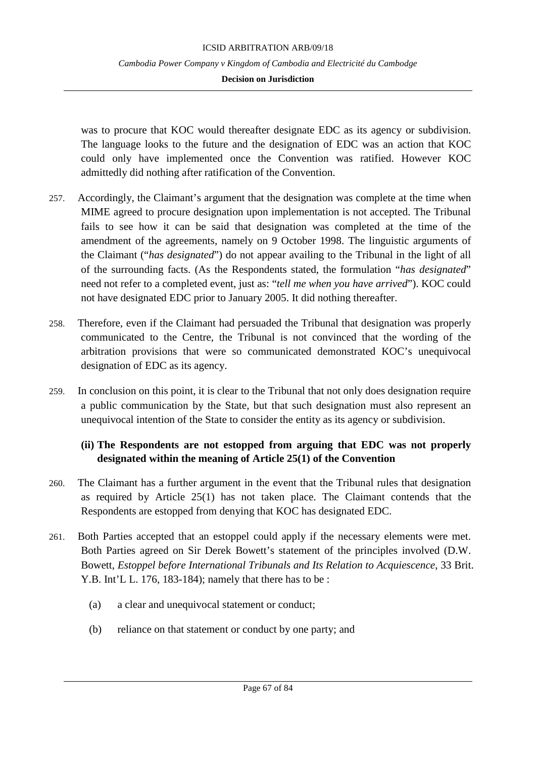was to procure that KOC would thereafter designate EDC as its agency or subdivision. The language looks to the future and the designation of EDC was an action that KOC could only have implemented once the Convention was ratified. However KOC admittedly did nothing after ratification of the Convention.

- 257. Accordingly, the Claimant's argument that the designation was complete at the time when MIME agreed to procure designation upon implementation is not accepted. The Tribunal fails to see how it can be said that designation was completed at the time of the amendment of the agreements, namely on 9 October 1998. The linguistic arguments of the Claimant ("*has designated*") do not appear availing to the Tribunal in the light of all of the surrounding facts. (As the Respondents stated, the formulation "*has designated*" need not refer to a completed event, just as: "*tell me when you have arrived*"). KOC could not have designated EDC prior to January 2005. It did nothing thereafter.
- 258. Therefore, even if the Claimant had persuaded the Tribunal that designation was properly communicated to the Centre, the Tribunal is not convinced that the wording of the arbitration provisions that were so communicated demonstrated KOC's unequivocal designation of EDC as its agency.
- 259. In conclusion on this point, it is clear to the Tribunal that not only does designation require a public communication by the State, but that such designation must also represent an unequivocal intention of the State to consider the entity as its agency or subdivision.

# **(ii) The Respondents are not estopped from arguing that EDC was not properly designated within the meaning of Article 25(1) of the Convention**

- 260. The Claimant has a further argument in the event that the Tribunal rules that designation as required by Article 25(1) has not taken place. The Claimant contends that the Respondents are estopped from denying that KOC has designated EDC.
- 261. Both Parties accepted that an estoppel could apply if the necessary elements were met. Both Parties agreed on Sir Derek Bowett's statement of the principles involved (D.W. Bowett, *Estoppel before International Tribunals and Its Relation to Acquiescence*, 33 Brit. Y.B. Int'L L. 176, 183-184); namely that there has to be :
	- (a) a clear and unequivocal statement or conduct;
	- (b) reliance on that statement or conduct by one party; and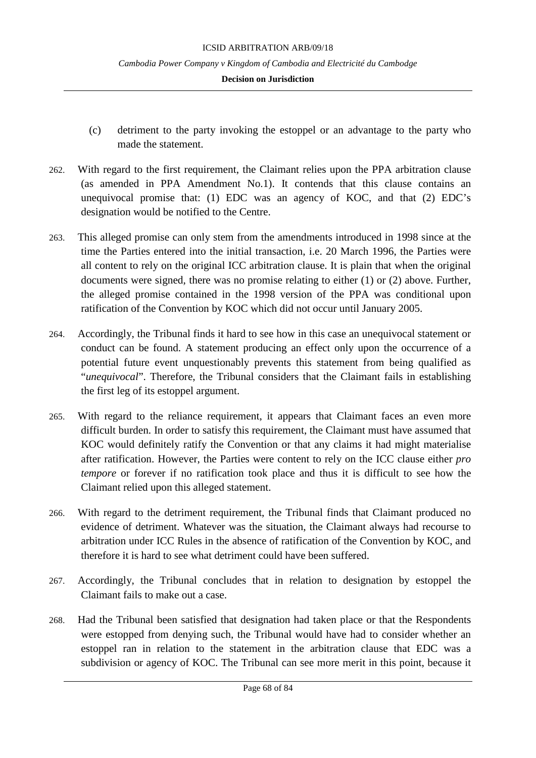#### **Decision on Jurisdiction**

- (c) detriment to the party invoking the estoppel or an advantage to the party who made the statement.
- 262. With regard to the first requirement, the Claimant relies upon the PPA arbitration clause (as amended in PPA Amendment No.1). It contends that this clause contains an unequivocal promise that: (1) EDC was an agency of KOC, and that (2) EDC's designation would be notified to the Centre.
- 263. This alleged promise can only stem from the amendments introduced in 1998 since at the time the Parties entered into the initial transaction, i.e. 20 March 1996, the Parties were all content to rely on the original ICC arbitration clause. It is plain that when the original documents were signed, there was no promise relating to either (1) or (2) above. Further, the alleged promise contained in the 1998 version of the PPA was conditional upon ratification of the Convention by KOC which did not occur until January 2005.
- 264. Accordingly, the Tribunal finds it hard to see how in this case an unequivocal statement or conduct can be found. A statement producing an effect only upon the occurrence of a potential future event unquestionably prevents this statement from being qualified as "*unequivocal*". Therefore, the Tribunal considers that the Claimant fails in establishing the first leg of its estoppel argument.
- 265. With regard to the reliance requirement, it appears that Claimant faces an even more difficult burden. In order to satisfy this requirement, the Claimant must have assumed that KOC would definitely ratify the Convention or that any claims it had might materialise after ratification. However, the Parties were content to rely on the ICC clause either *pro tempore* or forever if no ratification took place and thus it is difficult to see how the Claimant relied upon this alleged statement.
- 266. With regard to the detriment requirement, the Tribunal finds that Claimant produced no evidence of detriment. Whatever was the situation, the Claimant always had recourse to arbitration under ICC Rules in the absence of ratification of the Convention by KOC, and therefore it is hard to see what detriment could have been suffered.
- 267. Accordingly, the Tribunal concludes that in relation to designation by estoppel the Claimant fails to make out a case.
- 268. Had the Tribunal been satisfied that designation had taken place or that the Respondents were estopped from denying such, the Tribunal would have had to consider whether an estoppel ran in relation to the statement in the arbitration clause that EDC was a subdivision or agency of KOC. The Tribunal can see more merit in this point, because it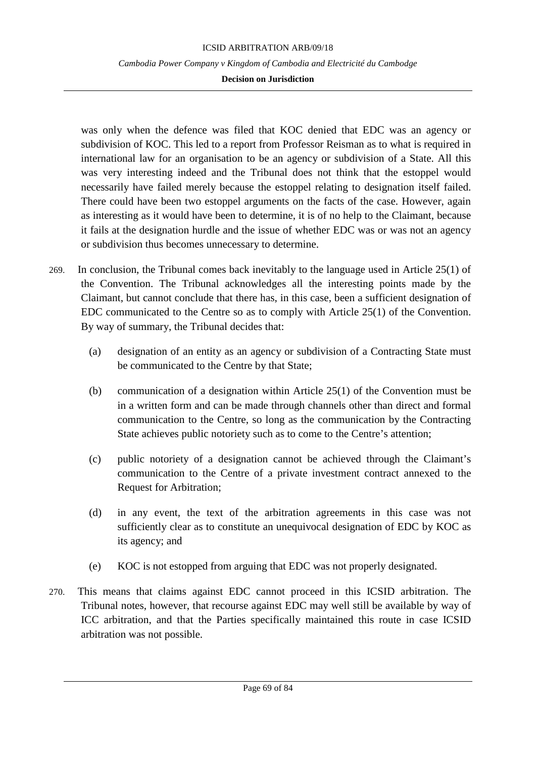**Decision on Jurisdiction**

was only when the defence was filed that KOC denied that EDC was an agency or subdivision of KOC. This led to a report from Professor Reisman as to what is required in international law for an organisation to be an agency or subdivision of a State. All this was very interesting indeed and the Tribunal does not think that the estoppel would necessarily have failed merely because the estoppel relating to designation itself failed. There could have been two estoppel arguments on the facts of the case. However, again as interesting as it would have been to determine, it is of no help to the Claimant, because it fails at the designation hurdle and the issue of whether EDC was or was not an agency or subdivision thus becomes unnecessary to determine.

- 269. In conclusion, the Tribunal comes back inevitably to the language used in Article 25(1) of the Convention. The Tribunal acknowledges all the interesting points made by the Claimant, but cannot conclude that there has, in this case, been a sufficient designation of EDC communicated to the Centre so as to comply with Article 25(1) of the Convention. By way of summary, the Tribunal decides that:
	- (a) designation of an entity as an agency or subdivision of a Contracting State must be communicated to the Centre by that State;
	- (b) communication of a designation within Article 25(1) of the Convention must be in a written form and can be made through channels other than direct and formal communication to the Centre, so long as the communication by the Contracting State achieves public notoriety such as to come to the Centre's attention;
	- (c) public notoriety of a designation cannot be achieved through the Claimant's communication to the Centre of a private investment contract annexed to the Request for Arbitration;
	- (d) in any event, the text of the arbitration agreements in this case was not sufficiently clear as to constitute an unequivocal designation of EDC by KOC as its agency; and
	- (e) KOC is not estopped from arguing that EDC was not properly designated.
- 270. This means that claims against EDC cannot proceed in this ICSID arbitration. The Tribunal notes, however, that recourse against EDC may well still be available by way of ICC arbitration, and that the Parties specifically maintained this route in case ICSID arbitration was not possible.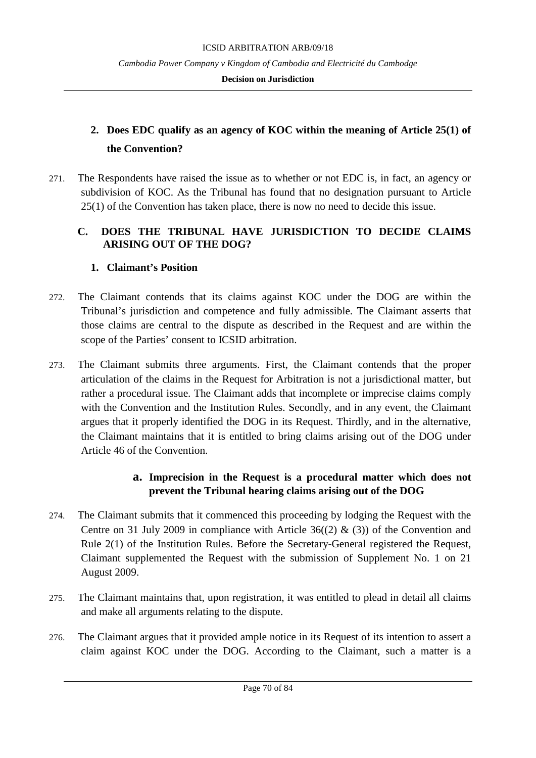### **Decision on Jurisdiction**

# **2. Does EDC qualify as an agency of KOC within the meaning of Article 25(1) of the Convention?**

271. The Respondents have raised the issue as to whether or not EDC is, in fact, an agency or subdivision of KOC. As the Tribunal has found that no designation pursuant to Article 25(1) of the Convention has taken place, there is now no need to decide this issue.

# **C. DOES THE TRIBUNAL HAVE JURISDICTION TO DECIDE CLAIMS ARISING OUT OF THE DOG?**

# **1. Claimant's Position**

- 272. The Claimant contends that its claims against KOC under the DOG are within the Tribunal's jurisdiction and competence and fully admissible. The Claimant asserts that those claims are central to the dispute as described in the Request and are within the scope of the Parties' consent to ICSID arbitration.
- 273. The Claimant submits three arguments. First, the Claimant contends that the proper articulation of the claims in the Request for Arbitration is not a jurisdictional matter, but rather a procedural issue. The Claimant adds that incomplete or imprecise claims comply with the Convention and the Institution Rules. Secondly, and in any event, the Claimant argues that it properly identified the DOG in its Request. Thirdly, and in the alternative, the Claimant maintains that it is entitled to bring claims arising out of the DOG under Article 46 of the Convention.

# **a. Imprecision in the Request is a procedural matter which does not prevent the Tribunal hearing claims arising out of the DOG**

- 274. The Claimant submits that it commenced this proceeding by lodging the Request with the Centre on 31 July 2009 in compliance with Article  $36(2)$  & (3)) of the Convention and Rule 2(1) of the Institution Rules. Before the Secretary-General registered the Request, Claimant supplemented the Request with the submission of Supplement No. 1 on 21 August 2009.
- 275. The Claimant maintains that, upon registration, it was entitled to plead in detail all claims and make all arguments relating to the dispute.
- 276. The Claimant argues that it provided ample notice in its Request of its intention to assert a claim against KOC under the DOG. According to the Claimant, such a matter is a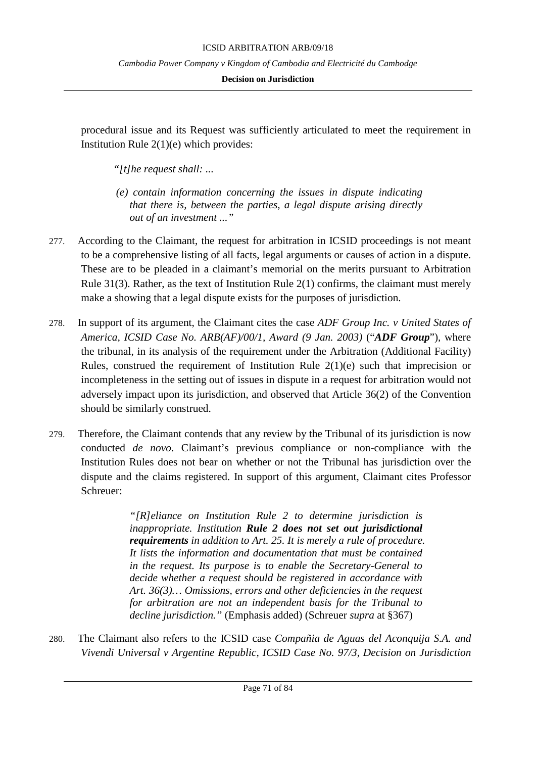### **Decision on Jurisdiction**

procedural issue and its Request was sufficiently articulated to meet the requirement in Institution Rule 2(1)(e) which provides:

*"[t]he request shall: ...*

- *(e) contain information concerning the issues in dispute indicating that there is, between the parties, a legal dispute arising directly out of an investment ..."*
- 277. According to the Claimant, the request for arbitration in ICSID proceedings is not meant to be a comprehensive listing of all facts, legal arguments or causes of action in a dispute. These are to be pleaded in a claimant's memorial on the merits pursuant to Arbitration Rule 31(3). Rather, as the text of Institution Rule 2(1) confirms, the claimant must merely make a showing that a legal dispute exists for the purposes of jurisdiction.
- 278. In support of its argument, the Claimant cites the case *ADF Group Inc. v United States of America, ICSID Case No. ARB(AF)/00/1, Award (9 Jan. 2003)* ("*ADF Group*")*,* where the tribunal, in its analysis of the requirement under the Arbitration (Additional Facility) Rules, construed the requirement of Institution Rule 2(1)(e) such that imprecision or incompleteness in the setting out of issues in dispute in a request for arbitration would not adversely impact upon its jurisdiction, and observed that Article 36(2) of the Convention should be similarly construed.
- 279. Therefore, the Claimant contends that any review by the Tribunal of its jurisdiction is now conducted *de novo*. Claimant's previous compliance or non-compliance with the Institution Rules does not bear on whether or not the Tribunal has jurisdiction over the dispute and the claims registered. In support of this argument, Claimant cites Professor Schreuer:

*"[R]eliance on Institution Rule 2 to determine jurisdiction is inappropriate. Institution Rule 2 does not set out jurisdictional requirements in addition to Art. 25. It is merely a rule of procedure. It lists the information and documentation that must be contained in the request. Its purpose is to enable the Secretary-General to decide whether a request should be registered in accordance with Art. 36(3)… Omissions, errors and other deficiencies in the request for arbitration are not an independent basis for the Tribunal to decline jurisdiction."* (Emphasis added) (Schreuer *supra* at §367)

280. The Claimant also refers to the ICSID case *Compañia de Aguas del Aconquija S.A. and Vivendi Universal v Argentine Republic, ICSID Case No. 97/3, Decision on Jurisdiction*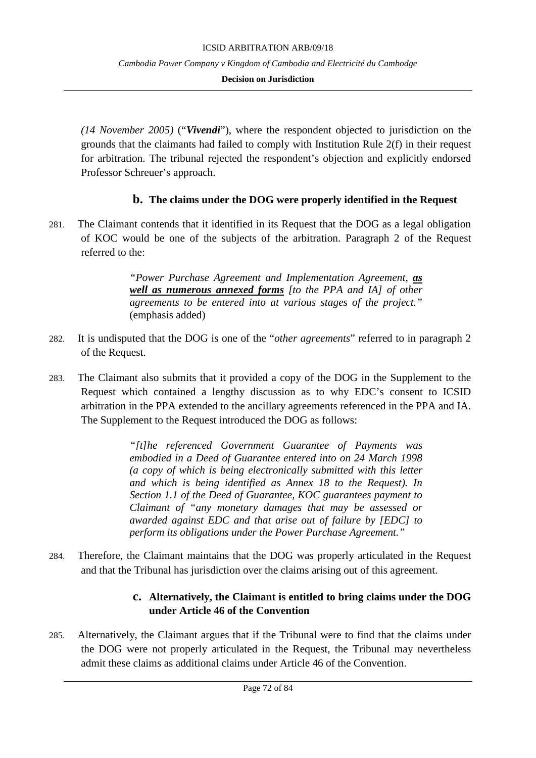### **Decision on Jurisdiction**

*(14 November 2005)* ("*Vivendi*"), where the respondent objected to jurisdiction on the grounds that the claimants had failed to comply with Institution Rule 2(f) in their request for arbitration. The tribunal rejected the respondent's objection and explicitly endorsed Professor Schreuer's approach.

# **b. The claims under the DOG were properly identified in the Request**

281. The Claimant contends that it identified in its Request that the DOG as a legal obligation of KOC would be one of the subjects of the arbitration. Paragraph 2 of the Request referred to the:

> *"Power Purchase Agreement and Implementation Agreement, as well as numerous annexed forms [to the PPA and IA] of other agreements to be entered into at various stages of the project."*  (emphasis added)

- 282. It is undisputed that the DOG is one of the "*other agreements*" referred to in paragraph 2 of the Request.
- 283. The Claimant also submits that it provided a copy of the DOG in the Supplement to the Request which contained a lengthy discussion as to why EDC's consent to ICSID arbitration in the PPA extended to the ancillary agreements referenced in the PPA and IA. The Supplement to the Request introduced the DOG as follows:

*"[t]he referenced Government Guarantee of Payments was embodied in a Deed of Guarantee entered into on 24 March 1998 (a copy of which is being electronically submitted with this letter and which is being identified as Annex 18 to the Request). In Section 1.1 of the Deed of Guarantee, KOC guarantees payment to Claimant of "any monetary damages that may be assessed or awarded against EDC and that arise out of failure by [EDC] to perform its obligations under the Power Purchase Agreement."*

284. Therefore, the Claimant maintains that the DOG was properly articulated in the Request and that the Tribunal has jurisdiction over the claims arising out of this agreement.

# **c. Alternatively, the Claimant is entitled to bring claims under the DOG under Article 46 of the Convention**

285. Alternatively, the Claimant argues that if the Tribunal were to find that the claims under the DOG were not properly articulated in the Request, the Tribunal may nevertheless admit these claims as additional claims under Article 46 of the Convention.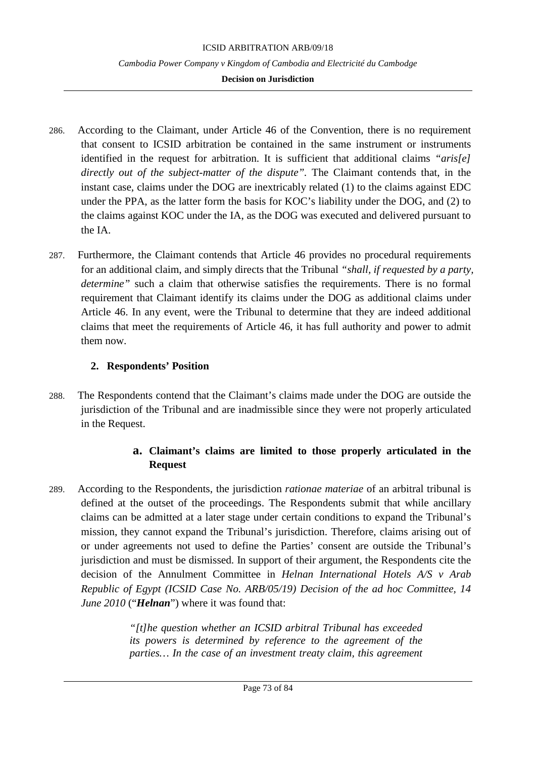#### **Decision on Jurisdiction**

- 286. According to the Claimant, under Article 46 of the Convention, there is no requirement that consent to ICSID arbitration be contained in the same instrument or instruments identified in the request for arbitration. It is sufficient that additional claims *"aris[e] directly out of the subject-matter of the dispute".* The Claimant contends that, in the instant case, claims under the DOG are inextricably related (1) to the claims against EDC under the PPA, as the latter form the basis for KOC's liability under the DOG, and (2) to the claims against KOC under the IA, as the DOG was executed and delivered pursuant to the IA.
- 287. Furthermore, the Claimant contends that Article 46 provides no procedural requirements for an additional claim, and simply directs that the Tribunal *"shall, if requested by a party, determine"* such a claim that otherwise satisfies the requirements. There is no formal requirement that Claimant identify its claims under the DOG as additional claims under Article 46. In any event, were the Tribunal to determine that they are indeed additional claims that meet the requirements of Article 46, it has full authority and power to admit them now.

## **2. Respondents' Position**

288. The Respondents contend that the Claimant's claims made under the DOG are outside the jurisdiction of the Tribunal and are inadmissible since they were not properly articulated in the Request.

# **a. Claimant's claims are limited to those properly articulated in the Request**

289. According to the Respondents, the jurisdiction *rationae materiae* of an arbitral tribunal is defined at the outset of the proceedings. The Respondents submit that while ancillary claims can be admitted at a later stage under certain conditions to expand the Tribunal's mission, they cannot expand the Tribunal's jurisdiction. Therefore, claims arising out of or under agreements not used to define the Parties' consent are outside the Tribunal's jurisdiction and must be dismissed. In support of their argument, the Respondents cite the decision of the Annulment Committee in *Helnan International Hotels A/S v Arab Republic of Egypt (ICSID Case No. ARB/05/19) Decision of the ad hoc Committee, 14 June 2010* ("*Helnan*") where it was found that:

> *"[t]he question whether an ICSID arbitral Tribunal has exceeded its powers is determined by reference to the agreement of the parties… In the case of an investment treaty claim, this agreement*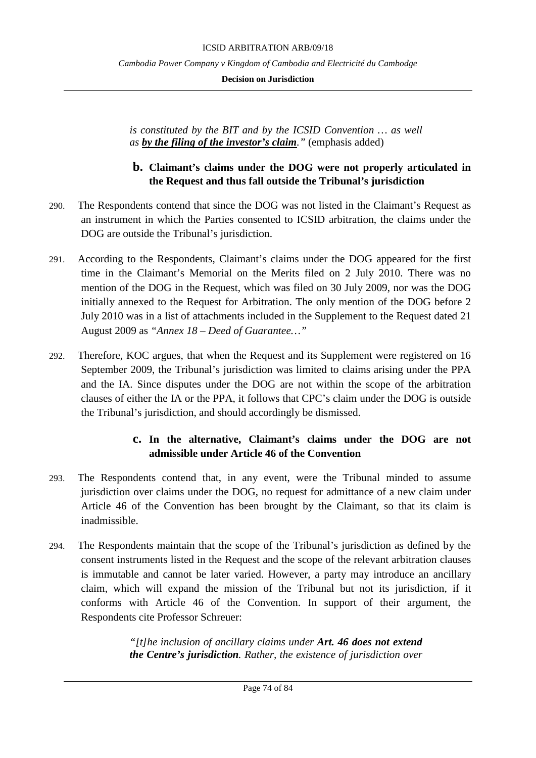**Decision on Jurisdiction**

*is constituted by the BIT and by the ICSID Convention … as well as by the filing of the investor's claim."* (emphasis added)

## **b. Claimant's claims under the DOG were not properly articulated in the Request and thus fall outside the Tribunal's jurisdiction**

- 290. The Respondents contend that since the DOG was not listed in the Claimant's Request as an instrument in which the Parties consented to ICSID arbitration, the claims under the DOG are outside the Tribunal's jurisdiction.
- 291. According to the Respondents, Claimant's claims under the DOG appeared for the first time in the Claimant's Memorial on the Merits filed on 2 July 2010. There was no mention of the DOG in the Request, which was filed on 30 July 2009, nor was the DOG initially annexed to the Request for Arbitration. The only mention of the DOG before 2 July 2010 was in a list of attachments included in the Supplement to the Request dated 21 August 2009 as *"Annex 18 – Deed of Guarantee…"*
- 292. Therefore, KOC argues, that when the Request and its Supplement were registered on 16 September 2009, the Tribunal's jurisdiction was limited to claims arising under the PPA and the IA. Since disputes under the DOG are not within the scope of the arbitration clauses of either the IA or the PPA, it follows that CPC's claim under the DOG is outside the Tribunal's jurisdiction, and should accordingly be dismissed.

# **c. In the alternative, Claimant's claims under the DOG are not admissible under Article 46 of the Convention**

- 293. The Respondents contend that, in any event, were the Tribunal minded to assume jurisdiction over claims under the DOG, no request for admittance of a new claim under Article 46 of the Convention has been brought by the Claimant, so that its claim is inadmissible.
- 294. The Respondents maintain that the scope of the Tribunal's jurisdiction as defined by the consent instruments listed in the Request and the scope of the relevant arbitration clauses is immutable and cannot be later varied. However, a party may introduce an ancillary claim, which will expand the mission of the Tribunal but not its jurisdiction, if it conforms with Article 46 of the Convention. In support of their argument, the Respondents cite Professor Schreuer:

*"[t]he inclusion of ancillary claims under Art. 46 does not extend the Centre's jurisdiction. Rather, the existence of jurisdiction over*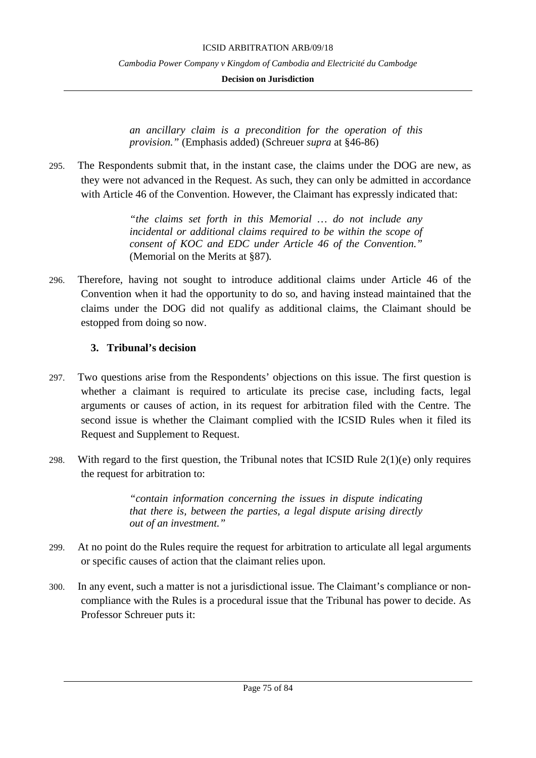**Decision on Jurisdiction**

*an ancillary claim is a precondition for the operation of this provision."* (Emphasis added) (Schreuer *supra* at §46-86)

295. The Respondents submit that, in the instant case, the claims under the DOG are new, as they were not advanced in the Request. As such, they can only be admitted in accordance with Article 46 of the Convention. However, the Claimant has expressly indicated that:

> *"the claims set forth in this Memorial … do not include any incidental or additional claims required to be within the scope of consent of KOC and EDC under Article 46 of the Convention."*  (Memorial on the Merits at §87)*.*

296. Therefore, having not sought to introduce additional claims under Article 46 of the Convention when it had the opportunity to do so, and having instead maintained that the claims under the DOG did not qualify as additional claims, the Claimant should be estopped from doing so now.

## **3. Tribunal's decision**

- 297. Two questions arise from the Respondents' objections on this issue. The first question is whether a claimant is required to articulate its precise case, including facts, legal arguments or causes of action, in its request for arbitration filed with the Centre. The second issue is whether the Claimant complied with the ICSID Rules when it filed its Request and Supplement to Request.
- 298. With regard to the first question, the Tribunal notes that ICSID Rule  $2(1)(e)$  only requires the request for arbitration to:

*"contain information concerning the issues in dispute indicating that there is, between the parties, a legal dispute arising directly out of an investment."*

- 299. At no point do the Rules require the request for arbitration to articulate all legal arguments or specific causes of action that the claimant relies upon.
- 300. In any event, such a matter is not a jurisdictional issue. The Claimant's compliance or noncompliance with the Rules is a procedural issue that the Tribunal has power to decide. As Professor Schreuer puts it: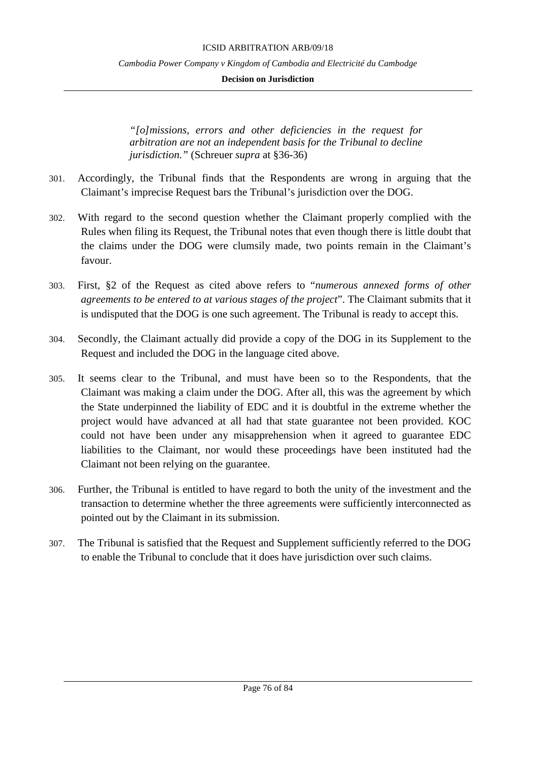**Decision on Jurisdiction**

*"[o]missions, errors and other deficiencies in the request for arbitration are not an independent basis for the Tribunal to decline jurisdiction."* (Schreuer *supra* at §36-36)

- 301. Accordingly, the Tribunal finds that the Respondents are wrong in arguing that the Claimant's imprecise Request bars the Tribunal's jurisdiction over the DOG.
- 302. With regard to the second question whether the Claimant properly complied with the Rules when filing its Request, the Tribunal notes that even though there is little doubt that the claims under the DOG were clumsily made, two points remain in the Claimant's favour.
- 303. First, §2 of the Request as cited above refers to "*numerous annexed forms of other agreements to be entered to at various stages of the project*". The Claimant submits that it is undisputed that the DOG is one such agreement. The Tribunal is ready to accept this.
- 304. Secondly, the Claimant actually did provide a copy of the DOG in its Supplement to the Request and included the DOG in the language cited above.
- 305. It seems clear to the Tribunal, and must have been so to the Respondents, that the Claimant was making a claim under the DOG. After all, this was the agreement by which the State underpinned the liability of EDC and it is doubtful in the extreme whether the project would have advanced at all had that state guarantee not been provided. KOC could not have been under any misapprehension when it agreed to guarantee EDC liabilities to the Claimant, nor would these proceedings have been instituted had the Claimant not been relying on the guarantee.
- 306. Further, the Tribunal is entitled to have regard to both the unity of the investment and the transaction to determine whether the three agreements were sufficiently interconnected as pointed out by the Claimant in its submission.
- 307. The Tribunal is satisfied that the Request and Supplement sufficiently referred to the DOG to enable the Tribunal to conclude that it does have jurisdiction over such claims.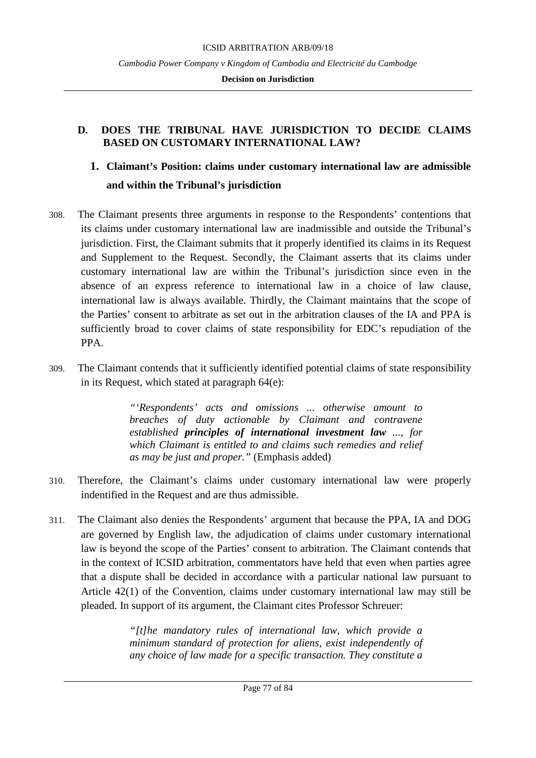## **D. DOES THE TRIBUNAL HAVE JURISDICTION TO DECIDE CLAIMS BASED ON CUSTOMARY INTERNATIONAL LAW?**

# **1. Claimant's Position: claims under customary international law are admissible and within the Tribunal's jurisdiction**

- 308. The Claimant presents three arguments in response to the Respondents' contentions that its claims under customary international law are inadmissible and outside the Tribunal's jurisdiction. First, the Claimant submits that it properly identified its claims in its Request and Supplement to the Request. Secondly, the Claimant asserts that its claims under customary international law are within the Tribunal's jurisdiction since even in the absence of an express reference to international law in a choice of law clause, international law is always available. Thirdly, the Claimant maintains that the scope of the Parties' consent to arbitrate as set out in the arbitration clauses of the IA and PPA is sufficiently broad to cover claims of state responsibility for EDC's repudiation of the PPA.
- 309. The Claimant contends that it sufficiently identified potential claims of state responsibility in its Request, which stated at paragraph 64(e):

*"'Respondents' acts and omissions ... otherwise amount to breaches of duty actionable by Claimant and contravene established principles of international investment law ..., for which Claimant is entitled to and claims such remedies and relief as may be just and proper."* (Emphasis added)

- 310. Therefore, the Claimant's claims under customary international law were properly indentified in the Request and are thus admissible.
- 311. The Claimant also denies the Respondents' argument that because the PPA, IA and DOG are governed by English law, the adjudication of claims under customary international law is beyond the scope of the Parties' consent to arbitration. The Claimant contends that in the context of ICSID arbitration, commentators have held that even when parties agree that a dispute shall be decided in accordance with a particular national law pursuant to Article 42(1) of the Convention, claims under customary international law may still be pleaded. In support of its argument, the Claimant cites Professor Schreuer:

*"[t]he mandatory rules of international law, which provide a minimum standard of protection for aliens, exist independently of any choice of law made for a specific transaction. They constitute a*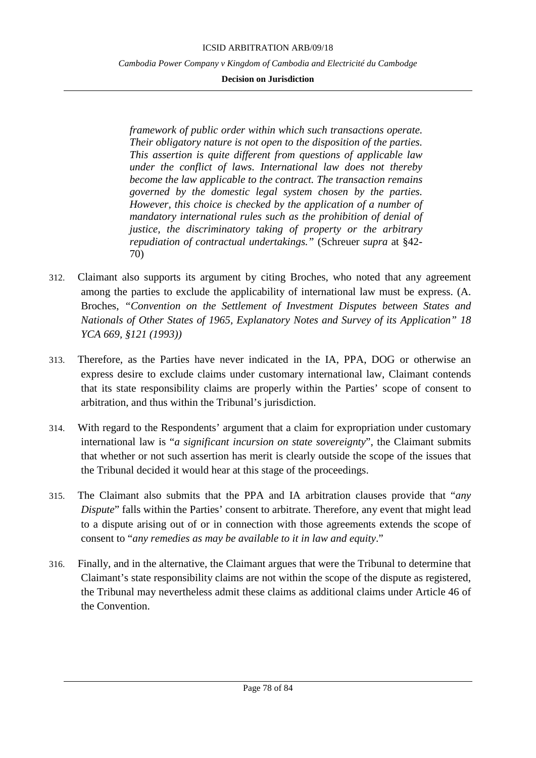#### **Decision on Jurisdiction**

*framework of public order within which such transactions operate. Their obligatory nature is not open to the disposition of the parties. This assertion is quite different from questions of applicable law under the conflict of laws. International law does not thereby become the law applicable to the contract. The transaction remains governed by the domestic legal system chosen by the parties. However, this choice is checked by the application of a number of mandatory international rules such as the prohibition of denial of justice, the discriminatory taking of property or the arbitrary repudiation of contractual undertakings."* (Schreuer *supra* at §42- 70)

- 312. Claimant also supports its argument by citing Broches, who noted that any agreement among the parties to exclude the applicability of international law must be express. (A. Broches, *"Convention on the Settlement of Investment Disputes between States and Nationals of Other States of 1965, Explanatory Notes and Survey of its Application" 18 YCA 669, §121 (1993))*
- 313. Therefore, as the Parties have never indicated in the IA, PPA, DOG or otherwise an express desire to exclude claims under customary international law, Claimant contends that its state responsibility claims are properly within the Parties' scope of consent to arbitration, and thus within the Tribunal's jurisdiction.
- 314. With regard to the Respondents' argument that a claim for expropriation under customary international law is "*a significant incursion on state sovereignty*", the Claimant submits that whether or not such assertion has merit is clearly outside the scope of the issues that the Tribunal decided it would hear at this stage of the proceedings.
- 315. The Claimant also submits that the PPA and IA arbitration clauses provide that "*any Dispute*" falls within the Parties' consent to arbitrate. Therefore, any event that might lead to a dispute arising out of or in connection with those agreements extends the scope of consent to "*any remedies as may be available to it in law and equity*."
- 316. Finally, and in the alternative, the Claimant argues that were the Tribunal to determine that Claimant's state responsibility claims are not within the scope of the dispute as registered, the Tribunal may nevertheless admit these claims as additional claims under Article 46 of the Convention.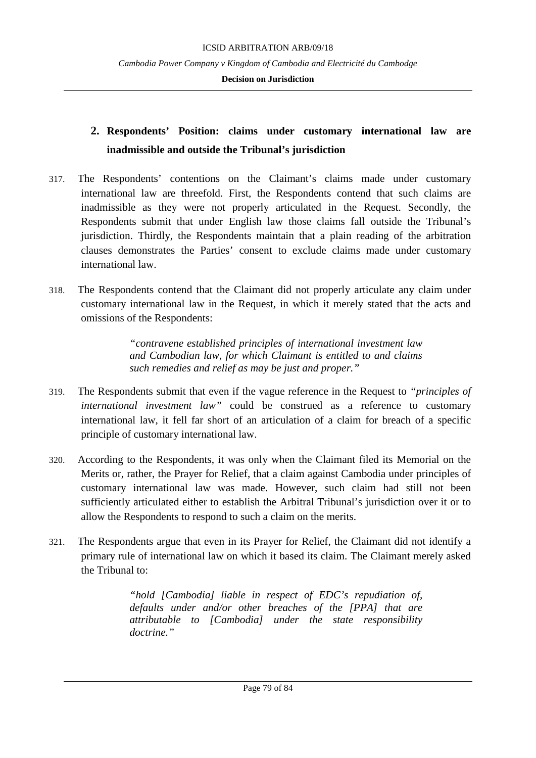#### **Decision on Jurisdiction**

# **2. Respondents' Position: claims under customary international law are inadmissible and outside the Tribunal's jurisdiction**

- 317. The Respondents' contentions on the Claimant's claims made under customary international law are threefold. First, the Respondents contend that such claims are inadmissible as they were not properly articulated in the Request. Secondly, the Respondents submit that under English law those claims fall outside the Tribunal's jurisdiction. Thirdly, the Respondents maintain that a plain reading of the arbitration clauses demonstrates the Parties' consent to exclude claims made under customary international law.
- 318. The Respondents contend that the Claimant did not properly articulate any claim under customary international law in the Request, in which it merely stated that the acts and omissions of the Respondents:

*"contravene established principles of international investment law and Cambodian law, for which Claimant is entitled to and claims such remedies and relief as may be just and proper."*

- 319. The Respondents submit that even if the vague reference in the Request to *"principles of international investment law"* could be construed as a reference to customary international law, it fell far short of an articulation of a claim for breach of a specific principle of customary international law.
- 320. According to the Respondents, it was only when the Claimant filed its Memorial on the Merits or, rather, the Prayer for Relief, that a claim against Cambodia under principles of customary international law was made. However, such claim had still not been sufficiently articulated either to establish the Arbitral Tribunal's jurisdiction over it or to allow the Respondents to respond to such a claim on the merits.
- 321. The Respondents argue that even in its Prayer for Relief, the Claimant did not identify a primary rule of international law on which it based its claim. The Claimant merely asked the Tribunal to:

*"hold [Cambodia] liable in respect of EDC's repudiation of, defaults under and/or other breaches of the [PPA] that are attributable to [Cambodia] under the state responsibility doctrine."*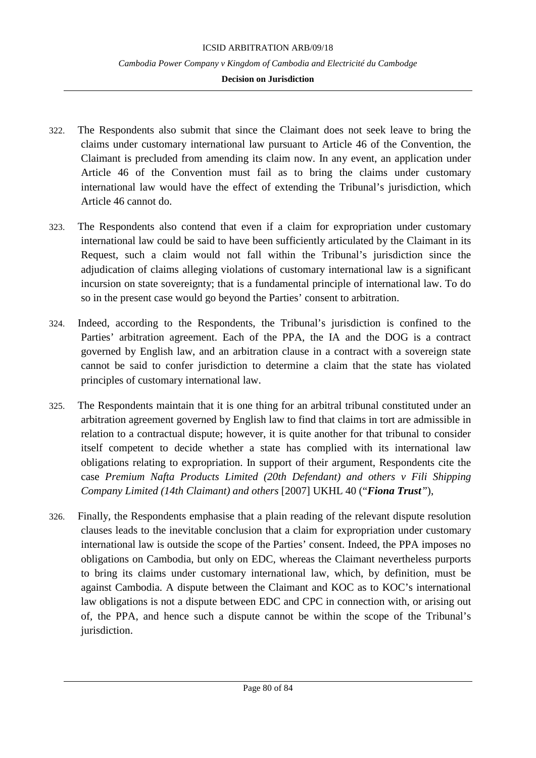#### **Decision on Jurisdiction**

- 322. The Respondents also submit that since the Claimant does not seek leave to bring the claims under customary international law pursuant to Article 46 of the Convention, the Claimant is precluded from amending its claim now. In any event, an application under Article 46 of the Convention must fail as to bring the claims under customary international law would have the effect of extending the Tribunal's jurisdiction, which Article 46 cannot do.
- 323. The Respondents also contend that even if a claim for expropriation under customary international law could be said to have been sufficiently articulated by the Claimant in its Request, such a claim would not fall within the Tribunal's jurisdiction since the adjudication of claims alleging violations of customary international law is a significant incursion on state sovereignty; that is a fundamental principle of international law. To do so in the present case would go beyond the Parties' consent to arbitration.
- 324. Indeed, according to the Respondents, the Tribunal's jurisdiction is confined to the Parties' arbitration agreement. Each of the PPA, the IA and the DOG is a contract governed by English law, and an arbitration clause in a contract with a sovereign state cannot be said to confer jurisdiction to determine a claim that the state has violated principles of customary international law.
- 325. The Respondents maintain that it is one thing for an arbitral tribunal constituted under an arbitration agreement governed by English law to find that claims in tort are admissible in relation to a contractual dispute; however, it is quite another for that tribunal to consider itself competent to decide whether a state has complied with its international law obligations relating to expropriation. In support of their argument, Respondents cite the case *Premium Nafta Products Limited (20th Defendant) and others v Fili Shipping Company Limited (14th Claimant) and others* [2007] UKHL 40 ("*Fiona Trust"*),
- 326. Finally, the Respondents emphasise that a plain reading of the relevant dispute resolution clauses leads to the inevitable conclusion that a claim for expropriation under customary international law is outside the scope of the Parties' consent. Indeed, the PPA imposes no obligations on Cambodia, but only on EDC, whereas the Claimant nevertheless purports to bring its claims under customary international law, which, by definition, must be against Cambodia. A dispute between the Claimant and KOC as to KOC's international law obligations is not a dispute between EDC and CPC in connection with, or arising out of, the PPA, and hence such a dispute cannot be within the scope of the Tribunal's jurisdiction.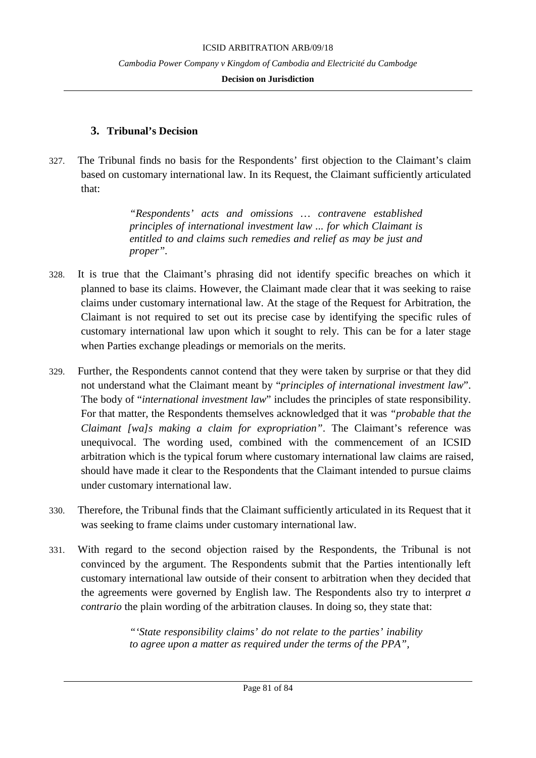#### **Decision on Jurisdiction**

## **3. Tribunal's Decision**

327. The Tribunal finds no basis for the Respondents' first objection to the Claimant's claim based on customary international law. In its Request, the Claimant sufficiently articulated that:

> *"Respondents' acts and omissions … contravene established principles of international investment law ... for which Claimant is entitled to and claims such remedies and relief as may be just and proper".*

- 328. It is true that the Claimant's phrasing did not identify specific breaches on which it planned to base its claims. However, the Claimant made clear that it was seeking to raise claims under customary international law. At the stage of the Request for Arbitration, the Claimant is not required to set out its precise case by identifying the specific rules of customary international law upon which it sought to rely. This can be for a later stage when Parties exchange pleadings or memorials on the merits.
- 329. Further, the Respondents cannot contend that they were taken by surprise or that they did not understand what the Claimant meant by "*principles of international investment law*". The body of "*international investment law*" includes the principles of state responsibility. For that matter, the Respondents themselves acknowledged that it was *"probable that the Claimant [wa]s making a claim for expropriation"*. The Claimant's reference was unequivocal. The wording used, combined with the commencement of an ICSID arbitration which is the typical forum where customary international law claims are raised, should have made it clear to the Respondents that the Claimant intended to pursue claims under customary international law.
- 330. Therefore, the Tribunal finds that the Claimant sufficiently articulated in its Request that it was seeking to frame claims under customary international law.
- 331. With regard to the second objection raised by the Respondents, the Tribunal is not convinced by the argument. The Respondents submit that the Parties intentionally left customary international law outside of their consent to arbitration when they decided that the agreements were governed by English law. The Respondents also try to interpret *a contrario* the plain wording of the arbitration clauses. In doing so, they state that:

*"'State responsibility claims' do not relate to the parties' inability to agree upon a matter as required under the terms of the PPA",*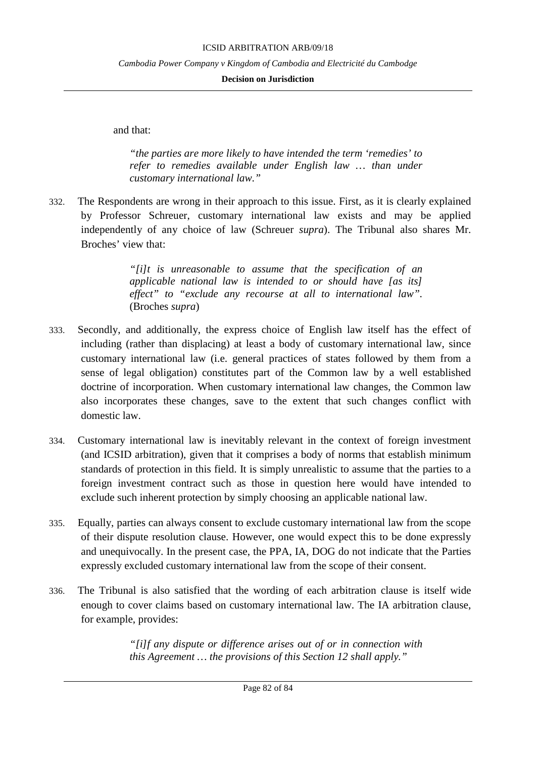**Decision on Jurisdiction**

and that:

*"the parties are more likely to have intended the term 'remedies' to refer to remedies available under English law … than under customary international law."*

332. The Respondents are wrong in their approach to this issue. First, as it is clearly explained by Professor Schreuer, customary international law exists and may be applied independently of any choice of law (Schreuer *supra*). The Tribunal also shares Mr. Broches' view that:

> *"[i]t is unreasonable to assume that the specification of an applicable national law is intended to or should have [as its] effect" to "exclude any recourse at all to international law".* (Broches *supra*)

- 333. Secondly, and additionally, the express choice of English law itself has the effect of including (rather than displacing) at least a body of customary international law, since customary international law (i.e. general practices of states followed by them from a sense of legal obligation) constitutes part of the Common law by a well established doctrine of incorporation. When customary international law changes, the Common law also incorporates these changes, save to the extent that such changes conflict with domestic law.
- 334. Customary international law is inevitably relevant in the context of foreign investment (and ICSID arbitration), given that it comprises a body of norms that establish minimum standards of protection in this field. It is simply unrealistic to assume that the parties to a foreign investment contract such as those in question here would have intended to exclude such inherent protection by simply choosing an applicable national law.
- 335. Equally, parties can always consent to exclude customary international law from the scope of their dispute resolution clause. However, one would expect this to be done expressly and unequivocally. In the present case, the PPA, IA, DOG do not indicate that the Parties expressly excluded customary international law from the scope of their consent.
- 336. The Tribunal is also satisfied that the wording of each arbitration clause is itself wide enough to cover claims based on customary international law. The IA arbitration clause, for example, provides:

*"[i]f any dispute or difference arises out of or in connection with this Agreement … the provisions of this Section 12 shall apply."*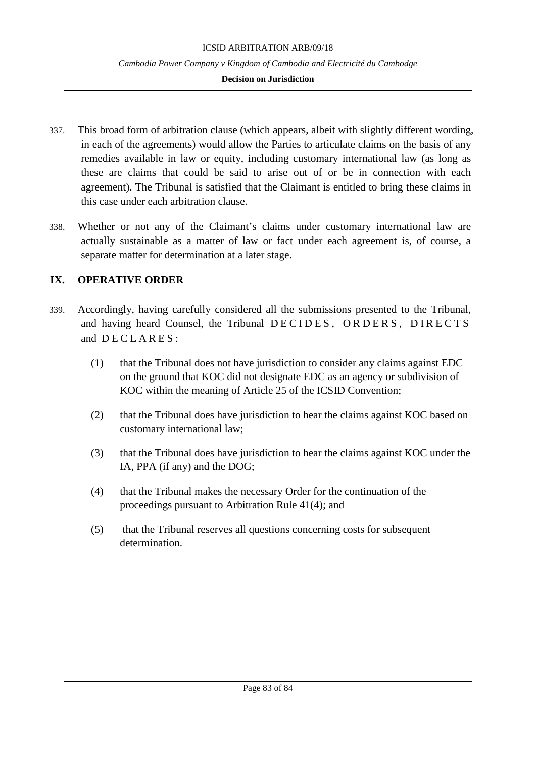#### **Decision on Jurisdiction**

- 337. This broad form of arbitration clause (which appears, albeit with slightly different wording, in each of the agreements) would allow the Parties to articulate claims on the basis of any remedies available in law or equity, including customary international law (as long as these are claims that could be said to arise out of or be in connection with each agreement). The Tribunal is satisfied that the Claimant is entitled to bring these claims in this case under each arbitration clause.
- 338. Whether or not any of the Claimant's claims under customary international law are actually sustainable as a matter of law or fact under each agreement is, of course, a separate matter for determination at a later stage.

## **IX. OPERATIVE ORDER**

- 339. Accordingly, having carefully considered all the submissions presented to the Tribunal, and having heard Counsel, the Tribunal DECIDES, ORDERS, DIRECTS and  $DECLARES$ :
	- (1) that the Tribunal does not have jurisdiction to consider any claims against EDC on the ground that KOC did not designate EDC as an agency or subdivision of KOC within the meaning of Article 25 of the ICSID Convention;
	- (2) that the Tribunal does have jurisdiction to hear the claims against KOC based on customary international law;
	- (3) that the Tribunal does have jurisdiction to hear the claims against KOC under the IA, PPA (if any) and the DOG;
	- (4) that the Tribunal makes the necessary Order for the continuation of the proceedings pursuant to Arbitration Rule 41(4); and
	- (5) that the Tribunal reserves all questions concerning costs for subsequent determination.